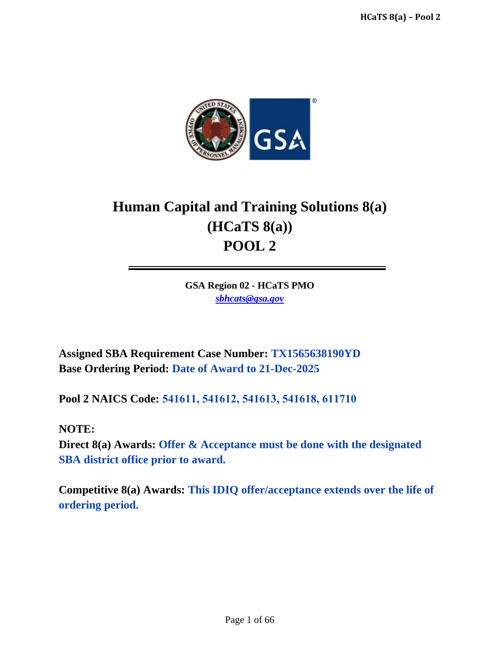

# **Human Capital and Training Solutions 8(a) (HCaTS 8(a)) POOL 2**

**GSA Region 02 - HCaTS PMO** *sbhcats@gsa.gov*

**Assigned SBA Requirement Case Number: TX1565638190YD Base Ordering Period: Date of Award to 21-Dec-2025**

**Pool 2 NAICS Code: 541611, 541612, 541613, 541618, 611710**

**NOTE:**

**Direct 8(a) Awards: Offer & Acceptance must be done with the designated SBA district office prior to award.** 

**Competitive 8(a) Awards: This IDIQ offer/acceptance extends over the life of ordering period.**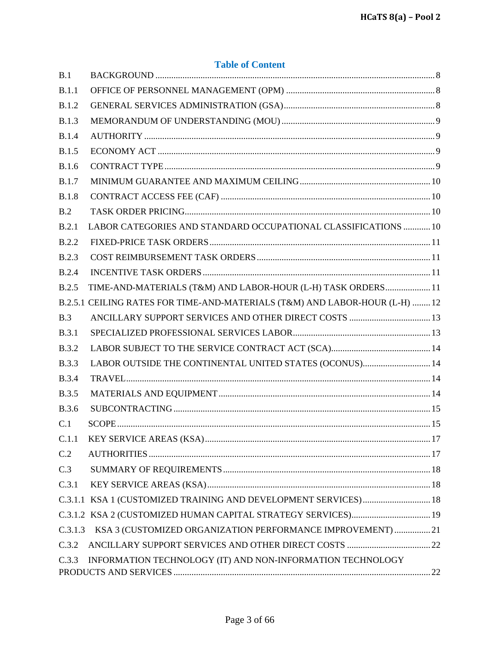# **Table of Content**

| B.1          |                                                                             |  |
|--------------|-----------------------------------------------------------------------------|--|
| B.1.1        |                                                                             |  |
| <b>B.1.2</b> |                                                                             |  |
| <b>B.1.3</b> |                                                                             |  |
| <b>B.1.4</b> |                                                                             |  |
| <b>B.1.5</b> |                                                                             |  |
| <b>B.1.6</b> |                                                                             |  |
| <b>B.1.7</b> |                                                                             |  |
| <b>B.1.8</b> |                                                                             |  |
| B.2          |                                                                             |  |
| B.2.1        | LABOR CATEGORIES AND STANDARD OCCUPATIONAL CLASSIFICATIONS  10              |  |
| <b>B.2.2</b> |                                                                             |  |
| <b>B.2.3</b> |                                                                             |  |
| <b>B.2.4</b> |                                                                             |  |
| <b>B.2.5</b> | TIME-AND-MATERIALS (T&M) AND LABOR-HOUR (L-H) TASK ORDERS 11                |  |
|              | B.2.5.1 CEILING RATES FOR TIME-AND-MATERIALS (T&M) AND LABOR-HOUR (L-H)  12 |  |
| B.3          |                                                                             |  |
| <b>B.3.1</b> |                                                                             |  |
| <b>B.3.2</b> |                                                                             |  |
| <b>B.3.3</b> | LABOR OUTSIDE THE CONTINENTAL UNITED STATES (OCONUS) 14                     |  |
| <b>B.3.4</b> |                                                                             |  |
| <b>B.3.5</b> |                                                                             |  |
| <b>B.3.6</b> |                                                                             |  |
| C.1          |                                                                             |  |
| C.1.1        |                                                                             |  |
| C.2          |                                                                             |  |
| C.3          |                                                                             |  |
| C.3.1        |                                                                             |  |
|              | C.3.1.1 KSA 1 (CUSTOMIZED TRAINING AND DEVELOPMENT SERVICES) 18             |  |
|              | C.3.1.2 KSA 2 (CUSTOMIZED HUMAN CAPITAL STRATEGY SERVICES) 19               |  |
| C.3.1.3      | KSA 3 (CUSTOMIZED ORGANIZATION PERFORMANCE IMPROVEMENT)  21                 |  |
| C.3.2        |                                                                             |  |
| C.3.3        | INFORMATION TECHNOLOGY (IT) AND NON-INFORMATION TECHNOLOGY                  |  |
|              |                                                                             |  |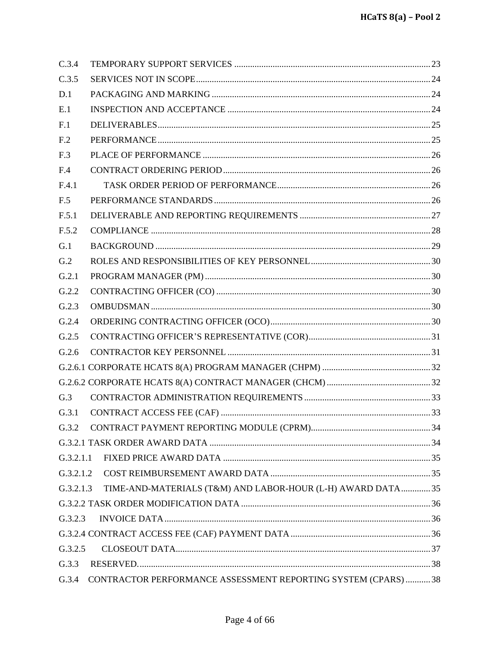| C.3.4           |                                                                |  |
|-----------------|----------------------------------------------------------------|--|
| C.3.5           |                                                                |  |
| D.1             |                                                                |  |
| E.1             |                                                                |  |
| F.1             |                                                                |  |
| F <sub>.2</sub> |                                                                |  |
| F.3             |                                                                |  |
| F.4             |                                                                |  |
| F.4.1           |                                                                |  |
| F.5             |                                                                |  |
| F.5.1           |                                                                |  |
| F.5.2           |                                                                |  |
| G.1             |                                                                |  |
| G.2             |                                                                |  |
| G.2.1           |                                                                |  |
| G.2.2           |                                                                |  |
| G.2.3           |                                                                |  |
| G.2.4           |                                                                |  |
| G.2.5           |                                                                |  |
| G.2.6           |                                                                |  |
|                 |                                                                |  |
|                 |                                                                |  |
| G.3             |                                                                |  |
| G.3.1           |                                                                |  |
|                 |                                                                |  |
|                 |                                                                |  |
| G.3.2.1.1       |                                                                |  |
| G.3.2.1.2       |                                                                |  |
| G.3.2.1.3       | TIME-AND-MATERIALS (T&M) AND LABOR-HOUR (L-H) AWARD DATA 35    |  |
|                 |                                                                |  |
| G.3.2.3         |                                                                |  |
|                 |                                                                |  |
| G.3.2.5         |                                                                |  |
| G.3.3           |                                                                |  |
| G.3.4           | CONTRACTOR PERFORMANCE ASSESSMENT REPORTING SYSTEM (CPARS)  38 |  |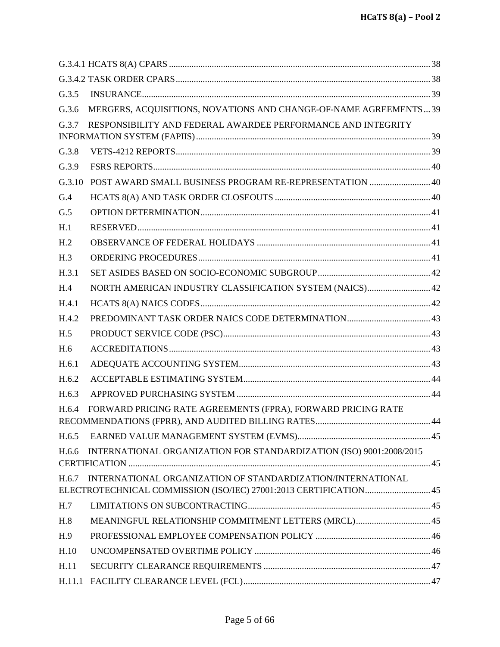| G.3.5           |                                                                                                                                  |  |
|-----------------|----------------------------------------------------------------------------------------------------------------------------------|--|
| G.3.6           | MERGERS, ACQUISITIONS, NOVATIONS AND CHANGE-OF-NAME AGREEMENTS39                                                                 |  |
| G.3.7           | RESPONSIBILITY AND FEDERAL AWARDEE PERFORMANCE AND INTEGRITY                                                                     |  |
| G.3.8           |                                                                                                                                  |  |
| G.3.9           |                                                                                                                                  |  |
| G.3.10          | POST AWARD SMALL BUSINESS PROGRAM RE-REPRESENTATION  40                                                                          |  |
| G.4             |                                                                                                                                  |  |
| G.5             |                                                                                                                                  |  |
| H.1             |                                                                                                                                  |  |
| H <sub>.2</sub> |                                                                                                                                  |  |
| H.3             |                                                                                                                                  |  |
| H.3.1           |                                                                                                                                  |  |
| H.4             | NORTH AMERICAN INDUSTRY CLASSIFICATION SYSTEM (NAICS) 42                                                                         |  |
| H.4.1           |                                                                                                                                  |  |
| H.4.2           |                                                                                                                                  |  |
| H.5             |                                                                                                                                  |  |
| H.6             |                                                                                                                                  |  |
| H.6.1           |                                                                                                                                  |  |
| H.6.2           |                                                                                                                                  |  |
| H.6.3           |                                                                                                                                  |  |
| H.6.4           | FORWARD PRICING RATE AGREEMENTS (FPRA), FORWARD PRICING RATE                                                                     |  |
|                 |                                                                                                                                  |  |
| H.6.5           |                                                                                                                                  |  |
| H.6.6           | INTERNATIONAL ORGANIZATION FOR STANDARDIZATION (ISO) 9001:2008/2015                                                              |  |
|                 |                                                                                                                                  |  |
| H.6.7           | INTERNATIONAL ORGANIZATION OF STANDARDIZATION/INTERNATIONAL<br>ELECTROTECHNICAL COMMISSION (ISO/IEC) 27001:2013 CERTIFICATION 45 |  |
| H.7             |                                                                                                                                  |  |
| H.8             | MEANINGFUL RELATIONSHIP COMMITMENT LETTERS (MRCL) 45                                                                             |  |
| H.9             |                                                                                                                                  |  |
| H.10            |                                                                                                                                  |  |
| H.11            |                                                                                                                                  |  |
| H.11.1          |                                                                                                                                  |  |
|                 |                                                                                                                                  |  |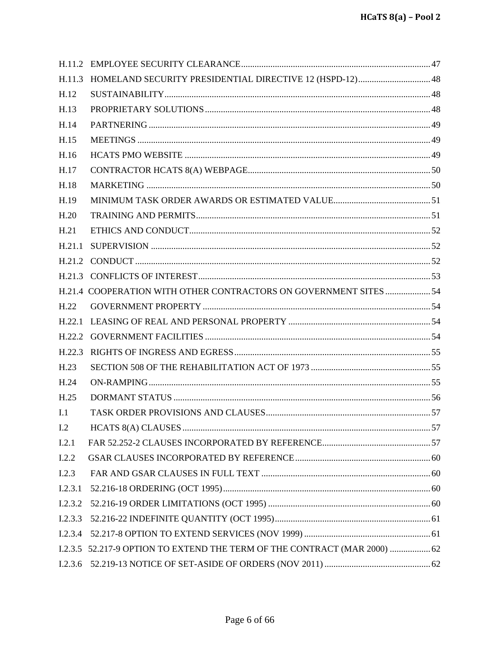| H.11.3  | HOMELAND SECURITY PRESIDENTIAL DIRECTIVE 12 (HSPD-12) 48                  |  |
|---------|---------------------------------------------------------------------------|--|
| H.12    |                                                                           |  |
| H.13    |                                                                           |  |
| H.14    |                                                                           |  |
| H.15    |                                                                           |  |
| H.16    |                                                                           |  |
| H.17    |                                                                           |  |
| H.18    |                                                                           |  |
| H.19    |                                                                           |  |
| H.20    |                                                                           |  |
| H.21    |                                                                           |  |
| H.21.1  |                                                                           |  |
|         |                                                                           |  |
|         |                                                                           |  |
|         | H.21.4 COOPERATION WITH OTHER CONTRACTORS ON GOVERNMENT SITES 54          |  |
| H.22    |                                                                           |  |
|         |                                                                           |  |
|         |                                                                           |  |
| H.22.3  |                                                                           |  |
| H.23    |                                                                           |  |
| H.24    |                                                                           |  |
| H.25    |                                                                           |  |
| I.1     |                                                                           |  |
| I.2     |                                                                           |  |
| I.2.1   |                                                                           |  |
| I.2.2   |                                                                           |  |
| I.2.3   |                                                                           |  |
| I.2.3.1 |                                                                           |  |
| I.2.3.2 |                                                                           |  |
| I.2.3.3 |                                                                           |  |
| I.2.3.4 |                                                                           |  |
|         | 1.2.3.5 52.217-9 OPTION TO EXTEND THE TERM OF THE CONTRACT (MAR 2000)  62 |  |
|         |                                                                           |  |
|         |                                                                           |  |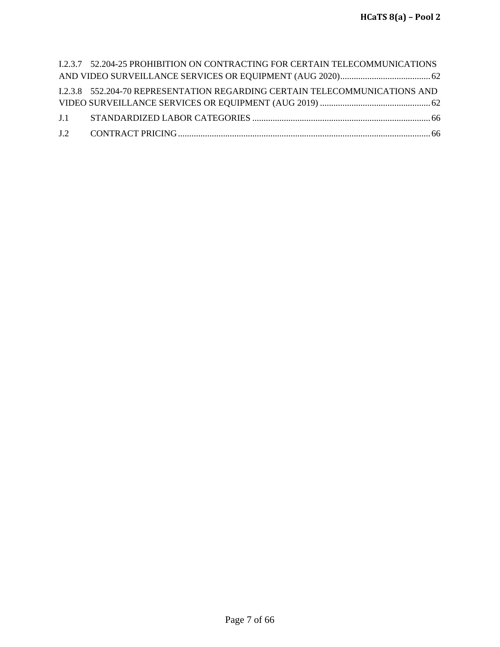| I.2.3.7 52.204-25 PROHIBITION ON CONTRACTING FOR CERTAIN TELECOMMUNICATIONS |
|-----------------------------------------------------------------------------|
|                                                                             |
| I.2.3.8 552.204-70 REPRESENTATION REGARDING CERTAIN TELECOMMUNICATIONS AND  |
|                                                                             |
|                                                                             |
|                                                                             |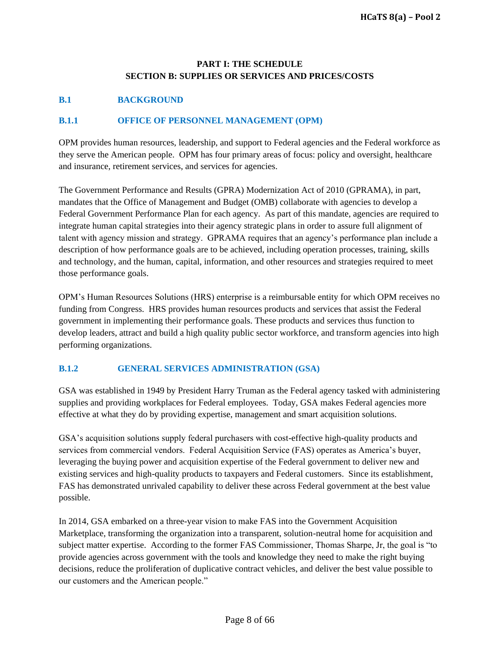## **PART I: THE SCHEDULE SECTION B: SUPPLIES OR SERVICES AND PRICES/COSTS**

#### **B.1 BACKGROUND**

#### **B.1.1 OFFICE OF PERSONNEL MANAGEMENT (OPM)**

OPM provides human resources, leadership, and support to Federal agencies and the Federal workforce as they serve the American people. OPM has four primary areas of focus: policy and oversight, healthcare and insurance, retirement services, and services for agencies.

The Government Performance and Results (GPRA) Modernization Act of 2010 (GPRAMA), in part, mandates that the Office of Management and Budget (OMB) collaborate with agencies to develop a Federal Government Performance Plan for each agency. As part of this mandate, agencies are required to integrate human capital strategies into their agency strategic plans in order to assure full alignment of talent with agency mission and strategy. GPRAMA requires that an agency's performance plan include a description of how performance goals are to be achieved, including operation processes, training, skills and technology, and the human, capital, information, and other resources and strategies required to meet those performance goals.

OPM's Human Resources Solutions (HRS) enterprise is a reimbursable entity for which OPM receives no funding from Congress. HRS provides human resources products and services that assist the Federal government in implementing their performance goals. These products and services thus function to develop leaders, attract and build a high quality public sector workforce, and transform agencies into high performing organizations.

# **B.1.2 GENERAL SERVICES ADMINISTRATION (GSA)**

GSA was established in 1949 by President Harry Truman as the Federal agency tasked with administering supplies and providing workplaces for Federal employees. Today, GSA makes Federal agencies more effective at what they do by providing expertise, management and smart acquisition solutions.

GSA's acquisition solutions supply federal purchasers with cost-effective high-quality products and services from commercial vendors. Federal Acquisition Service (FAS) operates as America's buyer, leveraging the buying power and acquisition expertise of the Federal government to deliver new and existing services and high-quality products to taxpayers and Federal customers. Since its establishment, FAS has demonstrated unrivaled capability to deliver these across Federal government at the best value possible.

In 2014, GSA embarked on a three-year vision to make FAS into the Government Acquisition Marketplace, transforming the organization into a transparent, solution-neutral home for acquisition and subject matter expertise. According to the former FAS Commissioner, Thomas Sharpe, Jr, the goal is "to provide agencies across government with the tools and knowledge they need to make the right buying decisions, reduce the proliferation of duplicative contract vehicles, and deliver the best value possible to our customers and the American people."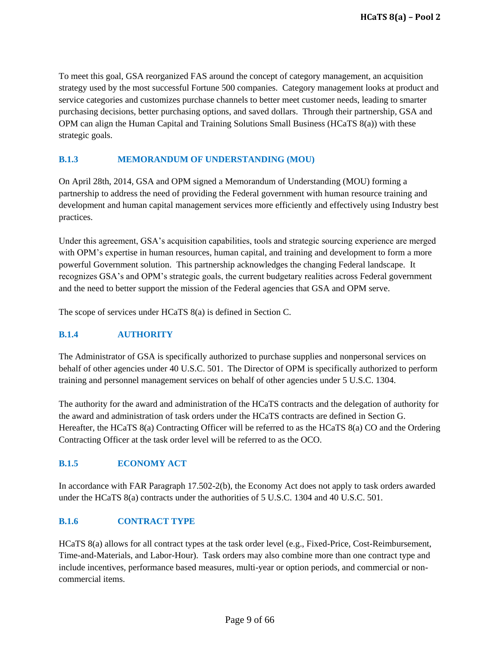To meet this goal, GSA reorganized FAS around the concept of category management, an acquisition strategy used by the most successful Fortune 500 companies. Category management looks at product and service categories and customizes purchase channels to better meet customer needs, leading to smarter purchasing decisions, better purchasing options, and saved dollars. Through their partnership, GSA and OPM can align the Human Capital and Training Solutions Small Business (HCaTS 8(a)) with these strategic goals.

# **B.1.3 MEMORANDUM OF UNDERSTANDING (MOU)**

On April 28th, 2014, GSA and OPM signed a Memorandum of Understanding (MOU) forming a partnership to address the need of providing the Federal government with human resource training and development and human capital management services more efficiently and effectively using Industry best practices.

Under this agreement, GSA's acquisition capabilities, tools and strategic sourcing experience are merged with OPM's expertise in human resources, human capital, and training and development to form a more powerful Government solution. This partnership acknowledges the changing Federal landscape. It recognizes GSA's and OPM's strategic goals, the current budgetary realities across Federal government and the need to better support the mission of the Federal agencies that GSA and OPM serve.

The scope of services under HCaTS 8(a) is defined in Section C.

# **B.1.4 AUTHORITY**

The Administrator of GSA is specifically authorized to purchase supplies and nonpersonal services on behalf of other agencies under 40 U.S.C. 501. The Director of OPM is specifically authorized to perform training and personnel management services on behalf of other agencies under 5 U.S.C. 1304.

The authority for the award and administration of the HCaTS contracts and the delegation of authority for the award and administration of task orders under the HCaTS contracts are defined in Section G. Hereafter, the HCaTS 8(a) Contracting Officer will be referred to as the HCaTS 8(a) CO and the Ordering Contracting Officer at the task order level will be referred to as the OCO.

# **B.1.5 ECONOMY ACT**

In accordance with FAR Paragraph 17.502-2(b), the Economy Act does not apply to task orders awarded under the HCaTS 8(a) contracts under the authorities of 5 U.S.C. 1304 and 40 U.S.C. 501.

# **B.1.6 CONTRACT TYPE**

HCaTS 8(a) allows for all contract types at the task order level (e.g., Fixed-Price, Cost-Reimbursement, Time-and-Materials, and Labor-Hour). Task orders may also combine more than one contract type and include incentives, performance based measures, multi-year or option periods, and commercial or noncommercial items.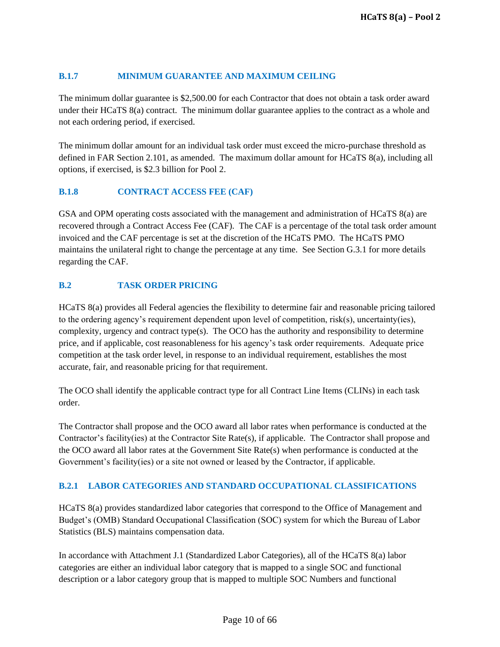# **B.1.7 MINIMUM GUARANTEE AND MAXIMUM CEILING**

The minimum dollar guarantee is \$2,500.00 for each Contractor that does not obtain a task order award under their HCaTS 8(a) contract. The minimum dollar guarantee applies to the contract as a whole and not each ordering period, if exercised.

The minimum dollar amount for an individual task order must exceed the micro-purchase threshold as defined in FAR Section 2.101, as amended. The maximum dollar amount for HCaTS 8(a), including all options, if exercised, is \$2.3 billion for Pool 2.

## **B.1.8 CONTRACT ACCESS FEE (CAF)**

GSA and OPM operating costs associated with the management and administration of HCaTS 8(a) are recovered through a Contract Access Fee (CAF). The CAF is a percentage of the total task order amount invoiced and the CAF percentage is set at the discretion of the HCaTS PMO. The HCaTS PMO maintains the unilateral right to change the percentage at any time. See Section G.3.1 for more details regarding the CAF.

# **B.2 TASK ORDER PRICING**

HCaTS 8(a) provides all Federal agencies the flexibility to determine fair and reasonable pricing tailored to the ordering agency's requirement dependent upon level of competition, risk(s), uncertainty(ies), complexity, urgency and contract type(s). The OCO has the authority and responsibility to determine price, and if applicable, cost reasonableness for his agency's task order requirements. Adequate price competition at the task order level, in response to an individual requirement, establishes the most accurate, fair, and reasonable pricing for that requirement.

The OCO shall identify the applicable contract type for all Contract Line Items (CLINs) in each task order.

The Contractor shall propose and the OCO award all labor rates when performance is conducted at the Contractor's facility(ies) at the Contractor Site Rate(s), if applicable. The Contractor shall propose and the OCO award all labor rates at the Government Site Rate(s) when performance is conducted at the Government's facility(ies) or a site not owned or leased by the Contractor, if applicable.

# **B.2.1 LABOR CATEGORIES AND STANDARD OCCUPATIONAL CLASSIFICATIONS**

HCaTS 8(a) provides standardized labor categories that correspond to the Office of Management and Budget's (OMB) Standard Occupational Classification (SOC) system for which the Bureau of Labor Statistics (BLS) maintains compensation data.

In accordance with Attachment J.1 (Standardized Labor Categories), all of the HCaTS 8(a) labor categories are either an individual labor category that is mapped to a single SOC and functional description or a labor category group that is mapped to multiple SOC Numbers and functional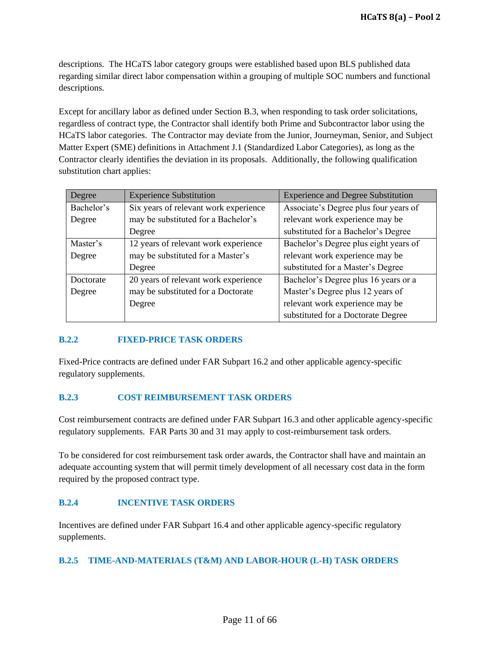descriptions. The HCaTS labor category groups were established based upon BLS published data regarding similar direct labor compensation within a grouping of multiple SOC numbers and functional descriptions.

Except for ancillary labor as defined under Section B.3, when responding to task order solicitations, regardless of contract type, the Contractor shall identify both Prime and Subcontractor labor using the HCaTS labor categories. The Contractor may deviate from the Junior, Journeyman, Senior, and Subject Matter Expert (SME) definitions in Attachment J.1 (Standardized Labor Categories), as long as the Contractor clearly identifies the deviation in its proposals. Additionally, the following qualification substitution chart applies:

| Degree     | <b>Experience Substitution</b>        | <b>Experience and Degree Substitution</b> |
|------------|---------------------------------------|-------------------------------------------|
| Bachelor's | Six years of relevant work experience | Associate's Degree plus four years of     |
| Degree     | may be substituted for a Bachelor's   | relevant work experience may be           |
|            | Degree                                | substituted for a Bachelor's Degree       |
| Master's   | 12 years of relevant work experience  | Bachelor's Degree plus eight years of     |
| Degree     | may be substituted for a Master's     | relevant work experience may be           |
|            | Degree                                | substituted for a Master's Degree         |
| Doctorate  | 20 years of relevant work experience  | Bachelor's Degree plus 16 years or a      |
| Degree     | may be substituted for a Doctorate    | Master's Degree plus 12 years of          |
|            | Degree                                | relevant work experience may be           |
|            |                                       | substituted for a Doctorate Degree        |

# **B.2.2 FIXED-PRICE TASK ORDERS**

Fixed-Price contracts are defined under FAR Subpart 16.2 and other applicable agency-specific regulatory supplements.

# **B.2.3 COST REIMBURSEMENT TASK ORDERS**

Cost reimbursement contracts are defined under FAR Subpart 16.3 and other applicable agency-specific regulatory supplements. FAR Parts 30 and 31 may apply to cost-reimbursement task orders.

To be considered for cost reimbursement task order awards, the Contractor shall have and maintain an adequate accounting system that will permit timely development of all necessary cost data in the form required by the proposed contract type.

# **B.2.4 INCENTIVE TASK ORDERS**

Incentives are defined under FAR Subpart 16.4 and other applicable agency-specific regulatory supplements.

# **B.2.5 TIME-AND-MATERIALS (T&M) AND LABOR-HOUR (L-H) TASK ORDERS**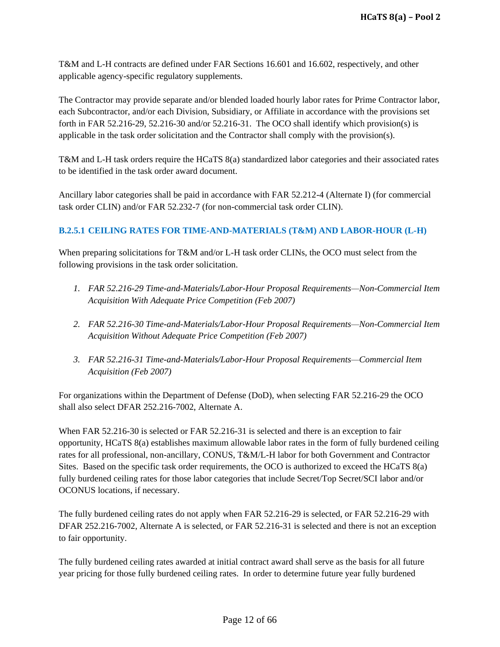T&M and L-H contracts are defined under FAR Sections 16.601 and 16.602, respectively, and other applicable agency-specific regulatory supplements.

The Contractor may provide separate and/or blended loaded hourly labor rates for Prime Contractor labor, each Subcontractor, and/or each Division, Subsidiary, or Affiliate in accordance with the provisions set forth in FAR 52.216-29, 52.216-30 and/or 52.216-31. The OCO shall identify which provision(s) is applicable in the task order solicitation and the Contractor shall comply with the provision(s).

T&M and L-H task orders require the HCaTS 8(a) standardized labor categories and their associated rates to be identified in the task order award document.

Ancillary labor categories shall be paid in accordance with FAR 52.212-4 (Alternate I) (for commercial task order CLIN) and/or FAR 52.232-7 (for non-commercial task order CLIN).

# **B.2.5.1 CEILING RATES FOR TIME-AND-MATERIALS (T&M) AND LABOR-HOUR (L-H)**

When preparing solicitations for T&M and/or L-H task order CLINs, the OCO must select from the following provisions in the task order solicitation.

- *1. FAR 52.216-29 Time-and-Materials/Labor-Hour Proposal Requirements—Non-Commercial Item Acquisition With Adequate Price Competition (Feb 2007)*
- *2. FAR 52.216-30 Time-and-Materials/Labor-Hour Proposal Requirements—Non-Commercial Item Acquisition Without Adequate Price Competition (Feb 2007)*
- *3. FAR 52.216-31 Time-and-Materials/Labor-Hour Proposal Requirements—Commercial Item Acquisition (Feb 2007)*

For organizations within the Department of Defense (DoD), when selecting FAR 52.216-29 the OCO shall also select DFAR 252.216-7002, Alternate A.

When FAR 52.216-30 is selected or FAR 52.216-31 is selected and there is an exception to fair opportunity, HCaTS 8(a) establishes maximum allowable labor rates in the form of fully burdened ceiling rates for all professional, non-ancillary, CONUS, T&M/L-H labor for both Government and Contractor Sites. Based on the specific task order requirements, the OCO is authorized to exceed the HCaTS 8(a) fully burdened ceiling rates for those labor categories that include Secret/Top Secret/SCI labor and/or OCONUS locations, if necessary.

The fully burdened ceiling rates do not apply when FAR 52.216-29 is selected, or FAR 52.216-29 with DFAR 252.216-7002, Alternate A is selected, or FAR 52.216-31 is selected and there is not an exception to fair opportunity.

The fully burdened ceiling rates awarded at initial contract award shall serve as the basis for all future year pricing for those fully burdened ceiling rates. In order to determine future year fully burdened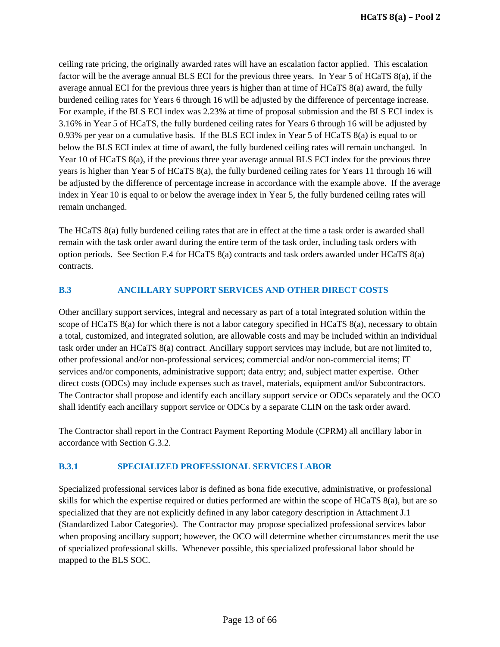ceiling rate pricing, the originally awarded rates will have an escalation factor applied. This escalation factor will be the average annual BLS ECI for the previous three years. In Year 5 of HCaTS 8(a), if the average annual ECI for the previous three years is higher than at time of HCaTS 8(a) award, the fully burdened ceiling rates for Years 6 through 16 will be adjusted by the difference of percentage increase. For example, if the BLS ECI index was 2.23% at time of proposal submission and the BLS ECI index is 3.16% in Year 5 of HCaTS, the fully burdened ceiling rates for Years 6 through 16 will be adjusted by 0.93% per year on a cumulative basis. If the BLS ECI index in Year 5 of HCaTS 8(a) is equal to or below the BLS ECI index at time of award, the fully burdened ceiling rates will remain unchanged. In Year 10 of HCaTS 8(a), if the previous three year average annual BLS ECI index for the previous three years is higher than Year 5 of HCaTS 8(a), the fully burdened ceiling rates for Years 11 through 16 will be adjusted by the difference of percentage increase in accordance with the example above. If the average index in Year 10 is equal to or below the average index in Year 5, the fully burdened ceiling rates will remain unchanged.

The HCaTS 8(a) fully burdened ceiling rates that are in effect at the time a task order is awarded shall remain with the task order award during the entire term of the task order, including task orders with option periods. See Section F.4 for HCaTS 8(a) contracts and task orders awarded under HCaTS 8(a) contracts.

# **B.3 ANCILLARY SUPPORT SERVICES AND OTHER DIRECT COSTS**

Other ancillary support services, integral and necessary as part of a total integrated solution within the scope of HCaTS 8(a) for which there is not a labor category specified in HCaTS 8(a), necessary to obtain a total, customized, and integrated solution, are allowable costs and may be included within an individual task order under an HCaTS 8(a) contract. Ancillary support services may include, but are not limited to, other professional and/or non-professional services; commercial and/or non-commercial items; IT services and/or components, administrative support; data entry; and, subject matter expertise. Other direct costs (ODCs) may include expenses such as travel, materials, equipment and/or Subcontractors. The Contractor shall propose and identify each ancillary support service or ODCs separately and the OCO shall identify each ancillary support service or ODCs by a separate CLIN on the task order award.

The Contractor shall report in the Contract Payment Reporting Module (CPRM) all ancillary labor in accordance with Section G.3.2.

# **B.3.1 SPECIALIZED PROFESSIONAL SERVICES LABOR**

Specialized professional services labor is defined as bona fide executive, administrative, or professional skills for which the expertise required or duties performed are within the scope of HCaTS 8(a), but are so specialized that they are not explicitly defined in any labor category description in Attachment J.1 (Standardized Labor Categories). The Contractor may propose specialized professional services labor when proposing ancillary support; however, the OCO will determine whether circumstances merit the use of specialized professional skills. Whenever possible, this specialized professional labor should be mapped to the BLS SOC.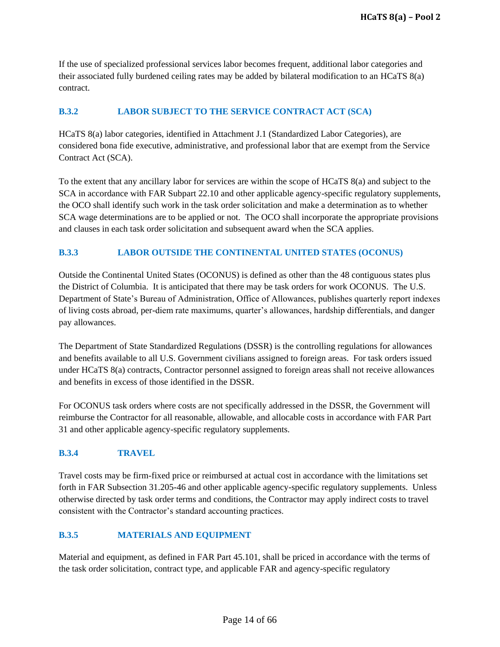If the use of specialized professional services labor becomes frequent, additional labor categories and their associated fully burdened ceiling rates may be added by bilateral modification to an HCaTS 8(a) contract.

# **B.3.2 LABOR SUBJECT TO THE SERVICE CONTRACT ACT (SCA)**

HCaTS 8(a) labor categories, identified in Attachment J.1 (Standardized Labor Categories), are considered bona fide executive, administrative, and professional labor that are exempt from the Service Contract Act (SCA).

To the extent that any ancillary labor for services are within the scope of HCaTS 8(a) and subject to the SCA in accordance with FAR Subpart 22.10 and other applicable agency-specific regulatory supplements, the OCO shall identify such work in the task order solicitation and make a determination as to whether SCA wage determinations are to be applied or not. The OCO shall incorporate the appropriate provisions and clauses in each task order solicitation and subsequent award when the SCA applies.

# **B.3.3 LABOR OUTSIDE THE CONTINENTAL UNITED STATES (OCONUS)**

Outside the Continental United States (OCONUS) is defined as other than the 48 contiguous states plus the District of Columbia. It is anticipated that there may be task orders for work OCONUS. The U.S. Department of State's Bureau of Administration, Office of Allowances, publishes quarterly report indexes of living costs abroad, per-diem rate maximums, quarter's allowances, hardship differentials, and danger pay allowances.

The Department of State Standardized Regulations (DSSR) is the controlling regulations for allowances and benefits available to all U.S. Government civilians assigned to foreign areas. For task orders issued under HCaTS 8(a) contracts, Contractor personnel assigned to foreign areas shall not receive allowances and benefits in excess of those identified in the DSSR.

For OCONUS task orders where costs are not specifically addressed in the DSSR, the Government will reimburse the Contractor for all reasonable, allowable, and allocable costs in accordance with FAR Part 31 and other applicable agency-specific regulatory supplements.

# **B.3.4 TRAVEL**

Travel costs may be firm-fixed price or reimbursed at actual cost in accordance with the limitations set forth in FAR Subsection 31.205-46 and other applicable agency-specific regulatory supplements. Unless otherwise directed by task order terms and conditions, the Contractor may apply indirect costs to travel consistent with the Contractor's standard accounting practices.

# **B.3.5 MATERIALS AND EQUIPMENT**

Material and equipment, as defined in FAR Part 45.101, shall be priced in accordance with the terms of the task order solicitation, contract type, and applicable FAR and agency-specific regulatory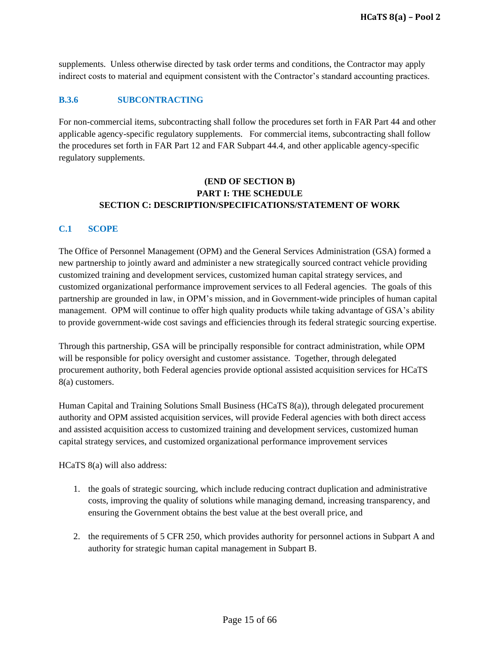supplements. Unless otherwise directed by task order terms and conditions, the Contractor may apply indirect costs to material and equipment consistent with the Contractor's standard accounting practices.

#### **B.3.6 SUBCONTRACTING**

For non-commercial items, subcontracting shall follow the procedures set forth in FAR Part 44 and other applicable agency-specific regulatory supplements. For commercial items, subcontracting shall follow the procedures set forth in FAR Part 12 and FAR Subpart 44.4, and other applicable agency-specific regulatory supplements.

# **(END OF SECTION B) PART I: THE SCHEDULE SECTION C: DESCRIPTION/SPECIFICATIONS/STATEMENT OF WORK**

#### **C.1 SCOPE**

The Office of Personnel Management (OPM) and the General Services Administration (GSA) formed a new partnership to jointly award and administer a new strategically sourced contract vehicle providing customized training and development services, customized human capital strategy services, and customized organizational performance improvement services to all Federal agencies. The goals of this partnership are grounded in law, in OPM's mission, and in Government-wide principles of human capital management. OPM will continue to offer high quality products while taking advantage of GSA's ability to provide government-wide cost savings and efficiencies through its federal strategic sourcing expertise.

Through this partnership, GSA will be principally responsible for contract administration, while OPM will be responsible for policy oversight and customer assistance. Together, through delegated procurement authority, both Federal agencies provide optional assisted acquisition services for HCaTS 8(a) customers.

Human Capital and Training Solutions Small Business (HCaTS 8(a)), through delegated procurement authority and OPM assisted acquisition services, will provide Federal agencies with both direct access and assisted acquisition access to customized training and development services, customized human capital strategy services, and customized organizational performance improvement services

HCaTS 8(a) will also address:

- 1. the goals of strategic sourcing, which include reducing contract duplication and administrative costs, improving the quality of solutions while managing demand, increasing transparency, and ensuring the Government obtains the best value at the best overall price, and
- 2. the requirements of 5 CFR 250, which provides authority for personnel actions in Subpart A and authority for strategic human capital management in Subpart B.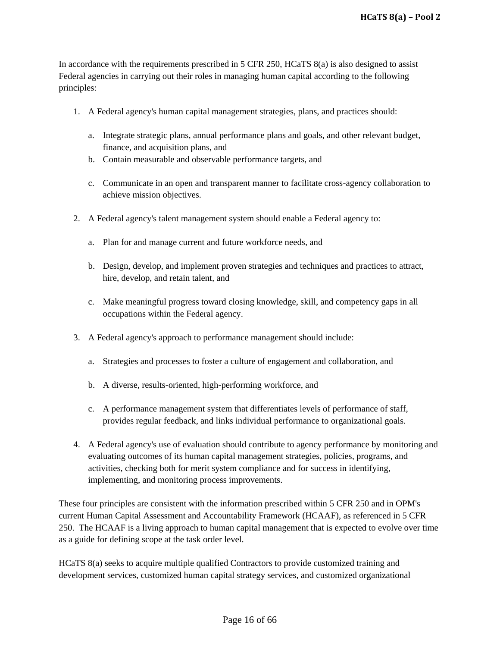In accordance with the requirements prescribed in 5 CFR 250, HCaTS 8(a) is also designed to assist Federal agencies in carrying out their roles in managing human capital according to the following principles:

- 1. A Federal agency's human capital management strategies, plans, and practices should:
	- a. Integrate strategic plans, annual performance plans and goals, and other relevant budget, finance, and acquisition plans, and
	- b. Contain measurable and observable performance targets, and
	- c. Communicate in an open and transparent manner to facilitate cross-agency collaboration to achieve mission objectives.
- 2. A Federal agency's talent management system should enable a Federal agency to:
	- a. Plan for and manage current and future workforce needs, and
	- b. Design, develop, and implement proven strategies and techniques and practices to attract, hire, develop, and retain talent, and
	- c. Make meaningful progress toward closing knowledge, skill, and competency gaps in all occupations within the Federal agency.
- 3. A Federal agency's approach to performance management should include:
	- a. Strategies and processes to foster a culture of engagement and collaboration, and
	- b. A diverse, results-oriented, high-performing workforce, and
	- c. A performance management system that differentiates levels of performance of staff, provides regular feedback, and links individual performance to organizational goals.
- 4. A Federal agency's use of evaluation should contribute to agency performance by monitoring and evaluating outcomes of its human capital management strategies, policies, programs, and activities, checking both for merit system compliance and for success in identifying, implementing, and monitoring process improvements.

These four principles are consistent with the information prescribed within 5 CFR 250 and in OPM's current Human Capital Assessment and Accountability Framework (HCAAF), as referenced in 5 CFR 250. The HCAAF is a living approach to human capital management that is expected to evolve over time as a guide for defining scope at the task order level.

HCaTS 8(a) seeks to acquire multiple qualified Contractors to provide customized training and development services, customized human capital strategy services, and customized organizational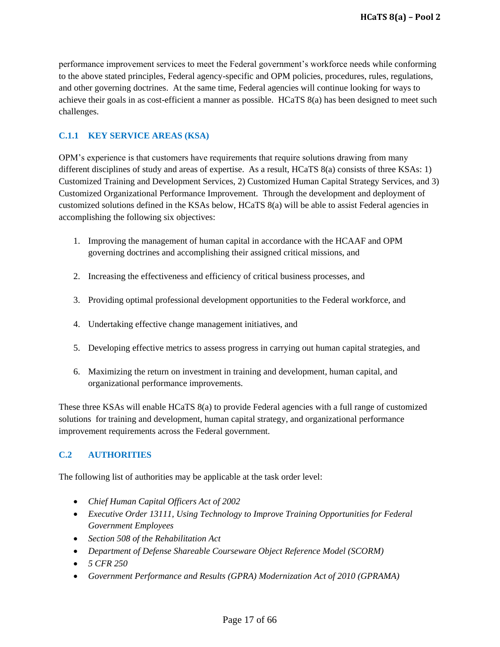performance improvement services to meet the Federal government's workforce needs while conforming to the above stated principles, Federal agency-specific and OPM policies, procedures, rules, regulations, and other governing doctrines. At the same time, Federal agencies will continue looking for ways to achieve their goals in as cost-efficient a manner as possible. HCaTS 8(a) has been designed to meet such challenges.

# **C.1.1 KEY SERVICE AREAS (KSA)**

OPM's experience is that customers have requirements that require solutions drawing from many different disciplines of study and areas of expertise. As a result, HCaTS 8(a) consists of three KSAs: 1) Customized Training and Development Services, 2) Customized Human Capital Strategy Services, and 3) Customized Organizational Performance Improvement. Through the development and deployment of customized solutions defined in the KSAs below, HCaTS 8(a) will be able to assist Federal agencies in accomplishing the following six objectives:

- 1. Improving the management of human capital in accordance with the HCAAF and OPM governing doctrines and accomplishing their assigned critical missions, and
- 2. Increasing the effectiveness and efficiency of critical business processes, and
- 3. Providing optimal professional development opportunities to the Federal workforce, and
- 4. Undertaking effective change management initiatives, and
- 5. Developing effective metrics to assess progress in carrying out human capital strategies, and
- 6. Maximizing the return on investment in training and development, human capital, and organizational performance improvements.

These three KSAs will enable HCaTS 8(a) to provide Federal agencies with a full range of customized solutions for training and development, human capital strategy, and organizational performance improvement requirements across the Federal government.

# **C.2 AUTHORITIES**

The following list of authorities may be applicable at the task order level:

- *Chief Human Capital Officers Act of 2002*
- *Executive Order 13111, Using Technology to Improve Training Opportunities for Federal Government Employees*
- *Section 508 of the Rehabilitation Act*
- *Department of Defense Shareable Courseware Object Reference Model (SCORM)*
- *5 CFR 250*
- *Government Performance and Results (GPRA) Modernization Act of 2010 (GPRAMA)*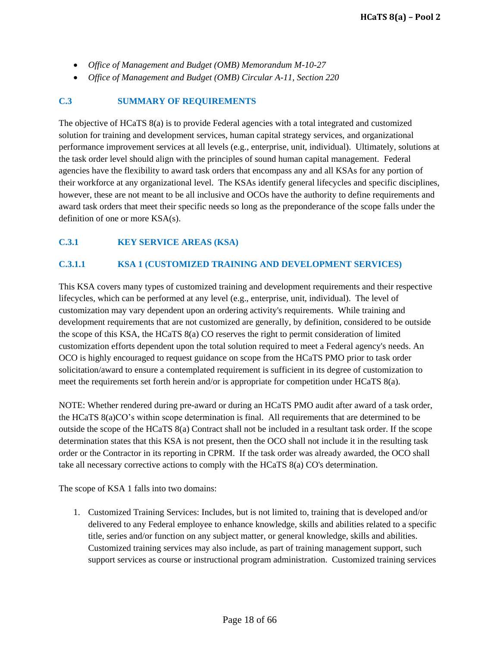- *Office of Management and Budget (OMB) Memorandum M-10-27*
- *Office of Management and Budget (OMB) Circular A-11, Section 220*

## **C.3 SUMMARY OF REQUIREMENTS**

The objective of HCaTS 8(a) is to provide Federal agencies with a total integrated and customized solution for training and development services, human capital strategy services, and organizational performance improvement services at all levels (e.g., enterprise, unit, individual). Ultimately, solutions at the task order level should align with the principles of sound human capital management. Federal agencies have the flexibility to award task orders that encompass any and all KSAs for any portion of their workforce at any organizational level. The KSAs identify general lifecycles and specific disciplines, however, these are not meant to be all inclusive and OCOs have the authority to define requirements and award task orders that meet their specific needs so long as the preponderance of the scope falls under the definition of one or more KSA(s).

# **C.3.1 KEY SERVICE AREAS (KSA)**

#### **C.3.1.1 KSA 1 (CUSTOMIZED TRAINING AND DEVELOPMENT SERVICES)**

This KSA covers many types of customized training and development requirements and their respective lifecycles, which can be performed at any level (e.g., enterprise, unit, individual). The level of customization may vary dependent upon an ordering activity's requirements. While training and development requirements that are not customized are generally, by definition, considered to be outside the scope of this KSA, the HCaTS 8(a) CO reserves the right to permit consideration of limited customization efforts dependent upon the total solution required to meet a Federal agency's needs. An OCO is highly encouraged to request guidance on scope from the HCaTS PMO prior to task order solicitation/award to ensure a contemplated requirement is sufficient in its degree of customization to meet the requirements set forth herein and/or is appropriate for competition under HCaTS 8(a).

NOTE: Whether rendered during pre-award or during an HCaTS PMO audit after award of a task order, the HCaTS 8(a)CO's within scope determination is final. All requirements that are determined to be outside the scope of the HCaTS 8(a) Contract shall not be included in a resultant task order. If the scope determination states that this KSA is not present, then the OCO shall not include it in the resulting task order or the Contractor in its reporting in CPRM. If the task order was already awarded, the OCO shall take all necessary corrective actions to comply with the HCaTS 8(a) CO's determination.

The scope of KSA 1 falls into two domains:

1. Customized Training Services: Includes, but is not limited to, training that is developed and/or delivered to any Federal employee to enhance knowledge, skills and abilities related to a specific title, series and/or function on any subject matter, or general knowledge, skills and abilities. Customized training services may also include, as part of training management support, such support services as course or instructional program administration. Customized training services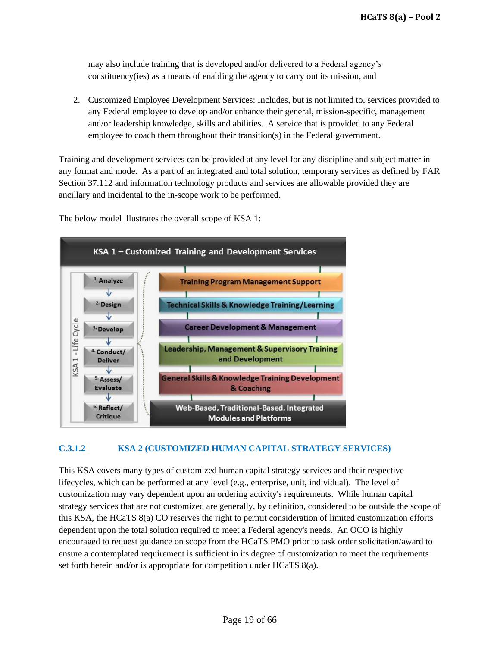may also include training that is developed and/or delivered to a Federal agency's constituency(ies) as a means of enabling the agency to carry out its mission, and

2. Customized Employee Development Services: Includes, but is not limited to, services provided to any Federal employee to develop and/or enhance their general, mission-specific, management and/or leadership knowledge, skills and abilities. A service that is provided to any Federal employee to coach them throughout their transition(s) in the Federal government.

Training and development services can be provided at any level for any discipline and subject matter in any format and mode. As a part of an integrated and total solution, temporary services as defined by FAR Section 37.112 and information technology products and services are allowable provided they are ancillary and incidental to the in-scope work to be performed.

The below model illustrates the overall scope of KSA 1:



# **C.3.1.2 KSA 2 (CUSTOMIZED HUMAN CAPITAL STRATEGY SERVICES)**

This KSA covers many types of customized human capital strategy services and their respective lifecycles, which can be performed at any level (e.g., enterprise, unit, individual). The level of customization may vary dependent upon an ordering activity's requirements. While human capital strategy services that are not customized are generally, by definition, considered to be outside the scope of this KSA, the HCaTS 8(a) CO reserves the right to permit consideration of limited customization efforts dependent upon the total solution required to meet a Federal agency's needs. An OCO is highly encouraged to request guidance on scope from the HCaTS PMO prior to task order solicitation/award to ensure a contemplated requirement is sufficient in its degree of customization to meet the requirements set forth herein and/or is appropriate for competition under HCaTS 8(a).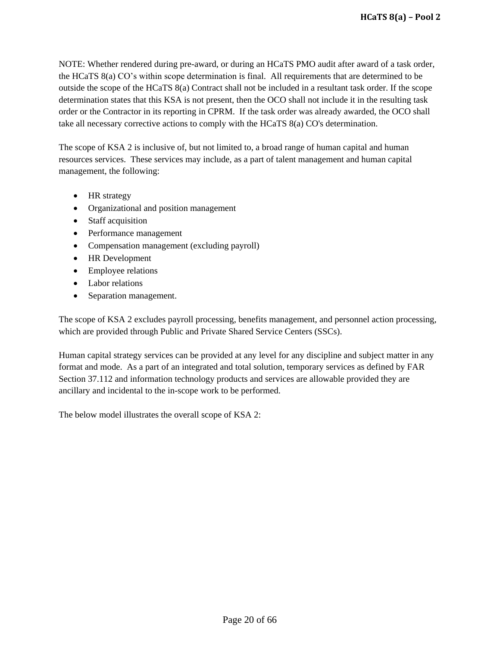NOTE: Whether rendered during pre-award, or during an HCaTS PMO audit after award of a task order, the HCaTS 8(a) CO's within scope determination is final. All requirements that are determined to be outside the scope of the HCaTS 8(a) Contract shall not be included in a resultant task order. If the scope determination states that this KSA is not present, then the OCO shall not include it in the resulting task order or the Contractor in its reporting in CPRM. If the task order was already awarded, the OCO shall take all necessary corrective actions to comply with the HCaTS 8(a) CO's determination.

The scope of KSA 2 is inclusive of, but not limited to, a broad range of human capital and human resources services. These services may include, as a part of talent management and human capital management, the following:

- HR strategy
- Organizational and position management
- Staff acquisition
- Performance management
- Compensation management (excluding payroll)
- HR Development
- Employee relations
- Labor relations
- Separation management.

The scope of KSA 2 excludes payroll processing, benefits management, and personnel action processing, which are provided through Public and Private Shared Service Centers (SSCs).

Human capital strategy services can be provided at any level for any discipline and subject matter in any format and mode. As a part of an integrated and total solution, temporary services as defined by FAR Section 37.112 and information technology products and services are allowable provided they are ancillary and incidental to the in-scope work to be performed.

The below model illustrates the overall scope of KSA 2: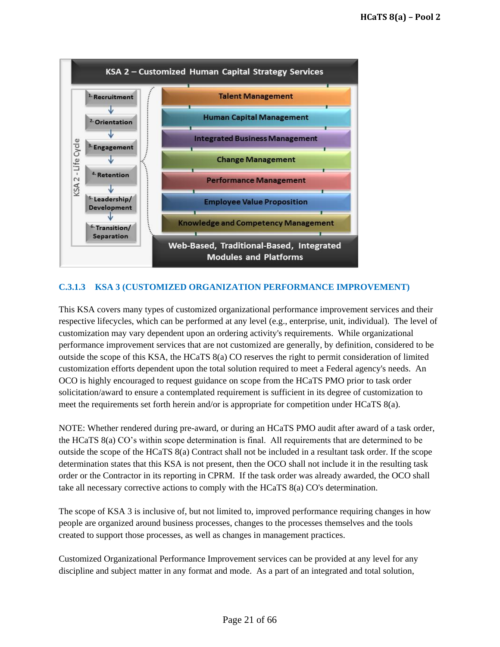

# **C.3.1.3 KSA 3 (CUSTOMIZED ORGANIZATION PERFORMANCE IMPROVEMENT)**

This KSA covers many types of customized organizational performance improvement services and their respective lifecycles, which can be performed at any level (e.g., enterprise, unit, individual). The level of customization may vary dependent upon an ordering activity's requirements. While organizational performance improvement services that are not customized are generally, by definition, considered to be outside the scope of this KSA, the HCaTS 8(a) CO reserves the right to permit consideration of limited customization efforts dependent upon the total solution required to meet a Federal agency's needs. An OCO is highly encouraged to request guidance on scope from the HCaTS PMO prior to task order solicitation/award to ensure a contemplated requirement is sufficient in its degree of customization to meet the requirements set forth herein and/or is appropriate for competition under HCaTS 8(a).

NOTE: Whether rendered during pre-award, or during an HCaTS PMO audit after award of a task order, the HCaTS 8(a) CO's within scope determination is final. All requirements that are determined to be outside the scope of the HCaTS 8(a) Contract shall not be included in a resultant task order. If the scope determination states that this KSA is not present, then the OCO shall not include it in the resulting task order or the Contractor in its reporting in CPRM. If the task order was already awarded, the OCO shall take all necessary corrective actions to comply with the HCaTS 8(a) CO's determination.

The scope of KSA 3 is inclusive of, but not limited to, improved performance requiring changes in how people are organized around business processes, changes to the processes themselves and the tools created to support those processes, as well as changes in management practices.

Customized Organizational Performance Improvement services can be provided at any level for any discipline and subject matter in any format and mode. As a part of an integrated and total solution,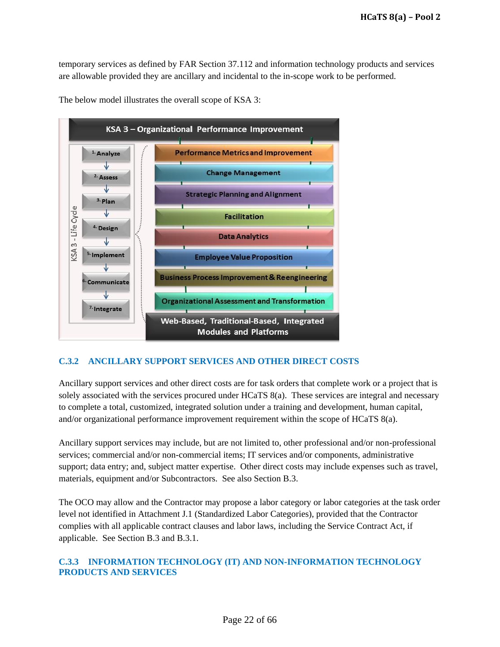temporary services as defined by FAR Section 37.112 and information technology products and services are allowable provided they are ancillary and incidental to the in-scope work to be performed.



The below model illustrates the overall scope of KSA 3:

# **C.3.2 ANCILLARY SUPPORT SERVICES AND OTHER DIRECT COSTS**

Ancillary support services and other direct costs are for task orders that complete work or a project that is solely associated with the services procured under HCaTS 8(a). These services are integral and necessary to complete a total, customized, integrated solution under a training and development, human capital, and/or organizational performance improvement requirement within the scope of HCaTS 8(a).

Ancillary support services may include, but are not limited to, other professional and/or non-professional services; commercial and/or non-commercial items; IT services and/or components, administrative support; data entry; and, subject matter expertise. Other direct costs may include expenses such as travel, materials, equipment and/or Subcontractors. See also Section B.3.

The OCO may allow and the Contractor may propose a labor category or labor categories at the task order level not identified in Attachment J.1 (Standardized Labor Categories), provided that the Contractor complies with all applicable contract clauses and labor laws, including the Service Contract Act, if applicable. See Section B.3 and B.3.1.

# **C.3.3 INFORMATION TECHNOLOGY (IT) AND NON-INFORMATION TECHNOLOGY PRODUCTS AND SERVICES**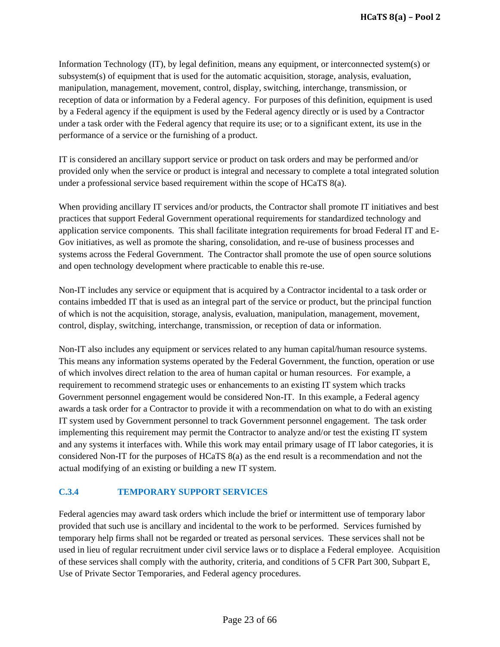Information Technology (IT), by legal definition, means any equipment, or interconnected system(s) or subsystem(s) of equipment that is used for the automatic acquisition, storage, analysis, evaluation, manipulation, management, movement, control, display, switching, interchange, transmission, or reception of data or information by a Federal agency. For purposes of this definition, equipment is used by a Federal agency if the equipment is used by the Federal agency directly or is used by a Contractor under a task order with the Federal agency that require its use; or to a significant extent, its use in the performance of a service or the furnishing of a product.

IT is considered an ancillary support service or product on task orders and may be performed and/or provided only when the service or product is integral and necessary to complete a total integrated solution under a professional service based requirement within the scope of HCaTS 8(a).

When providing ancillary IT services and/or products, the Contractor shall promote IT initiatives and best practices that support Federal Government operational requirements for standardized technology and application service components. This shall facilitate integration requirements for broad Federal IT and E-Gov initiatives, as well as promote the sharing, consolidation, and re-use of business processes and systems across the Federal Government. The Contractor shall promote the use of open source solutions and open technology development where practicable to enable this re-use.

Non-IT includes any service or equipment that is acquired by a Contractor incidental to a task order or contains imbedded IT that is used as an integral part of the service or product, but the principal function of which is not the acquisition, storage, analysis, evaluation, manipulation, management, movement, control, display, switching, interchange, transmission, or reception of data or information.

Non-IT also includes any equipment or services related to any human capital/human resource systems. This means any information systems operated by the Federal Government, the function, operation or use of which involves direct relation to the area of human capital or human resources. For example, a requirement to recommend strategic uses or enhancements to an existing IT system which tracks Government personnel engagement would be considered Non-IT. In this example, a Federal agency awards a task order for a Contractor to provide it with a recommendation on what to do with an existing IT system used by Government personnel to track Government personnel engagement. The task order implementing this requirement may permit the Contractor to analyze and/or test the existing IT system and any systems it interfaces with. While this work may entail primary usage of IT labor categories, it is considered Non-IT for the purposes of HCaTS 8(a) as the end result is a recommendation and not the actual modifying of an existing or building a new IT system.

# **C.3.4 TEMPORARY SUPPORT SERVICES**

Federal agencies may award task orders which include the brief or intermittent use of temporary labor provided that such use is ancillary and incidental to the work to be performed. Services furnished by temporary help firms shall not be regarded or treated as personal services. These services shall not be used in lieu of regular recruitment under civil service laws or to displace a Federal employee. Acquisition of these services shall comply with the authority, criteria, and conditions of 5 CFR Part 300, Subpart E, Use of Private Sector Temporaries, and Federal agency procedures.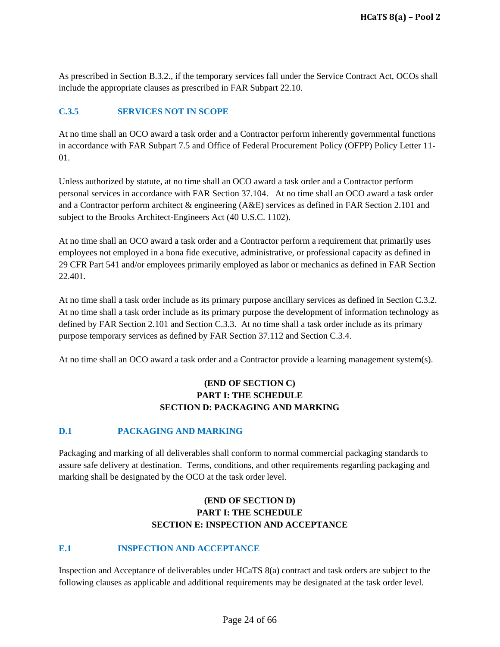As prescribed in Section B.3.2., if the temporary services fall under the Service Contract Act, OCOs shall include the appropriate clauses as prescribed in FAR Subpart 22.10.

# **C.3.5 SERVICES NOT IN SCOPE**

At no time shall an OCO award a task order and a Contractor perform inherently governmental functions in accordance with FAR Subpart 7.5 and Office of Federal Procurement Policy (OFPP) Policy Letter 11- 01.

Unless authorized by statute, at no time shall an OCO award a task order and a Contractor perform personal services in accordance with FAR Section 37.104. At no time shall an OCO award a task order and a Contractor perform architect & engineering (A&E) services as defined in FAR Section 2.101 and subject to the Brooks Architect-Engineers Act (40 U.S.C. 1102).

At no time shall an OCO award a task order and a Contractor perform a requirement that primarily uses employees not employed in a bona fide executive, administrative, or professional capacity as defined in 29 CFR Part 541 and/or employees primarily employed as labor or mechanics as defined in FAR Section 22.401.

At no time shall a task order include as its primary purpose ancillary services as defined in Section C.3.2. At no time shall a task order include as its primary purpose the development of information technology as defined by FAR Section 2.101 and Section C.3.3. At no time shall a task order include as its primary purpose temporary services as defined by FAR Section 37.112 and Section C.3.4.

At no time shall an OCO award a task order and a Contractor provide a learning management system(s).

# **(END OF SECTION C) PART I: THE SCHEDULE SECTION D: PACKAGING AND MARKING**

#### **D.1 PACKAGING AND MARKING**

Packaging and marking of all deliverables shall conform to normal commercial packaging standards to assure safe delivery at destination. Terms, conditions, and other requirements regarding packaging and marking shall be designated by the OCO at the task order level.

# **(END OF SECTION D) PART I: THE SCHEDULE SECTION E: INSPECTION AND ACCEPTANCE**

# **E.1 INSPECTION AND ACCEPTANCE**

Inspection and Acceptance of deliverables under HCaTS 8(a) contract and task orders are subject to the following clauses as applicable and additional requirements may be designated at the task order level.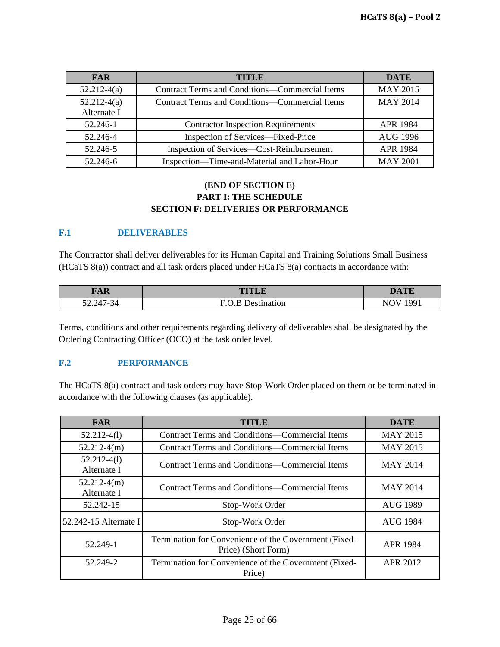| <b>FAR</b>                     | <b>TITLE</b>                                          | <b>DATE</b>     |
|--------------------------------|-------------------------------------------------------|-----------------|
| $52.212 - 4(a)$                | <b>Contract Terms and Conditions—Commercial Items</b> | <b>MAY 2015</b> |
| $52.212 - 4(a)$<br>Alternate I | <b>Contract Terms and Conditions—Commercial Items</b> |                 |
| 52.246-1                       | <b>Contractor Inspection Requirements</b>             | <b>APR 1984</b> |
| 52.246-4                       | Inspection of Services—Fixed-Price                    | <b>AUG 1996</b> |
| 52.246-5                       | Inspection of Services—Cost-Reimbursement             | APR 1984        |
| 52.246-6                       | Inspection-Time-and-Material and Labor-Hour           | <b>MAY 2001</b> |

# **(END OF SECTION E) PART I: THE SCHEDULE SECTION F: DELIVERIES OR PERFORMANCE**

## **F.1 DELIVERABLES**

The Contractor shall deliver deliverables for its Human Capital and Training Solutions Small Business (HCaTS 8(a)) contract and all task orders placed under HCaTS 8(a) contracts in accordance with:

| <b>FAR</b> |                          | $T^*$ |
|------------|--------------------------|-------|
| 247-34     | $\mathbf{P}$<br>ion<br>- | QQ1   |

Terms, conditions and other requirements regarding delivery of deliverables shall be designated by the Ordering Contracting Officer (OCO) at the task order level.

# **F.2 PERFORMANCE**

The HCaTS 8(a) contract and task orders may have Stop-Work Order placed on them or be terminated in accordance with the following clauses (as applicable).

| <b>FAR</b>                     | <b>TITLE</b>                                                                 | <b>DATE</b>     |
|--------------------------------|------------------------------------------------------------------------------|-----------------|
| $52.212 - 4(1)$                | <b>Contract Terms and Conditions—Commercial Items</b>                        | <b>MAY 2015</b> |
| $52.212-4(m)$                  | Contract Terms and Conditions—Commercial Items                               | <b>MAY 2015</b> |
| $52.212 - 4(1)$<br>Alternate I | Contract Terms and Conditions—Commercial Items                               | <b>MAY 2014</b> |
| $52.212-4(m)$<br>Alternate I   | Contract Terms and Conditions—Commercial Items                               | <b>MAY 2014</b> |
| 52.242-15<br>Stop-Work Order   |                                                                              | <b>AUG 1989</b> |
| 52.242-15 Alternate I          | Stop-Work Order                                                              |                 |
| 52.249-1                       | Termination for Convenience of the Government (Fixed-<br>Price) (Short Form) | <b>APR 1984</b> |
| 52.249-2                       | Termination for Convenience of the Government (Fixed-<br>Price)              | APR 2012        |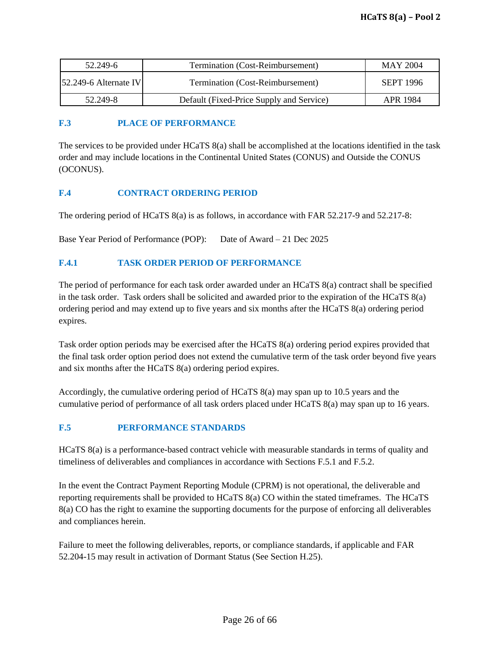| 52.249-6                | Termination (Cost-Reimbursement)         | MAY 2004  |
|-------------------------|------------------------------------------|-----------|
| $52.249-6$ Alternate IV | Termination (Cost-Reimbursement)         | SEPT 1996 |
| 52.249-8                | Default (Fixed-Price Supply and Service) | APR 1984  |

## **F.3 PLACE OF PERFORMANCE**

The services to be provided under HCaTS 8(a) shall be accomplished at the locations identified in the task order and may include locations in the Continental United States (CONUS) and Outside the CONUS (OCONUS).

## **F.4 CONTRACT ORDERING PERIOD**

The ordering period of HCaTS 8(a) is as follows, in accordance with FAR 52.217-9 and 52.217-8:

Base Year Period of Performance (POP): Date of Award – 21 Dec 2025

# **F.4.1 TASK ORDER PERIOD OF PERFORMANCE**

The period of performance for each task order awarded under an HCaTS 8(a) contract shall be specified in the task order. Task orders shall be solicited and awarded prior to the expiration of the HCaTS 8(a) ordering period and may extend up to five years and six months after the HCaTS 8(a) ordering period expires.

Task order option periods may be exercised after the HCaTS 8(a) ordering period expires provided that the final task order option period does not extend the cumulative term of the task order beyond five years and six months after the HCaTS 8(a) ordering period expires.

Accordingly, the cumulative ordering period of HCaTS 8(a) may span up to 10.5 years and the cumulative period of performance of all task orders placed under HCaTS 8(a) may span up to 16 years.

#### **F.5 PERFORMANCE STANDARDS**

HCaTS 8(a) is a performance-based contract vehicle with measurable standards in terms of quality and timeliness of deliverables and compliances in accordance with Sections F.5.1 and F.5.2.

In the event the Contract Payment Reporting Module (CPRM) is not operational, the deliverable and reporting requirements shall be provided to HCaTS 8(a) CO within the stated timeframes. The HCaTS 8(a) CO has the right to examine the supporting documents for the purpose of enforcing all deliverables and compliances herein.

Failure to meet the following deliverables, reports, or compliance standards, if applicable and FAR 52.204-15 may result in activation of Dormant Status (See Section H.25).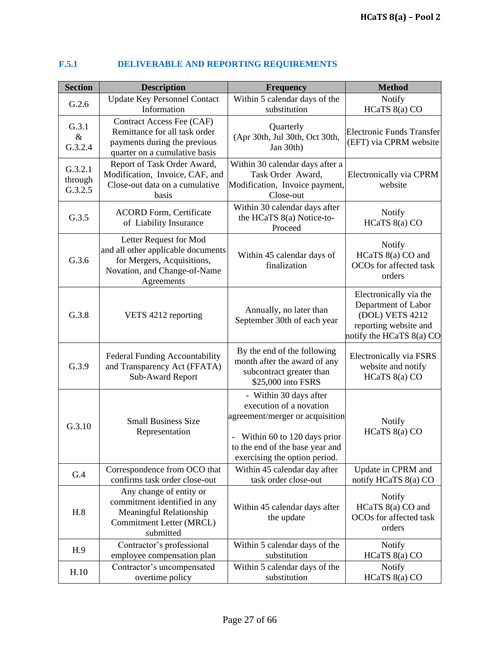| <b>Section</b>                | <b>Description</b>                                                                                                                       | <b>Frequency</b>                                                                                                                                                                        | <b>Method</b>                                                                                                         |
|-------------------------------|------------------------------------------------------------------------------------------------------------------------------------------|-----------------------------------------------------------------------------------------------------------------------------------------------------------------------------------------|-----------------------------------------------------------------------------------------------------------------------|
| G.2.6                         | <b>Update Key Personnel Contact</b><br>Information                                                                                       | Within 5 calendar days of the<br>substitution                                                                                                                                           | Notify<br>HCaTS 8(a) CO                                                                                               |
| G.3.1<br>$\&$<br>G.3.2.4      | Contract Access Fee (CAF)<br>Remittance for all task order<br>payments during the previous<br>quarter on a cumulative basis              | Quarterly<br>(Apr 30th, Jul 30th, Oct 30th,<br>Jan 30th)                                                                                                                                | <b>Electronic Funds Transfer</b><br>(EFT) via CPRM website                                                            |
| G.3.2.1<br>through<br>G.3.2.5 | Report of Task Order Award,<br>Modification, Invoice, CAF, and<br>Close-out data on a cumulative<br>basis                                | Within 30 calendar days after a<br>Task Order Award,<br>Modification, Invoice payment,<br>Close-out                                                                                     | Electronically via CPRM<br>website                                                                                    |
| G.3.5                         | <b>ACORD Form, Certificate</b><br>of Liability Insurance                                                                                 | Within 30 calendar days after<br>the HCaTS 8(a) Notice-to-<br>Proceed                                                                                                                   | Notify<br>HCaTS 8(a) CO                                                                                               |
| G.3.6                         | Letter Request for Mod<br>and all other applicable documents<br>for Mergers, Acquisitions,<br>Novation, and Change-of-Name<br>Agreements | Within 45 calendar days of<br>finalization                                                                                                                                              | Notify<br>HCaTS 8(a) CO and<br>OCOs for affected task<br>orders                                                       |
| G.3.8                         | VETS 4212 reporting                                                                                                                      | Annually, no later than<br>September 30th of each year                                                                                                                                  | Electronically via the<br>Department of Labor<br>(DOL) VETS 4212<br>reporting website and<br>notify the HCaTS 8(a) CO |
| G.3.9                         | Federal Funding Accountability<br>and Transparency Act (FFATA)<br>Sub-Award Report                                                       | By the end of the following<br>month after the award of any<br>subcontract greater than<br>\$25,000 into FSRS                                                                           | Electronically via FSRS<br>website and notify<br>HCaTS 8(a) CO                                                        |
| G.3.10                        | <b>Small Business Size</b><br>Representation                                                                                             | - Within 30 days after<br>execution of a novation<br>agreement/merger or acquisition<br>Within 60 to 120 days prior<br>to the end of the base year and<br>exercising the option period. | Notify<br>HCaTS 8(a) CO                                                                                               |
| G.4                           | Correspondence from OCO that<br>confirms task order close-out                                                                            | Within 45 calendar day after<br>task order close-out                                                                                                                                    | Update in CPRM and<br>notify HCaTS 8(a) CO                                                                            |
| H.8                           | Any change of entity or<br>commitment identified in any<br>Meaningful Relationship<br>Commitment Letter (MRCL)<br>submitted              | Within 45 calendar days after<br>the update                                                                                                                                             | Notify<br>HCaTS 8(a) CO and<br>OCOs for affected task<br>orders                                                       |
| H.9                           | Contractor's professional<br>employee compensation plan                                                                                  | Within 5 calendar days of the<br>substitution                                                                                                                                           | <b>Notify</b><br>HCaTS 8(a) CO                                                                                        |
| H.10                          | Contractor's uncompensated<br>overtime policy                                                                                            | Within 5 calendar days of the<br>substitution                                                                                                                                           | <b>Notify</b><br>HCaTS 8(a) CO                                                                                        |

# **F.5.1 DELIVERABLE AND REPORTING REQUIREMENTS**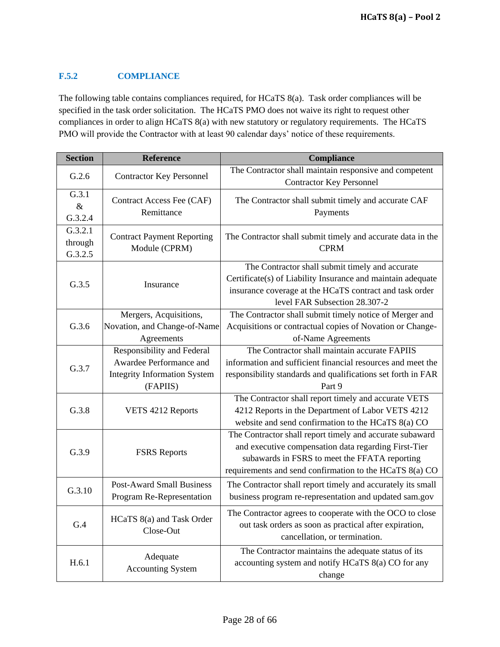# **F.5.2 COMPLIANCE**

The following table contains compliances required, for HCaTS 8(a). Task order compliances will be specified in the task order solicitation. The HCaTS PMO does not waive its right to request other compliances in order to align HCaTS 8(a) with new statutory or regulatory requirements. The HCaTS PMO will provide the Contractor with at least 90 calendar days' notice of these requirements.

| <b>Section</b>                             | <b>Reference</b>                                                                                         | Compliance                                                                                                                                                                                                                   |
|--------------------------------------------|----------------------------------------------------------------------------------------------------------|------------------------------------------------------------------------------------------------------------------------------------------------------------------------------------------------------------------------------|
| G.2.6                                      | <b>Contractor Key Personnel</b>                                                                          | The Contractor shall maintain responsive and competent<br><b>Contractor Key Personnel</b>                                                                                                                                    |
| G.3.1<br>$\&$<br>G.3.2.4                   | Contract Access Fee (CAF)<br>Remittance                                                                  | The Contractor shall submit timely and accurate CAF<br>Payments                                                                                                                                                              |
| $\overline{G}.3.2.1$<br>through<br>G.3.2.5 | <b>Contract Payment Reporting</b><br>Module (CPRM)                                                       | The Contractor shall submit timely and accurate data in the<br><b>CPRM</b>                                                                                                                                                   |
| G.3.5                                      | Insurance                                                                                                | The Contractor shall submit timely and accurate<br>Certificate(s) of Liability Insurance and maintain adequate<br>insurance coverage at the HCaTS contract and task order<br>level FAR Subsection 28.307-2                   |
| G.3.6                                      | Mergers, Acquisitions,<br>Novation, and Change-of-Name<br>Agreements                                     | The Contractor shall submit timely notice of Merger and<br>Acquisitions or contractual copies of Novation or Change-<br>of-Name Agreements                                                                                   |
| G.3.7                                      | Responsibility and Federal<br>Awardee Performance and<br><b>Integrity Information System</b><br>(FAPIIS) | The Contractor shall maintain accurate FAPIIS<br>information and sufficient financial resources and meet the<br>responsibility standards and qualifications set forth in FAR<br>Part 9                                       |
| G.3.8                                      | VETS 4212 Reports                                                                                        | The Contractor shall report timely and accurate VETS<br>4212 Reports in the Department of Labor VETS 4212<br>website and send confirmation to the HCaTS 8(a) CO                                                              |
| G.3.9                                      | <b>FSRS</b> Reports                                                                                      | The Contractor shall report timely and accurate subaward<br>and executive compensation data regarding First-Tier<br>subawards in FSRS to meet the FFATA reporting<br>requirements and send confirmation to the HCaTS 8(a) CO |
| G.3.10                                     | <b>Post-Award Small Business</b><br>Program Re-Representation                                            | The Contractor shall report timely and accurately its small<br>business program re-representation and updated sam.gov                                                                                                        |
| G.4                                        | HCaTS 8(a) and Task Order<br>Close-Out                                                                   | The Contractor agrees to cooperate with the OCO to close<br>out task orders as soon as practical after expiration,<br>cancellation, or termination.                                                                          |
| H.6.1                                      | Adequate<br><b>Accounting System</b>                                                                     | The Contractor maintains the adequate status of its<br>accounting system and notify HCaTS 8(a) CO for any<br>change                                                                                                          |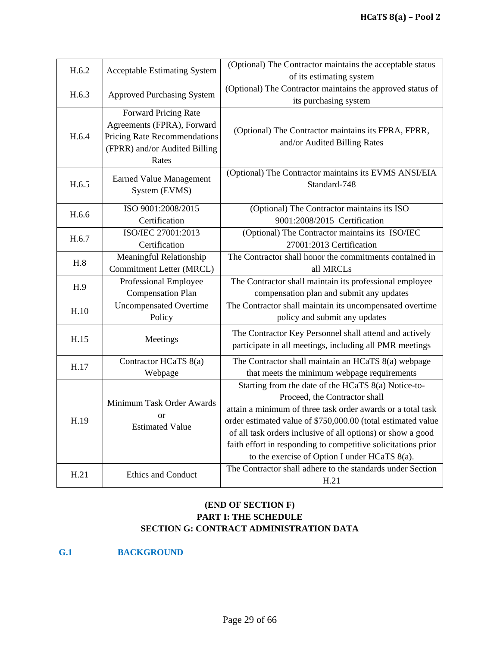| H.6.2 |                                                                                                                                     | (Optional) The Contractor maintains the acceptable status                                                                                                                                                                                                                                                                                                                                            |
|-------|-------------------------------------------------------------------------------------------------------------------------------------|------------------------------------------------------------------------------------------------------------------------------------------------------------------------------------------------------------------------------------------------------------------------------------------------------------------------------------------------------------------------------------------------------|
|       | <b>Acceptable Estimating System</b>                                                                                                 | of its estimating system                                                                                                                                                                                                                                                                                                                                                                             |
|       |                                                                                                                                     | (Optional) The Contractor maintains the approved status of                                                                                                                                                                                                                                                                                                                                           |
| H.6.3 | <b>Approved Purchasing System</b>                                                                                                   | its purchasing system                                                                                                                                                                                                                                                                                                                                                                                |
| H.6.4 | Forward Pricing Rate<br>Agreements (FPRA), Forward<br><b>Pricing Rate Recommendations</b><br>(FPRR) and/or Audited Billing<br>Rates | (Optional) The Contractor maintains its FPRA, FPRR,<br>and/or Audited Billing Rates                                                                                                                                                                                                                                                                                                                  |
| H.6.5 | <b>Earned Value Management</b><br>System (EVMS)                                                                                     | (Optional) The Contractor maintains its EVMS ANSI/EIA<br>Standard-748                                                                                                                                                                                                                                                                                                                                |
| H.6.6 | ISO 9001:2008/2015                                                                                                                  | (Optional) The Contractor maintains its ISO                                                                                                                                                                                                                                                                                                                                                          |
|       | Certification                                                                                                                       | 9001:2008/2015 Certification                                                                                                                                                                                                                                                                                                                                                                         |
| H.6.7 | ISO/IEC 27001:2013                                                                                                                  | (Optional) The Contractor maintains its ISO/IEC                                                                                                                                                                                                                                                                                                                                                      |
|       | Certification                                                                                                                       | 27001:2013 Certification                                                                                                                                                                                                                                                                                                                                                                             |
| H.8   | Meaningful Relationship                                                                                                             | The Contractor shall honor the commitments contained in                                                                                                                                                                                                                                                                                                                                              |
|       | Commitment Letter (MRCL)                                                                                                            | all MRCLs                                                                                                                                                                                                                                                                                                                                                                                            |
| H.9   | Professional Employee                                                                                                               | The Contractor shall maintain its professional employee                                                                                                                                                                                                                                                                                                                                              |
|       | <b>Compensation Plan</b>                                                                                                            | compensation plan and submit any updates                                                                                                                                                                                                                                                                                                                                                             |
| H.10  | <b>Uncompensated Overtime</b>                                                                                                       | The Contractor shall maintain its uncompensated overtime                                                                                                                                                                                                                                                                                                                                             |
|       | Policy                                                                                                                              | policy and submit any updates                                                                                                                                                                                                                                                                                                                                                                        |
| H.15  | Meetings                                                                                                                            | The Contractor Key Personnel shall attend and actively<br>participate in all meetings, including all PMR meetings                                                                                                                                                                                                                                                                                    |
| H.17  | Contractor HCaTS 8(a)                                                                                                               | The Contractor shall maintain an HCaTS 8(a) webpage                                                                                                                                                                                                                                                                                                                                                  |
|       | Webpage                                                                                                                             | that meets the minimum webpage requirements                                                                                                                                                                                                                                                                                                                                                          |
| H.19  | Minimum Task Order Awards<br>Ωr<br><b>Estimated Value</b>                                                                           | Starting from the date of the HCaTS 8(a) Notice-to-<br>Proceed, the Contractor shall<br>attain a minimum of three task order awards or a total task<br>order estimated value of \$750,000.00 (total estimated value<br>of all task orders inclusive of all options) or show a good<br>faith effort in responding to competitive solicitations prior<br>to the exercise of Option I under HCaTS 8(a). |
| H.21  | <b>Ethics and Conduct</b>                                                                                                           | The Contractor shall adhere to the standards under Section<br>H.21                                                                                                                                                                                                                                                                                                                                   |

# **(END OF SECTION F) PART I: THE SCHEDULE SECTION G: CONTRACT ADMINISTRATION DATA**

**G.1 BACKGROUND**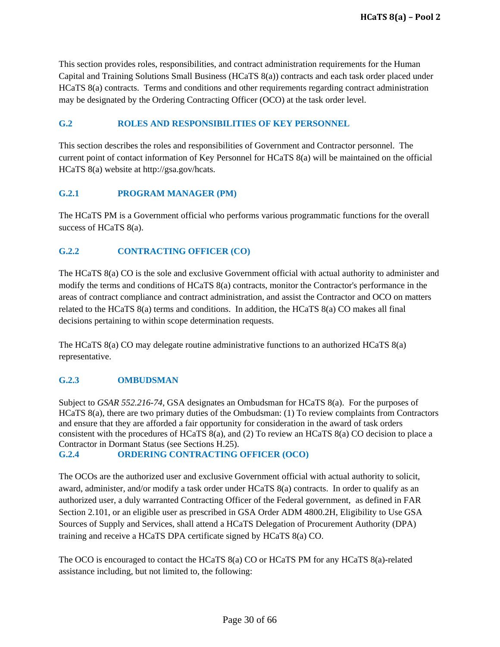This section provides roles, responsibilities, and contract administration requirements for the Human Capital and Training Solutions Small Business (HCaTS 8(a)) contracts and each task order placed under HCaTS 8(a) contracts. Terms and conditions and other requirements regarding contract administration may be designated by the Ordering Contracting Officer (OCO) at the task order level.

# **G.2 ROLES AND RESPONSIBILITIES OF KEY PERSONNEL**

This section describes the roles and responsibilities of Government and Contractor personnel. The current point of contact information of Key Personnel for HCaTS 8(a) will be maintained on the official HCaTS 8(a) website at http://gsa.gov/hcats.

# **G.2.1 PROGRAM MANAGER (PM)**

The HCaTS PM is a Government official who performs various programmatic functions for the overall success of HCaTS 8(a).

# **G.2.2 CONTRACTING OFFICER (CO)**

The HCaTS 8(a) CO is the sole and exclusive Government official with actual authority to administer and modify the terms and conditions of HCaTS 8(a) contracts, monitor the Contractor's performance in the areas of contract compliance and contract administration, and assist the Contractor and OCO on matters related to the HCaTS 8(a) terms and conditions. In addition, the HCaTS 8(a) CO makes all final decisions pertaining to within scope determination requests.

The HCaTS 8(a) CO may delegate routine administrative functions to an authorized HCaTS 8(a) representative.

# **G.2.3 OMBUDSMAN**

Subject to *GSAR 552.216-74*, GSA designates an Ombudsman for HCaTS 8(a).For the purposes of HCaTS 8(a), there are two primary duties of the Ombudsman: (1) To review complaints from Contractors and ensure that they are afforded a fair opportunity for consideration in the award of task orders consistent with the procedures of HCaTS 8(a), and (2) To review an HCaTS 8(a) CO decision to place a Contractor in Dormant Status (see Sections H.25).

**G.2.4 ORDERING CONTRACTING OFFICER (OCO)**

The OCOs are the authorized user and exclusive Government official with actual authority to solicit, award, administer, and/or modify a task order under HCaTS 8(a) contracts. In order to qualify as an authorized user, a duly warranted Contracting Officer of the Federal government, as defined in FAR Section 2.101, or an eligible user as prescribed in GSA Order ADM 4800.2H, Eligibility to Use GSA Sources of Supply and Services, shall attend a HCaTS Delegation of Procurement Authority (DPA) training and receive a HCaTS DPA certificate signed by HCaTS 8(a) CO.

The OCO is encouraged to contact the HCaTS 8(a) CO or HCaTS PM for any HCaTS 8(a)-related assistance including, but not limited to, the following: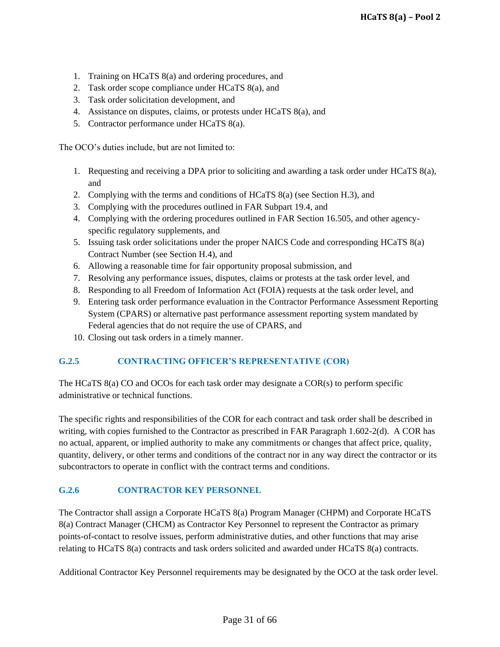- 1. Training on HCaTS 8(a) and ordering procedures, and
- 2. Task order scope compliance under HCaTS 8(a), and
- 3. Task order solicitation development, and
- 4. Assistance on disputes, claims, or protests under HCaTS 8(a), and
- 5. Contractor performance under HCaTS 8(a).

The OCO's duties include, but are not limited to:

- 1. Requesting and receiving a DPA prior to soliciting and awarding a task order under HCaTS 8(a), and
- 2. Complying with the terms and conditions of HCaTS 8(a) (see Section H.3), and
- 3. Complying with the procedures outlined in FAR Subpart 19.4, and
- 4. Complying with the ordering procedures outlined in FAR Section 16.505, and other agencyspecific regulatory supplements, and
- 5. Issuing task order solicitations under the proper NAICS Code and corresponding HCaTS 8(a) Contract Number (see Section H.4), and
- 6. Allowing a reasonable time for fair opportunity proposal submission, and
- 7. Resolving any performance issues, disputes, claims or protests at the task order level, and
- 8. Responding to all Freedom of Information Act (FOIA) requests at the task order level, and
- 9. Entering task order performance evaluation in the Contractor Performance Assessment Reporting System (CPARS) or alternative past performance assessment reporting system mandated by Federal agencies that do not require the use of CPARS, and
- 10. Closing out task orders in a timely manner.

# **G.2.5 CONTRACTING OFFICER'S REPRESENTATIVE (COR)**

The HCaTS 8(a) CO and OCOs for each task order may designate a COR(s) to perform specific administrative or technical functions.

The specific rights and responsibilities of the COR for each contract and task order shall be described in writing, with copies furnished to the Contractor as prescribed in FAR Paragraph 1.602-2(d). A COR has no actual, apparent, or implied authority to make any commitments or changes that affect price, quality, quantity, delivery, or other terms and conditions of the contract nor in any way direct the contractor or its subcontractors to operate in conflict with the contract terms and conditions.

# **G.2.6 CONTRACTOR KEY PERSONNEL**

The Contractor shall assign a Corporate HCaTS 8(a) Program Manager (CHPM) and Corporate HCaTS 8(a) Contract Manager (CHCM) as Contractor Key Personnel to represent the Contractor as primary points-of-contact to resolve issues, perform administrative duties, and other functions that may arise relating to HCaTS 8(a) contracts and task orders solicited and awarded under HCaTS 8(a) contracts.

Additional Contractor Key Personnel requirements may be designated by the OCO at the task order level.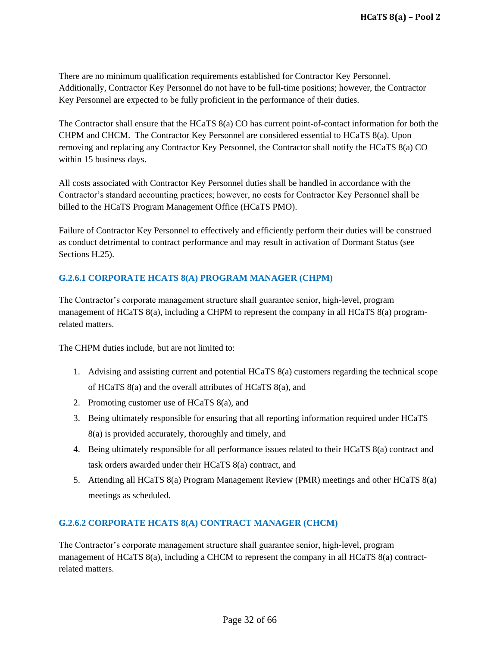There are no minimum qualification requirements established for Contractor Key Personnel. Additionally, Contractor Key Personnel do not have to be full-time positions; however, the Contractor Key Personnel are expected to be fully proficient in the performance of their duties.

The Contractor shall ensure that the HCaTS 8(a) CO has current point-of-contact information for both the CHPM and CHCM. The Contractor Key Personnel are considered essential to HCaTS 8(a). Upon removing and replacing any Contractor Key Personnel, the Contractor shall notify the HCaTS 8(a) CO within 15 business days.

All costs associated with Contractor Key Personnel duties shall be handled in accordance with the Contractor's standard accounting practices; however, no costs for Contractor Key Personnel shall be billed to the HCaTS Program Management Office (HCaTS PMO).

Failure of Contractor Key Personnel to effectively and efficiently perform their duties will be construed as conduct detrimental to contract performance and may result in activation of Dormant Status (see Sections H.25).

# **G.2.6.1 CORPORATE HCATS 8(A) PROGRAM MANAGER (CHPM)**

The Contractor's corporate management structure shall guarantee senior, high-level, program management of HCaTS 8(a), including a CHPM to represent the company in all HCaTS 8(a) programrelated matters.

The CHPM duties include, but are not limited to:

- 1. Advising and assisting current and potential HCaTS 8(a) customers regarding the technical scope of HCaTS 8(a) and the overall attributes of HCaTS 8(a), and
- 2. Promoting customer use of HCaTS 8(a), and
- 3. Being ultimately responsible for ensuring that all reporting information required under HCaTS 8(a) is provided accurately, thoroughly and timely, and
- 4. Being ultimately responsible for all performance issues related to their HCaTS 8(a) contract and task orders awarded under their HCaTS 8(a) contract, and
- 5. Attending all HCaTS 8(a) Program Management Review (PMR) meetings and other HCaTS 8(a) meetings as scheduled.

# **G.2.6.2 CORPORATE HCATS 8(A) CONTRACT MANAGER (CHCM)**

The Contractor's corporate management structure shall guarantee senior, high-level, program management of HCaTS 8(a), including a CHCM to represent the company in all HCaTS 8(a) contractrelated matters.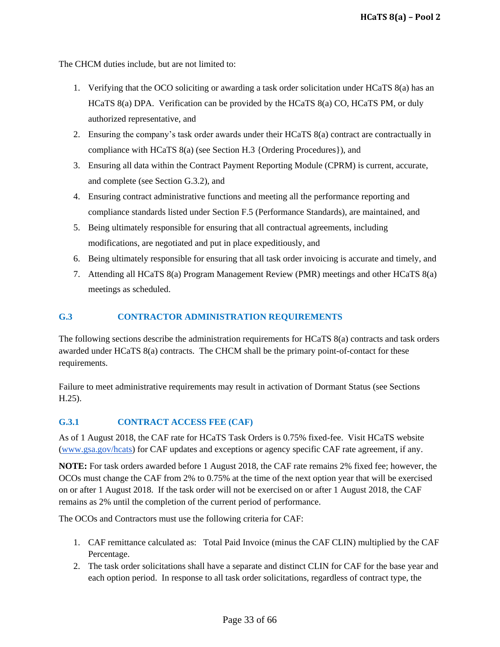The CHCM duties include, but are not limited to:

- 1. Verifying that the OCO soliciting or awarding a task order solicitation under HCaTS 8(a) has an HCaTS 8(a) DPA. Verification can be provided by the HCaTS 8(a) CO, HCaTS PM, or duly authorized representative, and
- 2. Ensuring the company's task order awards under their HCaTS 8(a) contract are contractually in compliance with HCaTS 8(a) (see Section H.3 {Ordering Procedures}), and
- 3. Ensuring all data within the Contract Payment Reporting Module (CPRM) is current, accurate, and complete (see Section G.3.2), and
- 4. Ensuring contract administrative functions and meeting all the performance reporting and compliance standards listed under Section F.5 (Performance Standards), are maintained, and
- 5. Being ultimately responsible for ensuring that all contractual agreements, including modifications, are negotiated and put in place expeditiously, and
- 6. Being ultimately responsible for ensuring that all task order invoicing is accurate and timely, and
- 7. Attending all HCaTS 8(a) Program Management Review (PMR) meetings and other HCaTS 8(a) meetings as scheduled.

# **G.3 CONTRACTOR ADMINISTRATION REQUIREMENTS**

The following sections describe the administration requirements for HCaTS 8(a) contracts and task orders awarded under HCaTS 8(a) contracts. The CHCM shall be the primary point-of-contact for these requirements.

Failure to meet administrative requirements may result in activation of Dormant Status (see Sections H.25).

# **G.3.1 CONTRACT ACCESS FEE (CAF)**

As of 1 August 2018, the CAF rate for HCaTS Task Orders is 0.75% fixed-fee. Visit HCaTS website (www.gsa.gov/hcats) for CAF updates and exceptions or agency specific CAF rate agreement, if any.

**NOTE:** For task orders awarded before 1 August 2018, the CAF rate remains 2% fixed fee; however, the OCOs must change the CAF from 2% to 0.75% at the time of the next option year that will be exercised on or after 1 August 2018. If the task order will not be exercised on or after 1 August 2018, the CAF remains as 2% until the completion of the current period of performance.

The OCOs and Contractors must use the following criteria for CAF:

- 1. CAF remittance calculated as: Total Paid Invoice (minus the CAF CLIN) multiplied by the CAF Percentage.
- 2. The task order solicitations shall have a separate and distinct CLIN for CAF for the base year and each option period. In response to all task order solicitations, regardless of contract type, the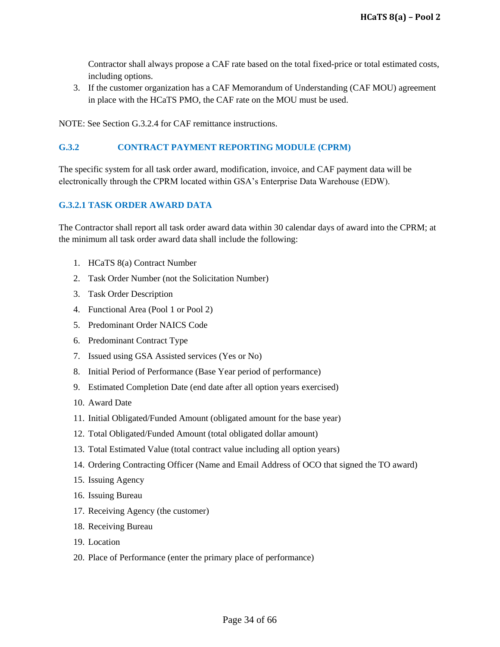Contractor shall always propose a CAF rate based on the total fixed-price or total estimated costs, including options.

3. If the customer organization has a CAF Memorandum of Understanding (CAF MOU) agreement in place with the HCaTS PMO, the CAF rate on the MOU must be used.

NOTE: See Section G.3.2.4 for CAF remittance instructions.

#### **G.3.2 CONTRACT PAYMENT REPORTING MODULE (CPRM)**

The specific system for all task order award, modification, invoice, and CAF payment data will be electronically through the CPRM located within GSA's Enterprise Data Warehouse (EDW).

#### **G.3.2.1 TASK ORDER AWARD DATA**

The Contractor shall report all task order award data within 30 calendar days of award into the CPRM; at the minimum all task order award data shall include the following:

- 1. HCaTS 8(a) Contract Number
- 2. Task Order Number (not the Solicitation Number)
- 3. Task Order Description
- 4. Functional Area (Pool 1 or Pool 2)
- 5. Predominant Order NAICS Code
- 6. Predominant Contract Type
- 7. Issued using GSA Assisted services (Yes or No)
- 8. Initial Period of Performance (Base Year period of performance)
- 9. Estimated Completion Date (end date after all option years exercised)
- 10. Award Date
- 11. Initial Obligated/Funded Amount (obligated amount for the base year)
- 12. Total Obligated/Funded Amount (total obligated dollar amount)
- 13. Total Estimated Value (total contract value including all option years)
- 14. Ordering Contracting Officer (Name and Email Address of OCO that signed the TO award)
- 15. Issuing Agency
- 16. Issuing Bureau
- 17. Receiving Agency (the customer)
- 18. Receiving Bureau
- 19. Location
- 20. Place of Performance (enter the primary place of performance)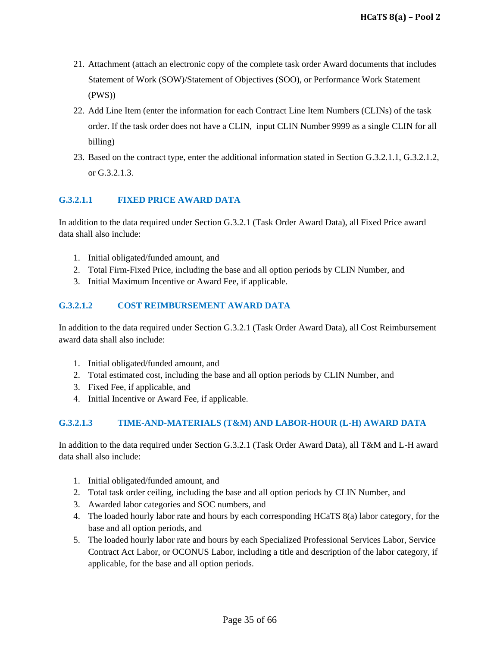- 21. Attachment (attach an electronic copy of the complete task order Award documents that includes Statement of Work (SOW)/Statement of Objectives (SOO), or Performance Work Statement (PWS))
- 22. Add Line Item (enter the information for each Contract Line Item Numbers (CLINs) of the task order. If the task order does not have a CLIN, input CLIN Number 9999 as a single CLIN for all billing)
- 23. Based on the contract type, enter the additional information stated in Section G.3.2.1.1, G.3.2.1.2, or G.3.2.1.3.

# **G.3.2.1.1 FIXED PRICE AWARD DATA**

In addition to the data required under Section G.3.2.1 (Task Order Award Data), all Fixed Price award data shall also include:

- 1. Initial obligated/funded amount, and
- 2. Total Firm-Fixed Price, including the base and all option periods by CLIN Number, and
- 3. Initial Maximum Incentive or Award Fee, if applicable.

# **G.3.2.1.2 COST REIMBURSEMENT AWARD DATA**

In addition to the data required under Section G.3.2.1 (Task Order Award Data), all Cost Reimbursement award data shall also include:

- 1. Initial obligated/funded amount, and
- 2. Total estimated cost, including the base and all option periods by CLIN Number, and
- 3. Fixed Fee, if applicable, and
- 4. Initial Incentive or Award Fee, if applicable.

# **G.3.2.1.3 TIME-AND-MATERIALS (T&M) AND LABOR-HOUR (L-H) AWARD DATA**

In addition to the data required under Section G.3.2.1 (Task Order Award Data), all T&M and L-H award data shall also include:

- 1. Initial obligated/funded amount, and
- 2. Total task order ceiling, including the base and all option periods by CLIN Number, and
- 3. Awarded labor categories and SOC numbers, and
- 4. The loaded hourly labor rate and hours by each corresponding HCaTS 8(a) labor category, for the base and all option periods, and
- 5. The loaded hourly labor rate and hours by each Specialized Professional Services Labor, Service Contract Act Labor, or OCONUS Labor, including a title and description of the labor category, if applicable, for the base and all option periods.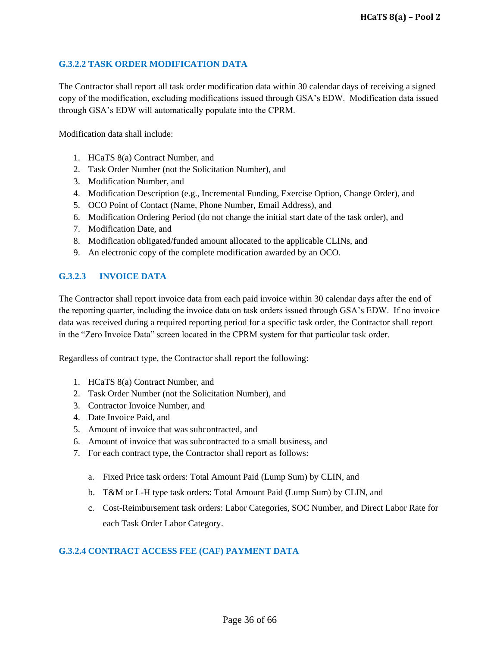## **G.3.2.2 TASK ORDER MODIFICATION DATA**

The Contractor shall report all task order modification data within 30 calendar days of receiving a signed copy of the modification, excluding modifications issued through GSA's EDW. Modification data issued through GSA's EDW will automatically populate into the CPRM.

Modification data shall include:

- 1. HCaTS 8(a) Contract Number, and
- 2. Task Order Number (not the Solicitation Number), and
- 3. Modification Number, and
- 4. Modification Description (e.g., Incremental Funding, Exercise Option, Change Order), and
- 5. OCO Point of Contact (Name, Phone Number, Email Address), and
- 6. Modification Ordering Period (do not change the initial start date of the task order), and
- 7. Modification Date, and
- 8. Modification obligated/funded amount allocated to the applicable CLINs, and
- 9. An electronic copy of the complete modification awarded by an OCO.

## **G.3.2.3 INVOICE DATA**

The Contractor shall report invoice data from each paid invoice within 30 calendar days after the end of the reporting quarter, including the invoice data on task orders issued through GSA's EDW. If no invoice data was received during a required reporting period for a specific task order, the Contractor shall report in the "Zero Invoice Data" screen located in the CPRM system for that particular task order.

Regardless of contract type, the Contractor shall report the following:

- 1. HCaTS 8(a) Contract Number, and
- 2. Task Order Number (not the Solicitation Number), and
- 3. Contractor Invoice Number, and
- 4. Date Invoice Paid, and
- 5. Amount of invoice that was subcontracted, and
- 6. Amount of invoice that was subcontracted to a small business, and
- 7. For each contract type, the Contractor shall report as follows:
	- a. Fixed Price task orders: Total Amount Paid (Lump Sum) by CLIN, and
	- b. T&M or L-H type task orders: Total Amount Paid (Lump Sum) by CLIN, and
	- c. Cost-Reimbursement task orders: Labor Categories, SOC Number, and Direct Labor Rate for each Task Order Labor Category.

# **G.3.2.4 CONTRACT ACCESS FEE (CAF) PAYMENT DATA**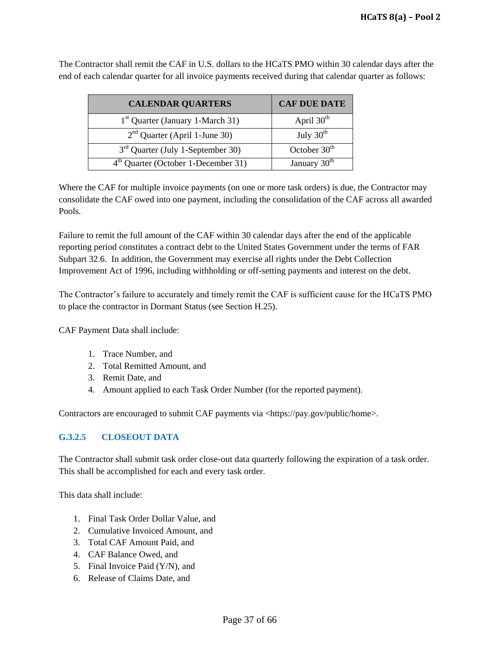| <b>CALENDAR QUARTERS</b>                        | <b>CAF DUE DATE</b> |
|-------------------------------------------------|---------------------|
| 1 <sup>st</sup> Quarter (January 1-March 31)    | April $30th$        |
| $2nd$ Quarter (April 1-June 30)                 | July $30th$         |
| $3rd$ Quarter (July 1-September 30)             | October $30th$      |
| 4 <sup>th</sup> Quarter (October 1-December 31) | January $30th$      |

The Contractor shall remit the CAF in U.S. dollars to the HCaTS PMO within 30 calendar days after the end of each calendar quarter for all invoice payments received during that calendar quarter as follows:

Where the CAF for multiple invoice payments (on one or more task orders) is due, the Contractor may consolidate the CAF owed into one payment, including the consolidation of the CAF across all awarded Pools.

Failure to remit the full amount of the CAF within 30 calendar days after the end of the applicable reporting period constitutes a contract debt to the United States Government under the terms of FAR Subpart 32.6. In addition, the Government may exercise all rights under the Debt Collection Improvement Act of 1996, including withholding or off-setting payments and interest on the debt.

The Contractor's failure to accurately and timely remit the CAF is sufficient cause for the HCaTS PMO to place the contractor in Dormant Status (see Section H.25).

CAF Payment Data shall include:

- 1. Trace Number, and
- 2. Total Remitted Amount, and
- 3. Remit Date, and
- 4. Amount applied to each Task Order Number (for the reported payment).

Contractors are encouraged to submit CAF payments via <https://pay.gov/public/home>.

# **G.3.2.5 CLOSEOUT DATA**

The Contractor shall submit task order close-out data quarterly following the expiration of a task order. This shall be accomplished for each and every task order.

This data shall include:

- 1. Final Task Order Dollar Value, and
- 2. Cumulative Invoiced Amount, and
- 3. Total CAF Amount Paid, and
- 4. CAF Balance Owed, and
- 5. Final Invoice Paid (Y/N), and
- 6. Release of Claims Date, and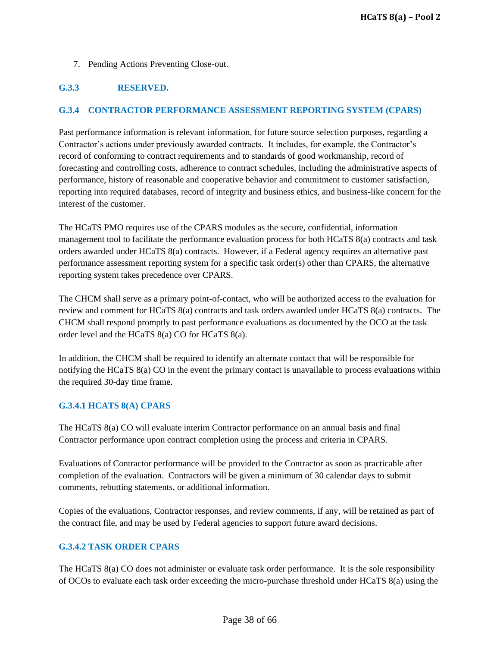7. Pending Actions Preventing Close-out.

# **G.3.3 RESERVED.**

## **G.3.4 CONTRACTOR PERFORMANCE ASSESSMENT REPORTING SYSTEM (CPARS)**

Past performance information is relevant information, for future source selection purposes, regarding a Contractor's actions under previously awarded contracts. It includes, for example, the Contractor's record of conforming to contract requirements and to standards of good workmanship, record of forecasting and controlling costs, adherence to contract schedules, including the administrative aspects of performance, history of reasonable and cooperative behavior and commitment to customer satisfaction, reporting into required databases, record of integrity and business ethics, and business-like concern for the interest of the customer.

The HCaTS PMO requires use of the CPARS modules as the secure, confidential, information management tool to facilitate the performance evaluation process for both HCaTS 8(a) contracts and task orders awarded under HCaTS 8(a) contracts. However, if a Federal agency requires an alternative past performance assessment reporting system for a specific task order(s) other than CPARS, the alternative reporting system takes precedence over CPARS.

The CHCM shall serve as a primary point-of-contact, who will be authorized access to the evaluation for review and comment for HCaTS 8(a) contracts and task orders awarded under HCaTS 8(a) contracts. The CHCM shall respond promptly to past performance evaluations as documented by the OCO at the task order level and the HCaTS 8(a) CO for HCaTS 8(a).

In addition, the CHCM shall be required to identify an alternate contact that will be responsible for notifying the HCaTS 8(a) CO in the event the primary contact is unavailable to process evaluations within the required 30-day time frame.

#### **G.3.4.1 HCATS 8(A) CPARS**

The HCaTS 8(a) CO will evaluate interim Contractor performance on an annual basis and final Contractor performance upon contract completion using the process and criteria in CPARS.

Evaluations of Contractor performance will be provided to the Contractor as soon as practicable after completion of the evaluation. Contractors will be given a minimum of 30 calendar days to submit comments, rebutting statements, or additional information.

Copies of the evaluations, Contractor responses, and review comments, if any, will be retained as part of the contract file, and may be used by Federal agencies to support future award decisions.

# **G.3.4.2 TASK ORDER CPARS**

The HCaTS 8(a) CO does not administer or evaluate task order performance. It is the sole responsibility of OCOs to evaluate each task order exceeding the micro-purchase threshold under HCaTS 8(a) using the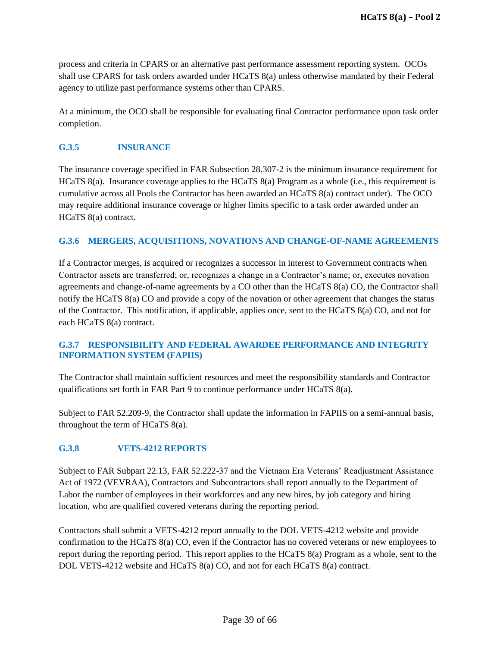process and criteria in CPARS or an alternative past performance assessment reporting system. OCOs shall use CPARS for task orders awarded under HCaTS 8(a) unless otherwise mandated by their Federal agency to utilize past performance systems other than CPARS.

At a minimum, the OCO shall be responsible for evaluating final Contractor performance upon task order completion.

## **G.3.5 INSURANCE**

The insurance coverage specified in FAR Subsection 28.307-2 is the minimum insurance requirement for HCaTS 8(a). Insurance coverage applies to the HCaTS 8(a) Program as a whole (i.e., this requirement is cumulative across all Pools the Contractor has been awarded an HCaTS 8(a) contract under). The OCO may require additional insurance coverage or higher limits specific to a task order awarded under an HCaTS 8(a) contract.

# **G.3.6 MERGERS, ACQUISITIONS, NOVATIONS AND CHANGE-OF-NAME AGREEMENTS**

If a Contractor merges, is acquired or recognizes a successor in interest to Government contracts when Contractor assets are transferred; or, recognizes a change in a Contractor's name; or, executes novation agreements and change-of-name agreements by a CO other than the HCaTS 8(a) CO, the Contractor shall notify the HCaTS 8(a) CO and provide a copy of the novation or other agreement that changes the status of the Contractor. This notification, if applicable, applies once, sent to the HCaTS 8(a) CO, and not for each HCaTS 8(a) contract.

## **G.3.7 RESPONSIBILITY AND FEDERAL AWARDEE PERFORMANCE AND INTEGRITY INFORMATION SYSTEM (FAPIIS)**

The Contractor shall maintain sufficient resources and meet the responsibility standards and Contractor qualifications set forth in FAR Part 9 to continue performance under HCaTS 8(a).

Subject to FAR 52.209-9, the Contractor shall update the information in FAPIIS on a semi-annual basis, throughout the term of HCaTS 8(a).

# **G.3.8 VETS-4212 REPORTS**

Subject to FAR Subpart 22.13, FAR 52.222-37 and the Vietnam Era Veterans' Readjustment Assistance Act of 1972 (VEVRAA), Contractors and Subcontractors shall report annually to the Department of Labor the number of employees in their workforces and any new hires, by job category and hiring location, who are qualified covered veterans during the reporting period.

Contractors shall submit a VETS-4212 report annually to the DOL VETS-4212 website and provide confirmation to the HCaTS 8(a) CO, even if the Contractor has no covered veterans or new employees to report during the reporting period. This report applies to the HCaTS 8(a) Program as a whole, sent to the DOL VETS-4212 website and HCaTS 8(a) CO, and not for each HCaTS 8(a) contract.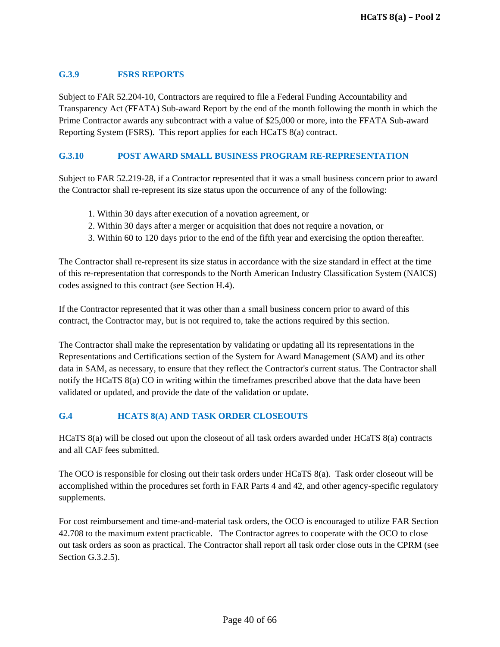# **G.3.9 FSRS REPORTS**

Subject to FAR 52.204-10, Contractors are required to file a Federal Funding Accountability and Transparency Act (FFATA) Sub-award Report by the end of the month following the month in which the Prime Contractor awards any subcontract with a value of \$25,000 or more, into the FFATA Sub-award Reporting System (FSRS). This report applies for each HCaTS 8(a) contract.

## **G.3.10 POST AWARD SMALL BUSINESS PROGRAM RE-REPRESENTATION**

Subject to FAR 52.219-28, if a Contractor represented that it was a small business concern prior to award the Contractor shall re-represent its size status upon the occurrence of any of the following:

- 1. Within 30 days after execution of a novation agreement, or
- 2. Within 30 days after a merger or acquisition that does not require a novation, or
- 3. Within 60 to 120 days prior to the end of the fifth year and exercising the option thereafter.

The Contractor shall re-represent its size status in accordance with the size standard in effect at the time of this re-representation that corresponds to the North American Industry Classification System (NAICS) codes assigned to this contract (see Section H.4).

If the Contractor represented that it was other than a small business concern prior to award of this contract, the Contractor may, but is not required to, take the actions required by this section.

The Contractor shall make the representation by validating or updating all its representations in the Representations and Certifications section of the System for Award Management (SAM) and its other data in SAM, as necessary, to ensure that they reflect the Contractor's current status. The Contractor shall notify the HCaTS 8(a) CO in writing within the timeframes prescribed above that the data have been validated or updated, and provide the date of the validation or update.

# **G.4 HCATS 8(A) AND TASK ORDER CLOSEOUTS**

HCaTS 8(a) will be closed out upon the closeout of all task orders awarded under HCaTS 8(a) contracts and all CAF fees submitted.

The OCO is responsible for closing out their task orders under HCaTS 8(a). Task order closeout will be accomplished within the procedures set forth in FAR Parts 4 and 42, and other agency-specific regulatory supplements.

For cost reimbursement and time-and-material task orders, the OCO is encouraged to utilize FAR Section 42.708 to the maximum extent practicable. The Contractor agrees to cooperate with the OCO to close out task orders as soon as practical. The Contractor shall report all task order close outs in the CPRM (see Section G.3.2.5).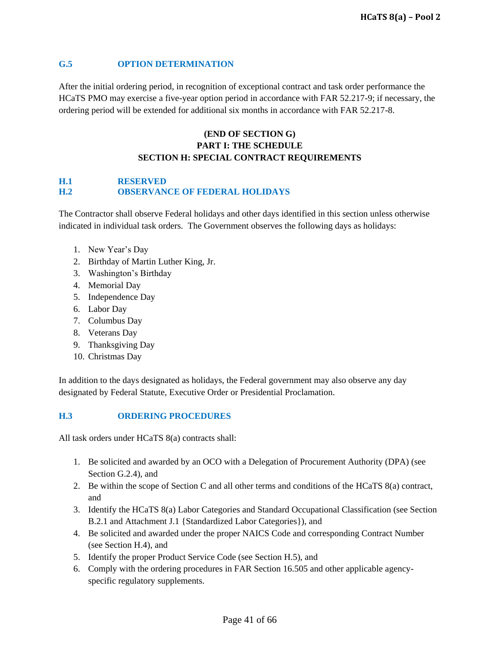## **G.5 OPTION DETERMINATION**

After the initial ordering period, in recognition of exceptional contract and task order performance the HCaTS PMO may exercise a five-year option period in accordance with FAR 52.217-9; if necessary, the ordering period will be extended for additional six months in accordance with FAR 52.217-8.

# **(END OF SECTION G) PART I: THE SCHEDULE SECTION H: SPECIAL CONTRACT REQUIREMENTS**

# **H.1 RESERVED H.2 OBSERVANCE OF FEDERAL HOLIDAYS**

The Contractor shall observe Federal holidays and other days identified in this section unless otherwise indicated in individual task orders. The Government observes the following days as holidays:

- 1. New Year's Day
- 2. Birthday of Martin Luther King, Jr.
- 3. Washington's Birthday
- 4. Memorial Day
- 5. Independence Day
- 6. Labor Day
- 7. Columbus Day
- 8. Veterans Day
- 9. Thanksgiving Day
- 10. Christmas Day

In addition to the days designated as holidays, the Federal government may also observe any day designated by Federal Statute, Executive Order or Presidential Proclamation.

# **H.3 ORDERING PROCEDURES**

All task orders under HCaTS 8(a) contracts shall:

- 1. Be solicited and awarded by an OCO with a Delegation of Procurement Authority (DPA) (see Section G.2.4), and
- 2. Be within the scope of Section C and all other terms and conditions of the HCaTS 8(a) contract, and
- 3. Identify the HCaTS 8(a) Labor Categories and Standard Occupational Classification (see Section B.2.1 and Attachment J.1 {Standardized Labor Categories}), and
- 4. Be solicited and awarded under the proper NAICS Code and corresponding Contract Number (see Section H.4), and
- 5. Identify the proper Product Service Code (see Section H.5), and
- 6. Comply with the ordering procedures in FAR Section 16.505 and other applicable agencyspecific regulatory supplements.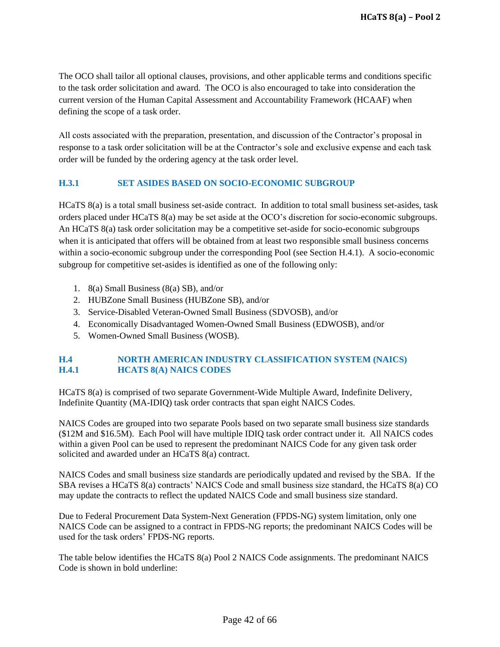The OCO shall tailor all optional clauses, provisions, and other applicable terms and conditions specific to the task order solicitation and award. The OCO is also encouraged to take into consideration the current version of the Human Capital Assessment and Accountability Framework (HCAAF) when defining the scope of a task order.

All costs associated with the preparation, presentation, and discussion of the Contractor's proposal in response to a task order solicitation will be at the Contractor's sole and exclusive expense and each task order will be funded by the ordering agency at the task order level.

## **H.3.1 SET ASIDES BASED ON SOCIO-ECONOMIC SUBGROUP**

HCaTS 8(a) is a total small business set-aside contract. In addition to total small business set-asides, task orders placed under HCaTS 8(a) may be set aside at the OCO's discretion for socio-economic subgroups. An HCaTS 8(a) task order solicitation may be a competitive set-aside for socio-economic subgroups when it is anticipated that offers will be obtained from at least two responsible small business concerns within a socio-economic subgroup under the corresponding Pool (see Section H.4.1). A socio-economic subgroup for competitive set-asides is identified as one of the following only:

- 1. 8(a) Small Business (8(a) SB), and/or
- 2. HUBZone Small Business (HUBZone SB), and/or
- 3. Service-Disabled Veteran-Owned Small Business (SDVOSB), and/or
- 4. Economically Disadvantaged Women-Owned Small Business (EDWOSB), and/or
- 5. Women-Owned Small Business (WOSB).

# **H.4 NORTH AMERICAN INDUSTRY CLASSIFICATION SYSTEM (NAICS) H.4.1 HCATS 8(A) NAICS CODES**

HCaTS 8(a) is comprised of two separate Government-Wide Multiple Award, Indefinite Delivery, Indefinite Quantity (MA-IDIQ) task order contracts that span eight NAICS Codes.

NAICS Codes are grouped into two separate Pools based on two separate small business size standards (\$12M and \$16.5M). Each Pool will have multiple IDIQ task order contract under it. All NAICS codes within a given Pool can be used to represent the predominant NAICS Code for any given task order solicited and awarded under an HCaTS 8(a) contract.

NAICS Codes and small business size standards are periodically updated and revised by the SBA. If the SBA revises a HCaTS 8(a) contracts' NAICS Code and small business size standard, the HCaTS 8(a) CO may update the contracts to reflect the updated NAICS Code and small business size standard.

Due to Federal Procurement Data System-Next Generation (FPDS-NG) system limitation, only one NAICS Code can be assigned to a contract in FPDS-NG reports; the predominant NAICS Codes will be used for the task orders' FPDS-NG reports.

The table below identifies the HCaTS 8(a) Pool 2 NAICS Code assignments. The predominant NAICS Code is shown in bold underline: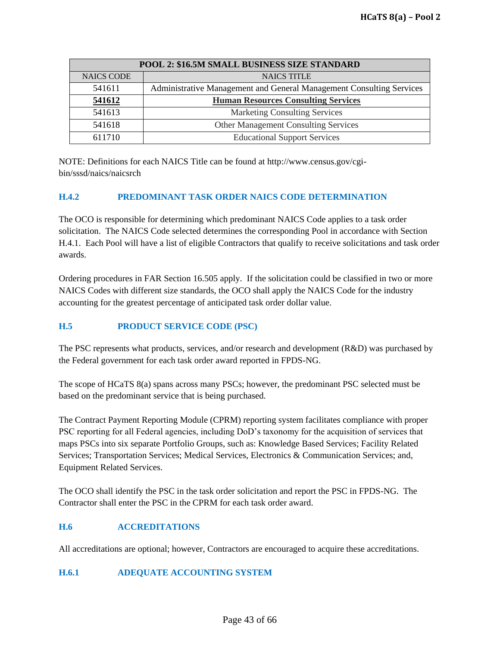| POOL 2: \$16.5M SMALL BUSINESS SIZE STANDARD |                                                                      |  |
|----------------------------------------------|----------------------------------------------------------------------|--|
| <b>NAICS CODE</b>                            | <b>NAICS TITLE</b>                                                   |  |
| 541611                                       | Administrative Management and General Management Consulting Services |  |
| 541612                                       | <b>Human Resources Consulting Services</b>                           |  |
| 541613                                       | <b>Marketing Consulting Services</b>                                 |  |
| 541618                                       | <b>Other Management Consulting Services</b>                          |  |
| 611710                                       | <b>Educational Support Services</b>                                  |  |

NOTE: Definitions for each NAICS Title can be found at http://www.census.gov/cgibin/sssd/naics/naicsrch

# **H.4.2 PREDOMINANT TASK ORDER NAICS CODE DETERMINATION**

The OCO is responsible for determining which predominant NAICS Code applies to a task order solicitation. The NAICS Code selected determines the corresponding Pool in accordance with Section H.4.1. Each Pool will have a list of eligible Contractors that qualify to receive solicitations and task order awards.

Ordering procedures in FAR Section 16.505 apply. If the solicitation could be classified in two or more NAICS Codes with different size standards, the OCO shall apply the NAICS Code for the industry accounting for the greatest percentage of anticipated task order dollar value.

#### **H.5 PRODUCT SERVICE CODE (PSC)**

The PSC represents what products, services, and/or research and development (R&D) was purchased by the Federal government for each task order award reported in FPDS-NG.

The scope of HCaTS 8(a) spans across many PSCs; however, the predominant PSC selected must be based on the predominant service that is being purchased.

The Contract Payment Reporting Module (CPRM) reporting system facilitates compliance with proper PSC reporting for all Federal agencies, including DoD's taxonomy for the acquisition of services that maps PSCs into six separate Portfolio Groups, such as: Knowledge Based Services; Facility Related Services; Transportation Services; Medical Services, Electronics & Communication Services; and, Equipment Related Services.

The OCO shall identify the PSC in the task order solicitation and report the PSC in FPDS-NG. The Contractor shall enter the PSC in the CPRM for each task order award.

#### **H.6 ACCREDITATIONS**

All accreditations are optional; however, Contractors are encouraged to acquire these accreditations.

# **H.6.1 ADEQUATE ACCOUNTING SYSTEM**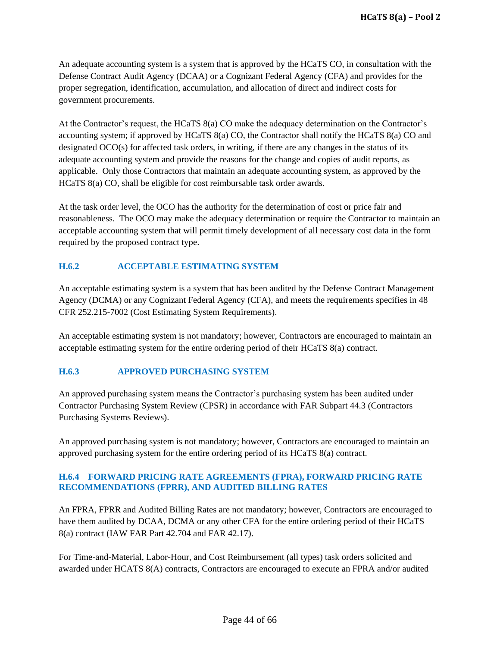An adequate accounting system is a system that is approved by the HCaTS CO, in consultation with the Defense Contract Audit Agency (DCAA) or a Cognizant Federal Agency (CFA) and provides for the proper segregation, identification, accumulation, and allocation of direct and indirect costs for government procurements.

At the Contractor's request, the HCaTS 8(a) CO make the adequacy determination on the Contractor's accounting system; if approved by HCaTS 8(a) CO, the Contractor shall notify the HCaTS 8(a) CO and designated OCO(s) for affected task orders, in writing, if there are any changes in the status of its adequate accounting system and provide the reasons for the change and copies of audit reports, as applicable. Only those Contractors that maintain an adequate accounting system, as approved by the HCaTS 8(a) CO, shall be eligible for cost reimbursable task order awards.

At the task order level, the OCO has the authority for the determination of cost or price fair and reasonableness. The OCO may make the adequacy determination or require the Contractor to maintain an acceptable accounting system that will permit timely development of all necessary cost data in the form required by the proposed contract type.

# **H.6.2 ACCEPTABLE ESTIMATING SYSTEM**

An acceptable estimating system is a system that has been audited by the Defense Contract Management Agency (DCMA) or any Cognizant Federal Agency (CFA), and meets the requirements specifies in 48 CFR 252.215-7002 (Cost Estimating System Requirements).

An acceptable estimating system is not mandatory; however, Contractors are encouraged to maintain an acceptable estimating system for the entire ordering period of their HCaTS 8(a) contract.

# **H.6.3 APPROVED PURCHASING SYSTEM**

An approved purchasing system means the Contractor's purchasing system has been audited under Contractor Purchasing System Review (CPSR) in accordance with FAR Subpart 44.3 (Contractors Purchasing Systems Reviews).

An approved purchasing system is not mandatory; however, Contractors are encouraged to maintain an approved purchasing system for the entire ordering period of its HCaTS 8(a) contract.

# **H.6.4 FORWARD PRICING RATE AGREEMENTS (FPRA), FORWARD PRICING RATE RECOMMENDATIONS (FPRR), AND AUDITED BILLING RATES**

An FPRA, FPRR and Audited Billing Rates are not mandatory; however, Contractors are encouraged to have them audited by DCAA, DCMA or any other CFA for the entire ordering period of their HCaTS 8(a) contract (IAW FAR Part 42.704 and FAR 42.17).

For Time-and-Material, Labor-Hour, and Cost Reimbursement (all types) task orders solicited and awarded under HCATS 8(A) contracts, Contractors are encouraged to execute an FPRA and/or audited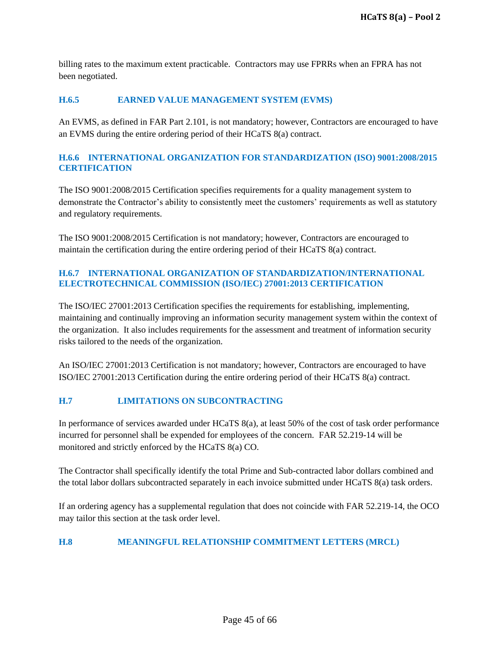billing rates to the maximum extent practicable. Contractors may use FPRRs when an FPRA has not been negotiated.

#### **H.6.5 EARNED VALUE MANAGEMENT SYSTEM (EVMS)**

An EVMS, as defined in FAR Part 2.101, is not mandatory; however, Contractors are encouraged to have an EVMS during the entire ordering period of their HCaTS 8(a) contract.

# **H.6.6 INTERNATIONAL ORGANIZATION FOR STANDARDIZATION (ISO) 9001:2008/2015 CERTIFICATION**

The ISO 9001:2008/2015 Certification specifies requirements for a quality management system to demonstrate the Contractor's ability to consistently meet the customers' requirements as well as statutory and regulatory requirements.

The ISO 9001:2008/2015 Certification is not mandatory; however, Contractors are encouraged to maintain the certification during the entire ordering period of their HCaTS 8(a) contract.

# **H.6.7 INTERNATIONAL ORGANIZATION OF STANDARDIZATION/INTERNATIONAL ELECTROTECHNICAL COMMISSION (ISO/IEC) 27001:2013 CERTIFICATION**

The ISO/IEC 27001:2013 Certification specifies the requirements for establishing, implementing, maintaining and continually improving an information security management system within the context of the organization. It also includes requirements for the assessment and treatment of information security risks tailored to the needs of the organization.

An ISO/IEC 27001:2013 Certification is not mandatory; however, Contractors are encouraged to have ISO/IEC 27001:2013 Certification during the entire ordering period of their HCaTS 8(a) contract.

# **H.7 LIMITATIONS ON SUBCONTRACTING**

In performance of services awarded under HCaTS 8(a), at least 50% of the cost of task order performance incurred for personnel shall be expended for employees of the concern. FAR 52.219-14 will be monitored and strictly enforced by the HCaTS 8(a) CO.

The Contractor shall specifically identify the total Prime and Sub-contracted labor dollars combined and the total labor dollars subcontracted separately in each invoice submitted under HCaTS 8(a) task orders.

If an ordering agency has a supplemental regulation that does not coincide with FAR 52.219-14, the OCO may tailor this section at the task order level.

#### **H.8 MEANINGFUL RELATIONSHIP COMMITMENT LETTERS (MRCL)**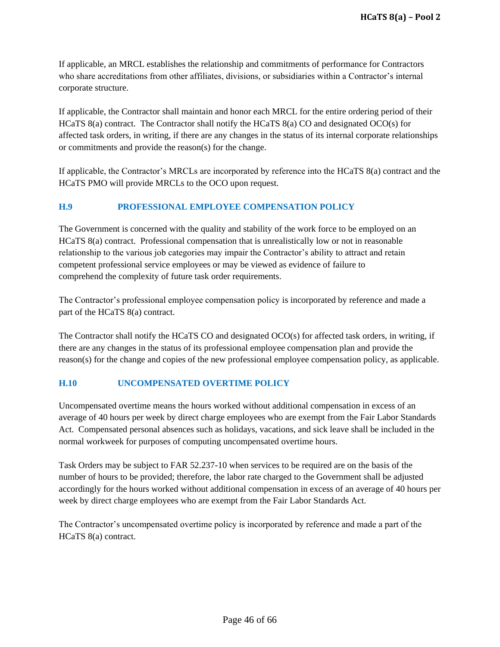If applicable, an MRCL establishes the relationship and commitments of performance for Contractors who share accreditations from other affiliates, divisions, or subsidiaries within a Contractor's internal corporate structure.

If applicable, the Contractor shall maintain and honor each MRCL for the entire ordering period of their HCaTS 8(a) contract. The Contractor shall notify the HCaTS 8(a) CO and designated OCO(s) for affected task orders, in writing, if there are any changes in the status of its internal corporate relationships or commitments and provide the reason(s) for the change.

If applicable, the Contractor's MRCLs are incorporated by reference into the HCaTS 8(a) contract and the HCaTS PMO will provide MRCLs to the OCO upon request.

# **H.9 PROFESSIONAL EMPLOYEE COMPENSATION POLICY**

The Government is concerned with the quality and stability of the work force to be employed on an HCaTS 8(a) contract. Professional compensation that is unrealistically low or not in reasonable relationship to the various job categories may impair the Contractor's ability to attract and retain competent professional service employees or may be viewed as evidence of failure to comprehend the complexity of future task order requirements.

The Contractor's professional employee compensation policy is incorporated by reference and made a part of the HCaTS 8(a) contract.

The Contractor shall notify the HCaTS CO and designated OCO(s) for affected task orders, in writing, if there are any changes in the status of its professional employee compensation plan and provide the reason(s) for the change and copies of the new professional employee compensation policy, as applicable.

# **H.10 UNCOMPENSATED OVERTIME POLICY**

Uncompensated overtime means the hours worked without additional compensation in excess of an average of 40 hours per week by direct charge employees who are exempt from the Fair Labor Standards Act. Compensated personal absences such as holidays, vacations, and sick leave shall be included in the normal workweek for purposes of computing uncompensated overtime hours.

Task Orders may be subject to FAR 52.237-10 when services to be required are on the basis of the number of hours to be provided; therefore, the labor rate charged to the Government shall be adjusted accordingly for the hours worked without additional compensation in excess of an average of 40 hours per week by direct charge employees who are exempt from the Fair Labor Standards Act.

The Contractor's uncompensated overtime policy is incorporated by reference and made a part of the HCaTS 8(a) contract.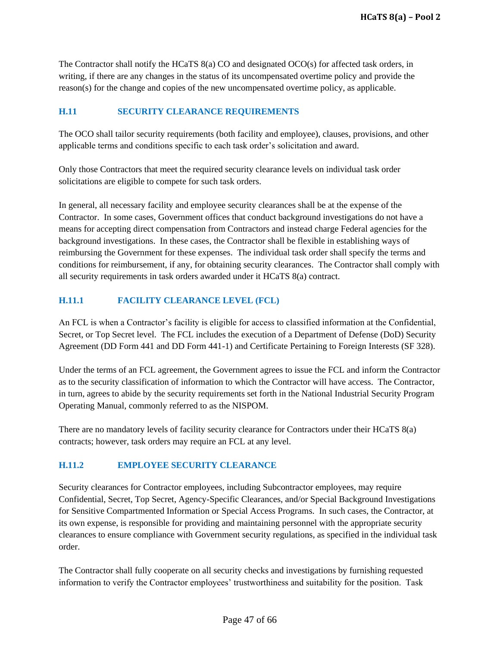The Contractor shall notify the HCaTS 8(a) CO and designated OCO(s) for affected task orders, in writing, if there are any changes in the status of its uncompensated overtime policy and provide the reason(s) for the change and copies of the new uncompensated overtime policy, as applicable.

# **H.11 SECURITY CLEARANCE REQUIREMENTS**

The OCO shall tailor security requirements (both facility and employee), clauses, provisions, and other applicable terms and conditions specific to each task order's solicitation and award.

Only those Contractors that meet the required security clearance levels on individual task order solicitations are eligible to compete for such task orders.

In general, all necessary facility and employee security clearances shall be at the expense of the Contractor. In some cases, Government offices that conduct background investigations do not have a means for accepting direct compensation from Contractors and instead charge Federal agencies for the background investigations. In these cases, the Contractor shall be flexible in establishing ways of reimbursing the Government for these expenses. The individual task order shall specify the terms and conditions for reimbursement, if any, for obtaining security clearances. The Contractor shall comply with all security requirements in task orders awarded under it HCaTS 8(a) contract.

# **H.11.1 FACILITY CLEARANCE LEVEL (FCL)**

An FCL is when a Contractor's facility is eligible for access to classified information at the Confidential, Secret, or Top Secret level. The FCL includes the execution of a Department of Defense (DoD) Security Agreement (DD Form 441 and DD Form 441-1) and Certificate Pertaining to Foreign Interests (SF 328).

Under the terms of an FCL agreement, the Government agrees to issue the FCL and inform the Contractor as to the security classification of information to which the Contractor will have access. The Contractor, in turn, agrees to abide by the security requirements set forth in the National Industrial Security Program Operating Manual, commonly referred to as the NISPOM.

There are no mandatory levels of facility security clearance for Contractors under their HCaTS 8(a) contracts; however, task orders may require an FCL at any level.

# **H.11.2 EMPLOYEE SECURITY CLEARANCE**

Security clearances for Contractor employees, including Subcontractor employees, may require Confidential, Secret, Top Secret, Agency-Specific Clearances, and/or Special Background Investigations for Sensitive Compartmented Information or Special Access Programs. In such cases, the Contractor, at its own expense, is responsible for providing and maintaining personnel with the appropriate security clearances to ensure compliance with Government security regulations, as specified in the individual task order.

The Contractor shall fully cooperate on all security checks and investigations by furnishing requested information to verify the Contractor employees' trustworthiness and suitability for the position. Task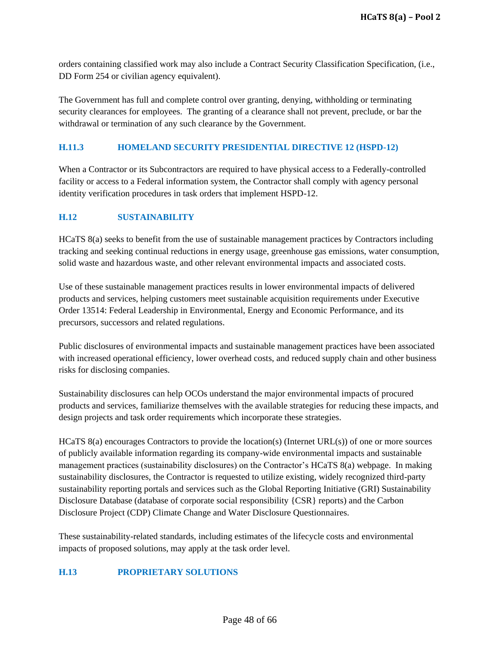orders containing classified work may also include a Contract Security Classification Specification, (i.e., DD Form 254 or civilian agency equivalent).

The Government has full and complete control over granting, denying, withholding or terminating security clearances for employees. The granting of a clearance shall not prevent, preclude, or bar the withdrawal or termination of any such clearance by the Government.

## **H.11.3 HOMELAND SECURITY PRESIDENTIAL DIRECTIVE 12 (HSPD-12)**

When a Contractor or its Subcontractors are required to have physical access to a Federally-controlled facility or access to a Federal information system, the Contractor shall comply with agency personal identity verification procedures in task orders that implement HSPD-12.

# **H.12 SUSTAINABILITY**

HCaTS 8(a) seeks to benefit from the use of sustainable management practices by Contractors including tracking and seeking continual reductions in energy usage, greenhouse gas emissions, water consumption, solid waste and hazardous waste, and other relevant environmental impacts and associated costs.

Use of these sustainable management practices results in lower environmental impacts of delivered products and services, helping customers meet sustainable acquisition requirements under Executive Order 13514: Federal Leadership in Environmental, Energy and Economic Performance, and its precursors, successors and related regulations.

Public disclosures of environmental impacts and sustainable management practices have been associated with increased operational efficiency, lower overhead costs, and reduced supply chain and other business risks for disclosing companies.

Sustainability disclosures can help OCOs understand the major environmental impacts of procured products and services, familiarize themselves with the available strategies for reducing these impacts, and design projects and task order requirements which incorporate these strategies.

HCaTS 8(a) encourages Contractors to provide the location(s) (Internet URL(s)) of one or more sources of publicly available information regarding its company-wide environmental impacts and sustainable management practices (sustainability disclosures) on the Contractor's HCaTS 8(a) webpage. In making sustainability disclosures, the Contractor is requested to utilize existing, widely recognized third-party sustainability reporting portals and services such as the Global Reporting Initiative (GRI) Sustainability Disclosure Database (database of corporate social responsibility {CSR} reports) and the Carbon Disclosure Project (CDP) Climate Change and Water Disclosure Questionnaires.

These sustainability-related standards, including estimates of the lifecycle costs and environmental impacts of proposed solutions, may apply at the task order level.

#### **H.13 PROPRIETARY SOLUTIONS**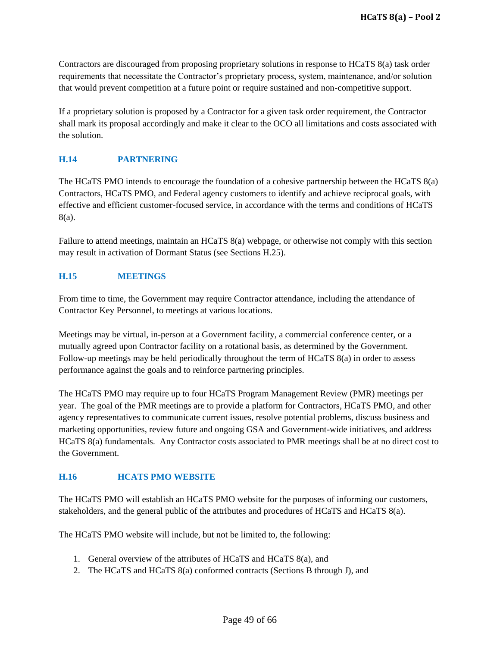Contractors are discouraged from proposing proprietary solutions in response to HCaTS 8(a) task order requirements that necessitate the Contractor's proprietary process, system, maintenance, and/or solution that would prevent competition at a future point or require sustained and non-competitive support.

If a proprietary solution is proposed by a Contractor for a given task order requirement, the Contractor shall mark its proposal accordingly and make it clear to the OCO all limitations and costs associated with the solution.

# **H.14 PARTNERING**

The HCaTS PMO intends to encourage the foundation of a cohesive partnership between the HCaTS 8(a) Contractors, HCaTS PMO, and Federal agency customers to identify and achieve reciprocal goals, with effective and efficient customer-focused service, in accordance with the terms and conditions of HCaTS 8(a).

Failure to attend meetings, maintain an HCaTS 8(a) webpage, or otherwise not comply with this section may result in activation of Dormant Status (see Sections H.25).

# **H.15 MEETINGS**

From time to time, the Government may require Contractor attendance, including the attendance of Contractor Key Personnel, to meetings at various locations.

Meetings may be virtual, in-person at a Government facility, a commercial conference center, or a mutually agreed upon Contractor facility on a rotational basis, as determined by the Government. Follow-up meetings may be held periodically throughout the term of HCaTS 8(a) in order to assess performance against the goals and to reinforce partnering principles.

The HCaTS PMO may require up to four HCaTS Program Management Review (PMR) meetings per year. The goal of the PMR meetings are to provide a platform for Contractors, HCaTS PMO, and other agency representatives to communicate current issues, resolve potential problems, discuss business and marketing opportunities, review future and ongoing GSA and Government-wide initiatives, and address HCaTS 8(a) fundamentals. Any Contractor costs associated to PMR meetings shall be at no direct cost to the Government.

# **H.16 HCATS PMO WEBSITE**

The HCaTS PMO will establish an HCaTS PMO website for the purposes of informing our customers, stakeholders, and the general public of the attributes and procedures of HCaTS and HCaTS 8(a).

The HCaTS PMO website will include, but not be limited to, the following:

- 1. General overview of the attributes of HCaTS and HCaTS 8(a), and
- 2. The HCaTS and HCaTS 8(a) conformed contracts (Sections B through J), and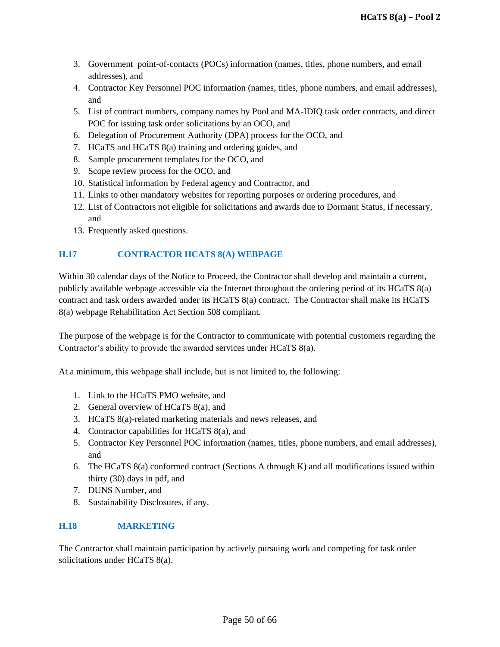- 3. Government point-of-contacts (POCs) information (names, titles, phone numbers, and email addresses), and
- 4. Contractor Key Personnel POC information (names, titles, phone numbers, and email addresses), and
- 5. List of contract numbers, company names by Pool and MA-IDIQ task order contracts, and direct POC for issuing task order solicitations by an OCO, and
- 6. Delegation of Procurement Authority (DPA) process for the OCO, and
- 7. HCaTS and HCaTS 8(a) training and ordering guides, and
- 8. Sample procurement templates for the OCO, and
- 9. Scope review process for the OCO, and
- 10. Statistical information by Federal agency and Contractor, and
- 11. Links to other mandatory websites for reporting purposes or ordering procedures, and
- 12. List of Contractors not eligible for solicitations and awards due to Dormant Status, if necessary, and
- 13. Frequently asked questions.

# **H.17 CONTRACTOR HCATS 8(A) WEBPAGE**

Within 30 calendar days of the Notice to Proceed, the Contractor shall develop and maintain a current, publicly available webpage accessible via the Internet throughout the ordering period of its HCaTS 8(a) contract and task orders awarded under its HCaTS 8(a) contract. The Contractor shall make its HCaTS 8(a) webpage Rehabilitation Act Section 508 compliant.

The purpose of the webpage is for the Contractor to communicate with potential customers regarding the Contractor's ability to provide the awarded services under HCaTS 8(a).

At a minimum, this webpage shall include, but is not limited to, the following:

- 1. Link to the HCaTS PMO website, and
- 2. General overview of HCaTS 8(a), and
- 3. HCaTS 8(a)-related marketing materials and news releases, and
- 4. Contractor capabilities for HCaTS 8(a), and
- 5. Contractor Key Personnel POC information (names, titles, phone numbers, and email addresses), and
- 6. The HCaTS 8(a) conformed contract (Sections A through K) and all modifications issued within thirty (30) days in pdf, and
- 7. DUNS Number, and
- 8. Sustainability Disclosures, if any.

# **H.18 MARKETING**

The Contractor shall maintain participation by actively pursuing work and competing for task order solicitations under HCaTS 8(a).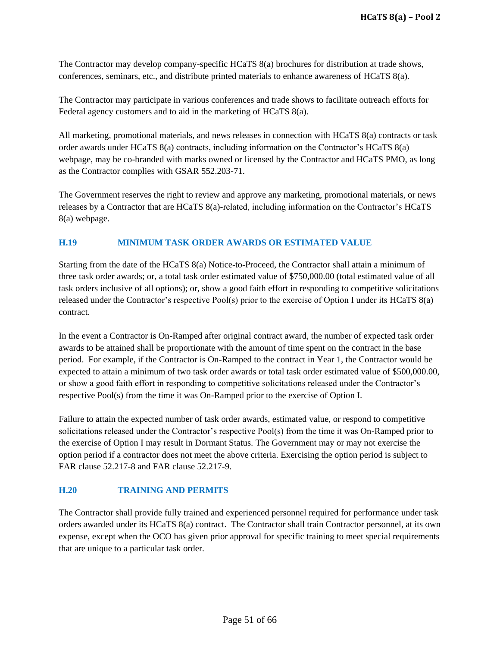The Contractor may develop company-specific HCaTS 8(a) brochures for distribution at trade shows, conferences, seminars, etc., and distribute printed materials to enhance awareness of HCaTS 8(a).

The Contractor may participate in various conferences and trade shows to facilitate outreach efforts for Federal agency customers and to aid in the marketing of HCaTS 8(a).

All marketing, promotional materials, and news releases in connection with HCaTS 8(a) contracts or task order awards under HCaTS 8(a) contracts, including information on the Contractor's HCaTS 8(a) webpage, may be co-branded with marks owned or licensed by the Contractor and HCaTS PMO, as long as the Contractor complies with GSAR 552.203-71.

The Government reserves the right to review and approve any marketing, promotional materials, or news releases by a Contractor that are HCaTS 8(a)-related, including information on the Contractor's HCaTS 8(a) webpage.

# **H.19 MINIMUM TASK ORDER AWARDS OR ESTIMATED VALUE**

Starting from the date of the HCaTS 8(a) Notice-to-Proceed, the Contractor shall attain a minimum of three task order awards; or, a total task order estimated value of \$750,000.00 (total estimated value of all task orders inclusive of all options); or, show a good faith effort in responding to competitive solicitations released under the Contractor's respective Pool(s) prior to the exercise of Option I under its HCaTS 8(a) contract.

In the event a Contractor is On-Ramped after original contract award, the number of expected task order awards to be attained shall be proportionate with the amount of time spent on the contract in the base period. For example, if the Contractor is On-Ramped to the contract in Year 1, the Contractor would be expected to attain a minimum of two task order awards or total task order estimated value of \$500,000.00, or show a good faith effort in responding to competitive solicitations released under the Contractor's respective Pool(s) from the time it was On-Ramped prior to the exercise of Option I.

Failure to attain the expected number of task order awards, estimated value, or respond to competitive solicitations released under the Contractor's respective Pool(s) from the time it was On-Ramped prior to the exercise of Option I may result in Dormant Status. The Government may or may not exercise the option period if a contractor does not meet the above criteria. Exercising the option period is subject to FAR clause 52.217-8 and FAR clause 52.217-9.

# **H.20 TRAINING AND PERMITS**

The Contractor shall provide fully trained and experienced personnel required for performance under task orders awarded under its HCaTS 8(a) contract. The Contractor shall train Contractor personnel, at its own expense, except when the OCO has given prior approval for specific training to meet special requirements that are unique to a particular task order.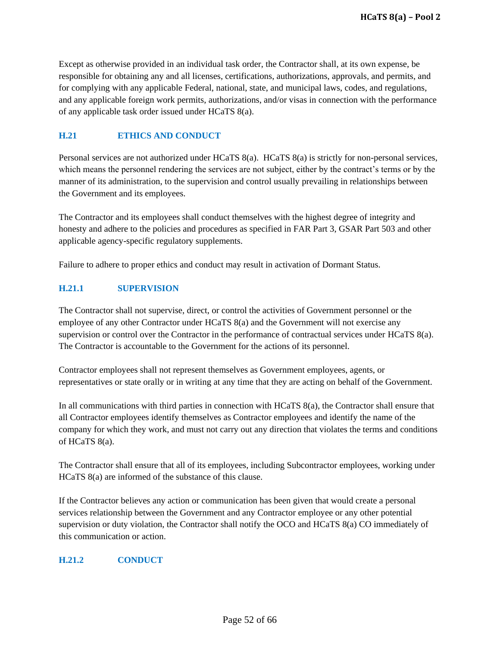Except as otherwise provided in an individual task order, the Contractor shall, at its own expense, be responsible for obtaining any and all licenses, certifications, authorizations, approvals, and permits, and for complying with any applicable Federal, national, state, and municipal laws, codes, and regulations, and any applicable foreign work permits, authorizations, and/or visas in connection with the performance of any applicable task order issued under HCaTS 8(a).

# **H.21 ETHICS AND CONDUCT**

Personal services are not authorized under HCaTS 8(a). HCaTS 8(a) is strictly for non-personal services, which means the personnel rendering the services are not subject, either by the contract's terms or by the manner of its administration, to the supervision and control usually prevailing in relationships between the Government and its employees.

The Contractor and its employees shall conduct themselves with the highest degree of integrity and honesty and adhere to the policies and procedures as specified in FAR Part 3, GSAR Part 503 and other applicable agency-specific regulatory supplements.

Failure to adhere to proper ethics and conduct may result in activation of Dormant Status.

## **H.21.1 SUPERVISION**

The Contractor shall not supervise, direct, or control the activities of Government personnel or the employee of any other Contractor under HCaTS 8(a) and the Government will not exercise any supervision or control over the Contractor in the performance of contractual services under HCaTS 8(a). The Contractor is accountable to the Government for the actions of its personnel.

Contractor employees shall not represent themselves as Government employees, agents, or representatives or state orally or in writing at any time that they are acting on behalf of the Government.

In all communications with third parties in connection with HCaTS 8(a), the Contractor shall ensure that all Contractor employees identify themselves as Contractor employees and identify the name of the company for which they work, and must not carry out any direction that violates the terms and conditions of HCaTS 8(a).

The Contractor shall ensure that all of its employees, including Subcontractor employees, working under HCaTS 8(a) are informed of the substance of this clause.

If the Contractor believes any action or communication has been given that would create a personal services relationship between the Government and any Contractor employee or any other potential supervision or duty violation, the Contractor shall notify the OCO and HCaTS 8(a) CO immediately of this communication or action.

#### **H.21.2 CONDUCT**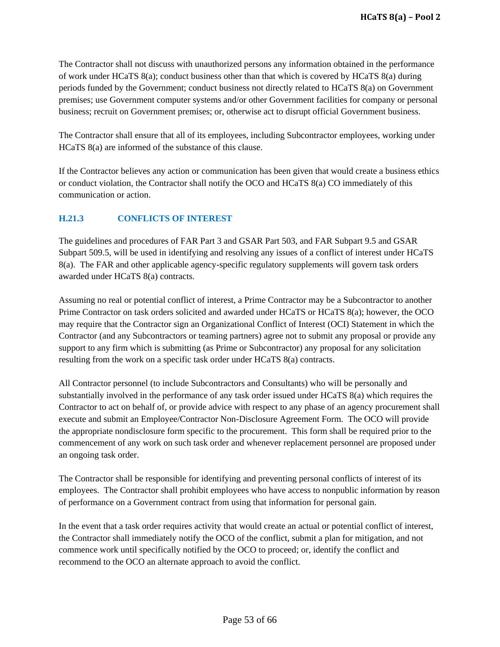The Contractor shall not discuss with unauthorized persons any information obtained in the performance of work under HCaTS 8(a); conduct business other than that which is covered by HCaTS 8(a) during periods funded by the Government; conduct business not directly related to HCaTS 8(a) on Government premises; use Government computer systems and/or other Government facilities for company or personal business; recruit on Government premises; or, otherwise act to disrupt official Government business.

The Contractor shall ensure that all of its employees, including Subcontractor employees, working under HCaTS 8(a) are informed of the substance of this clause.

If the Contractor believes any action or communication has been given that would create a business ethics or conduct violation, the Contractor shall notify the OCO and HCaTS 8(a) CO immediately of this communication or action.

# **H.21.3 CONFLICTS OF INTEREST**

The guidelines and procedures of FAR Part 3 and GSAR Part 503, and FAR Subpart 9.5 and GSAR Subpart 509.5, will be used in identifying and resolving any issues of a conflict of interest under HCaTS 8(a). The FAR and other applicable agency-specific regulatory supplements will govern task orders awarded under HCaTS 8(a) contracts.

Assuming no real or potential conflict of interest, a Prime Contractor may be a Subcontractor to another Prime Contractor on task orders solicited and awarded under HCaTS or HCaTS 8(a); however, the OCO may require that the Contractor sign an Organizational Conflict of Interest (OCI) Statement in which the Contractor (and any Subcontractors or teaming partners) agree not to submit any proposal or provide any support to any firm which is submitting (as Prime or Subcontractor) any proposal for any solicitation resulting from the work on a specific task order under HCaTS 8(a) contracts.

All Contractor personnel (to include Subcontractors and Consultants) who will be personally and substantially involved in the performance of any task order issued under HCaTS 8(a) which requires the Contractor to act on behalf of, or provide advice with respect to any phase of an agency procurement shall execute and submit an Employee/Contractor Non-Disclosure Agreement Form. The OCO will provide the appropriate nondisclosure form specific to the procurement. This form shall be required prior to the commencement of any work on such task order and whenever replacement personnel are proposed under an ongoing task order.

The Contractor shall be responsible for identifying and preventing personal conflicts of interest of its employees. The Contractor shall prohibit employees who have access to nonpublic information by reason of performance on a Government contract from using that information for personal gain.

In the event that a task order requires activity that would create an actual or potential conflict of interest, the Contractor shall immediately notify the OCO of the conflict, submit a plan for mitigation, and not commence work until specifically notified by the OCO to proceed; or, identify the conflict and recommend to the OCO an alternate approach to avoid the conflict.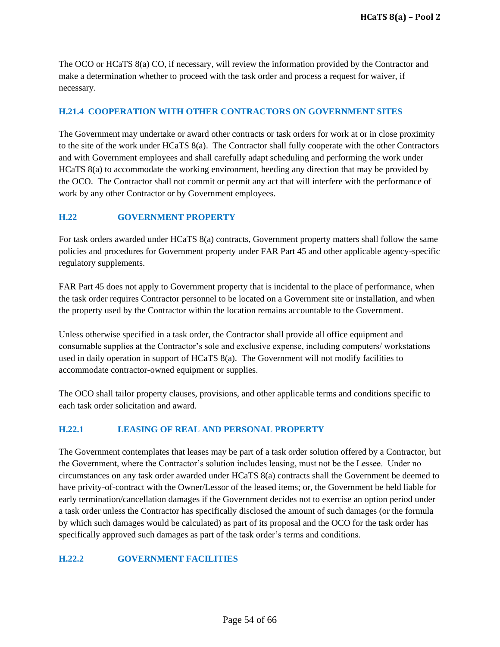The OCO or HCaTS 8(a) CO, if necessary, will review the information provided by the Contractor and make a determination whether to proceed with the task order and process a request for waiver, if necessary.

# **H.21.4 COOPERATION WITH OTHER CONTRACTORS ON GOVERNMENT SITES**

The Government may undertake or award other contracts or task orders for work at or in close proximity to the site of the work under HCaTS 8(a). The Contractor shall fully cooperate with the other Contractors and with Government employees and shall carefully adapt scheduling and performing the work under HCaTS 8(a) to accommodate the working environment, heeding any direction that may be provided by the OCO. The Contractor shall not commit or permit any act that will interfere with the performance of work by any other Contractor or by Government employees.

# **H.22 GOVERNMENT PROPERTY**

For task orders awarded under HCaTS 8(a) contracts, Government property matters shall follow the same policies and procedures for Government property under FAR Part 45 and other applicable agency-specific regulatory supplements.

FAR Part 45 does not apply to Government property that is incidental to the place of performance, when the task order requires Contractor personnel to be located on a Government site or installation, and when the property used by the Contractor within the location remains accountable to the Government.

Unless otherwise specified in a task order, the Contractor shall provide all office equipment and consumable supplies at the Contractor's sole and exclusive expense, including computers/ workstations used in daily operation in support of HCaTS 8(a). The Government will not modify facilities to accommodate contractor-owned equipment or supplies.

The OCO shall tailor property clauses, provisions, and other applicable terms and conditions specific to each task order solicitation and award.

# **H.22.1 LEASING OF REAL AND PERSONAL PROPERTY**

The Government contemplates that leases may be part of a task order solution offered by a Contractor, but the Government, where the Contractor's solution includes leasing, must not be the Lessee. Under no circumstances on any task order awarded under HCaTS 8(a) contracts shall the Government be deemed to have privity-of-contract with the Owner/Lessor of the leased items; or, the Government be held liable for early termination/cancellation damages if the Government decides not to exercise an option period under a task order unless the Contractor has specifically disclosed the amount of such damages (or the formula by which such damages would be calculated) as part of its proposal and the OCO for the task order has specifically approved such damages as part of the task order's terms and conditions.

# **H.22.2 GOVERNMENT FACILITIES**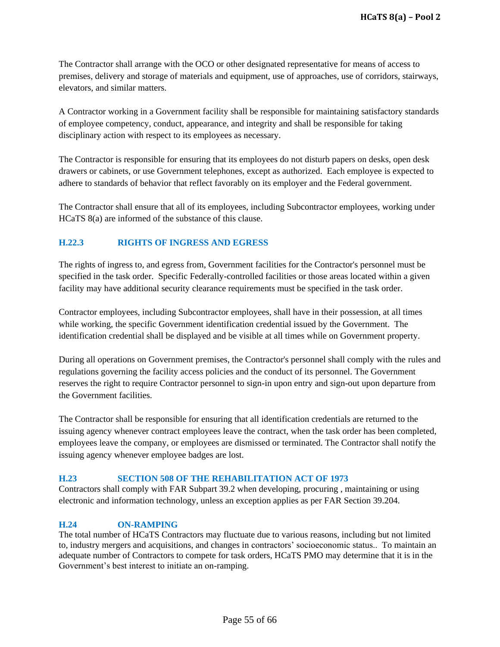The Contractor shall arrange with the OCO or other designated representative for means of access to premises, delivery and storage of materials and equipment, use of approaches, use of corridors, stairways, elevators, and similar matters.

A Contractor working in a Government facility shall be responsible for maintaining satisfactory standards of employee competency, conduct, appearance, and integrity and shall be responsible for taking disciplinary action with respect to its employees as necessary.

The Contractor is responsible for ensuring that its employees do not disturb papers on desks, open desk drawers or cabinets, or use Government telephones, except as authorized. Each employee is expected to adhere to standards of behavior that reflect favorably on its employer and the Federal government.

The Contractor shall ensure that all of its employees, including Subcontractor employees, working under HCaTS 8(a) are informed of the substance of this clause.

# **H.22.3 RIGHTS OF INGRESS AND EGRESS**

The rights of ingress to, and egress from, Government facilities for the Contractor's personnel must be specified in the task order. Specific Federally-controlled facilities or those areas located within a given facility may have additional security clearance requirements must be specified in the task order.

Contractor employees, including Subcontractor employees, shall have in their possession, at all times while working, the specific Government identification credential issued by the Government. The identification credential shall be displayed and be visible at all times while on Government property.

During all operations on Government premises, the Contractor's personnel shall comply with the rules and regulations governing the facility access policies and the conduct of its personnel. The Government reserves the right to require Contractor personnel to sign-in upon entry and sign-out upon departure from the Government facilities.

The Contractor shall be responsible for ensuring that all identification credentials are returned to the issuing agency whenever contract employees leave the contract, when the task order has been completed, employees leave the company, or employees are dismissed or terminated. The Contractor shall notify the issuing agency whenever employee badges are lost.

# **H.23 SECTION 508 OF THE REHABILITATION ACT OF 1973**

Contractors shall comply with FAR Subpart 39.2 when developing, procuring , maintaining or using electronic and information technology, unless an exception applies as per FAR Section 39.204.

# **H.24 ON-RAMPING**

The total number of HCaTS Contractors may fluctuate due to various reasons, including but not limited to, industry mergers and acquisitions, and changes in contractors' socioeconomic status.. To maintain an adequate number of Contractors to compete for task orders, HCaTS PMO may determine that it is in the Government's best interest to initiate an on-ramping.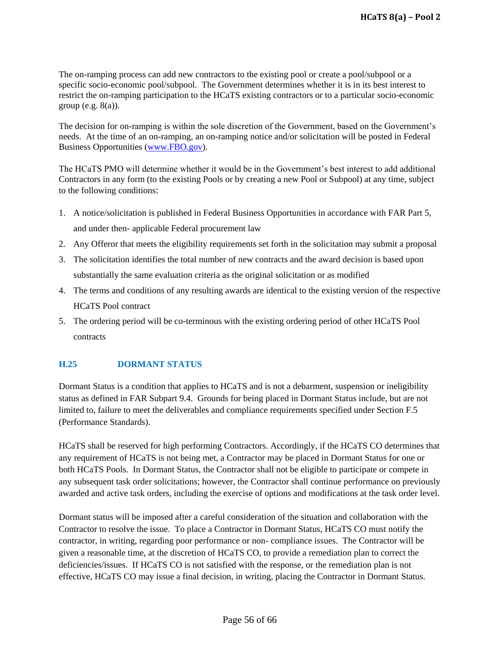The on-ramping process can add new contractors to the existing pool or create a pool/subpool or a specific socio-economic pool/subpool. The Government determines whether it is in its best interest to restrict the on-ramping participation to the HCaTS existing contractors or to a particular socio-economic group (e.g.  $8(a)$ ).

The decision for on-ramping is within the sole discretion of the Government, based on the Government's needs. At the time of an on-ramping, an on-ramping notice and/or solicitation will be posted in Federal Business Opportunities (www.FBO.gov).

The HCaTS PMO will determine whether it would be in the Government's best interest to add additional Contractors in any form (to the existing Pools or by creating a new Pool or Subpool) at any time, subject to the following conditions:

- 1. A notice/solicitation is published in Federal Business Opportunities in accordance with FAR Part 5, and under then- applicable Federal procurement law
- 2. Any Offeror that meets the eligibility requirements set forth in the solicitation may submit a proposal
- 3. The solicitation identifies the total number of new contracts and the award decision is based upon substantially the same evaluation criteria as the original solicitation or as modified
- 4. The terms and conditions of any resulting awards are identical to the existing version of the respective HCaTS Pool contract
- 5. The ordering period will be co-terminous with the existing ordering period of other HCaTS Pool contracts

# **H.25 DORMANT STATUS**

Dormant Status is a condition that applies to HCaTS and is not a debarment, suspension or ineligibility status as defined in FAR Subpart 9.4. Grounds for being placed in Dormant Status include, but are not limited to, failure to meet the deliverables and compliance requirements specified under Section F.5 (Performance Standards).

HCaTS shall be reserved for high performing Contractors. Accordingly, if the HCaTS CO determines that any requirement of HCaTS is not being met, a Contractor may be placed in Dormant Status for one or both HCaTS Pools. In Dormant Status, the Contractor shall not be eligible to participate or compete in any subsequent task order solicitations; however, the Contractor shall continue performance on previously awarded and active task orders, including the exercise of options and modifications at the task order level.

Dormant status will be imposed after a careful consideration of the situation and collaboration with the Contractor to resolve the issue. To place a Contractor in Dormant Status, HCaTS CO must notify the contractor, in writing, regarding poor performance or non- compliance issues. The Contractor will be given a reasonable time, at the discretion of HCaTS CO, to provide a remediation plan to correct the deficiencies/issues. If HCaTS CO is not satisfied with the response, or the remediation plan is not effective, HCaTS CO may issue a final decision, in writing, placing the Contractor in Dormant Status.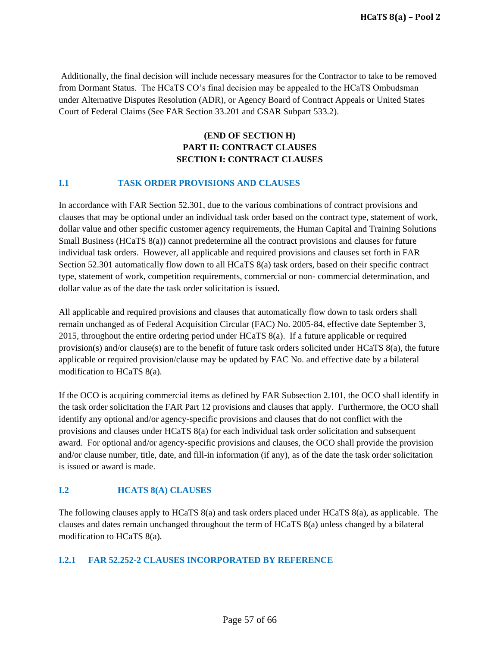Additionally, the final decision will include necessary measures for the Contractor to take to be removed from Dormant Status. The HCaTS CO's final decision may be appealed to the HCaTS Ombudsman under Alternative Disputes Resolution (ADR), or Agency Board of Contract Appeals or United States Court of Federal Claims (See FAR Section 33.201 and GSAR Subpart 533.2).

# **(END OF SECTION H) PART II: CONTRACT CLAUSES SECTION I: CONTRACT CLAUSES**

## **I.1 TASK ORDER PROVISIONS AND CLAUSES**

In accordance with FAR Section 52.301, due to the various combinations of contract provisions and clauses that may be optional under an individual task order based on the contract type, statement of work, dollar value and other specific customer agency requirements, the Human Capital and Training Solutions Small Business (HCaTS 8(a)) cannot predetermine all the contract provisions and clauses for future individual task orders. However, all applicable and required provisions and clauses set forth in FAR Section 52.301 automatically flow down to all HCaTS 8(a) task orders, based on their specific contract type, statement of work, competition requirements, commercial or non- commercial determination, and dollar value as of the date the task order solicitation is issued.

All applicable and required provisions and clauses that automatically flow down to task orders shall remain unchanged as of Federal Acquisition Circular (FAC) No. 2005-84, effective date September 3, 2015, throughout the entire ordering period under HCaTS 8(a). If a future applicable or required provision(s) and/or clause(s) are to the benefit of future task orders solicited under HCaTS  $8(a)$ , the future applicable or required provision/clause may be updated by FAC No. and effective date by a bilateral modification to HCaTS 8(a).

If the OCO is acquiring commercial items as defined by FAR Subsection 2.101, the OCO shall identify in the task order solicitation the FAR Part 12 provisions and clauses that apply. Furthermore, the OCO shall identify any optional and/or agency-specific provisions and clauses that do not conflict with the provisions and clauses under HCaTS 8(a) for each individual task order solicitation and subsequent award. For optional and/or agency-specific provisions and clauses, the OCO shall provide the provision and/or clause number, title, date, and fill-in information (if any), as of the date the task order solicitation is issued or award is made.

# **I.2 HCATS 8(A) CLAUSES**

The following clauses apply to HCaTS 8(a) and task orders placed under HCaTS 8(a), as applicable. The clauses and dates remain unchanged throughout the term of HCaTS 8(a) unless changed by a bilateral modification to HCaTS 8(a).

#### **I.2.1 FAR 52.252-2 CLAUSES INCORPORATED BY REFERENCE**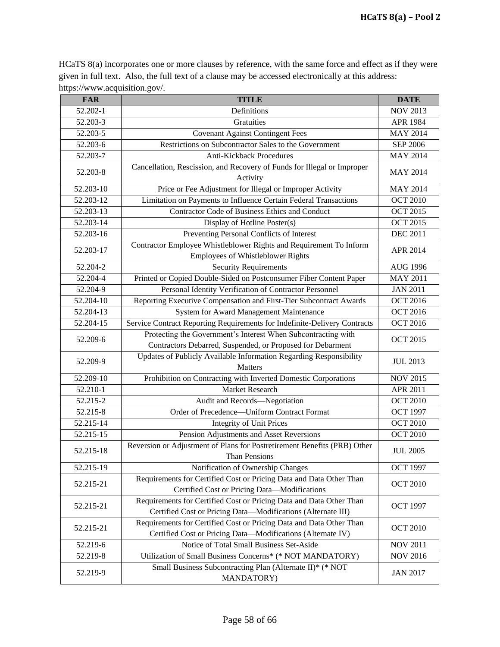| <b>FAR</b> | <b>TITLE</b>                                                                                                                        | <b>DATE</b>     |
|------------|-------------------------------------------------------------------------------------------------------------------------------------|-----------------|
| 52.202-1   | Definitions                                                                                                                         | <b>NOV 2013</b> |
| 52.203-3   | Gratuities                                                                                                                          | APR 1984        |
| 52.203-5   | <b>Covenant Against Contingent Fees</b>                                                                                             | <b>MAY 2014</b> |
| 52.203-6   | Restrictions on Subcontractor Sales to the Government                                                                               | <b>SEP 2006</b> |
| 52.203-7   | Anti-Kickback Procedures                                                                                                            | <b>MAY 2014</b> |
| 52.203-8   | Cancellation, Rescission, and Recovery of Funds for Illegal or Improper<br>Activity                                                 | <b>MAY 2014</b> |
| 52.203-10  | Price or Fee Adjustment for Illegal or Improper Activity                                                                            | <b>MAY 2014</b> |
| 52.203-12  | Limitation on Payments to Influence Certain Federal Transactions                                                                    | <b>OCT 2010</b> |
| 52.203-13  | Contractor Code of Business Ethics and Conduct                                                                                      | <b>OCT 2015</b> |
| 52.203-14  | Display of Hotline Poster(s)                                                                                                        | <b>OCT 2015</b> |
| 52.203-16  | Preventing Personal Conflicts of Interest                                                                                           | <b>DEC 2011</b> |
| 52.203-17  | Contractor Employee Whistleblower Rights and Requirement To Inform<br>Employees of Whistleblower Rights                             | APR 2014        |
| 52.204-2   | <b>Security Requirements</b>                                                                                                        | <b>AUG 1996</b> |
| 52.204-4   | Printed or Copied Double-Sided on Postconsumer Fiber Content Paper                                                                  | <b>MAY 2011</b> |
| 52.204-9   | Personal Identity Verification of Contractor Personnel                                                                              | <b>JAN 2011</b> |
| 52.204-10  | Reporting Executive Compensation and First-Tier Subcontract Awards                                                                  | <b>OCT 2016</b> |
| 52.204-13  | System for Award Management Maintenance                                                                                             | <b>OCT 2016</b> |
| 52.204-15  | Service Contract Reporting Requirements for Indefinite-Delivery Contracts                                                           | <b>OCT 2016</b> |
| 52.209-6   | Protecting the Government's Interest When Subcontracting with<br>Contractors Debarred, Suspended, or Proposed for Debarment         | <b>OCT 2015</b> |
| 52.209-9   | Updates of Publicly Available Information Regarding Responsibility<br>Matters                                                       | <b>JUL 2013</b> |
| 52.209-10  | Prohibition on Contracting with Inverted Domestic Corporations                                                                      | <b>NOV 2015</b> |
| 52.210-1   | Market Research                                                                                                                     | APR 2011        |
| 52.215-2   | Audit and Records-Negotiation                                                                                                       | <b>OCT 2010</b> |
| 52.215-8   | Order of Precedence-Uniform Contract Format                                                                                         | <b>OCT 1997</b> |
| 52.215-14  | <b>Integrity of Unit Prices</b>                                                                                                     | <b>OCT 2010</b> |
| 52.215-15  | Pension Adjustments and Asset Reversions                                                                                            | <b>OCT 2010</b> |
| 52.215-18  | Reversion or Adjustment of Plans for Postretirement Benefits (PRB) Other<br>Than Pensions                                           | <b>JUL 2005</b> |
| 52.215-19  | Notification of Ownership Changes                                                                                                   | <b>OCT 1997</b> |
| 52.215-21  | Requirements for Certified Cost or Pricing Data and Data Other Than<br>Certified Cost or Pricing Data-Modifications                 | <b>OCT 2010</b> |
| 52.215-21  | Requirements for Certified Cost or Pricing Data and Data Other Than<br>Certified Cost or Pricing Data-Modifications (Alternate III) | <b>OCT 1997</b> |
| 52.215-21  | Requirements for Certified Cost or Pricing Data and Data Other Than<br>Certified Cost or Pricing Data-Modifications (Alternate IV)  | <b>OCT 2010</b> |
| 52.219-6   | Notice of Total Small Business Set-Aside                                                                                            | <b>NOV 2011</b> |
| 52.219-8   | Utilization of Small Business Concerns* (* NOT MANDATORY)                                                                           | <b>NOV 2016</b> |
| 52.219-9   | Small Business Subcontracting Plan (Alternate II)* (* NOT<br>MANDATORY)                                                             | <b>JAN 2017</b> |

HCaTS 8(a) incorporates one or more clauses by reference, with the same force and effect as if they were given in full text. Also, the full text of a clause may be accessed electronically at this address: https://www.acquisition.gov/.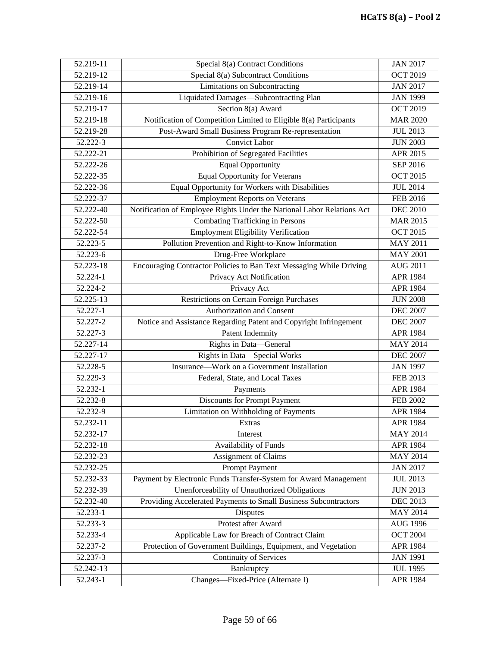| 52.219-11 | Special 8(a) Contract Conditions                                       | <b>JAN 2017</b> |
|-----------|------------------------------------------------------------------------|-----------------|
| 52.219-12 | Special 8(a) Subcontract Conditions                                    | <b>OCT 2019</b> |
| 52.219-14 | Limitations on Subcontracting                                          | <b>JAN 2017</b> |
| 52.219-16 | Liquidated Damages-Subcontracting Plan                                 | <b>JAN 1999</b> |
| 52.219-17 | Section 8(a) Award                                                     | <b>OCT 2019</b> |
| 52.219-18 | Notification of Competition Limited to Eligible 8(a) Participants      | <b>MAR 2020</b> |
| 52.219-28 | Post-Award Small Business Program Re-representation                    | <b>JUL 2013</b> |
| 52.222-3  | <b>Convict Labor</b>                                                   | <b>JUN 2003</b> |
| 52.222-21 | Prohibition of Segregated Facilities                                   | APR 2015        |
| 52.222-26 | Equal Opportunity                                                      | <b>SEP 2016</b> |
| 52.222-35 | <b>Equal Opportunity for Veterans</b>                                  | <b>OCT 2015</b> |
| 52.222-36 | Equal Opportunity for Workers with Disabilities                        | <b>JUL 2014</b> |
| 52.222-37 | <b>Employment Reports on Veterans</b>                                  | FEB 2016        |
| 52.222-40 | Notification of Employee Rights Under the National Labor Relations Act | <b>DEC 2010</b> |
| 52.222-50 | Combating Trafficking in Persons                                       | <b>MAR 2015</b> |
| 52.222-54 | <b>Employment Eligibility Verification</b>                             | <b>OCT 2015</b> |
| 52.223-5  | Pollution Prevention and Right-to-Know Information                     | <b>MAY 2011</b> |
| 52.223-6  | Drug-Free Workplace                                                    | <b>MAY 2001</b> |
| 52.223-18 | Encouraging Contractor Policies to Ban Text Messaging While Driving    | <b>AUG 2011</b> |
| 52.224-1  | Privacy Act Notification                                               | APR 1984        |
| 52.224-2  | Privacy Act                                                            | <b>APR 1984</b> |
| 52.225-13 | <b>Restrictions on Certain Foreign Purchases</b>                       | <b>JUN 2008</b> |
| 52.227-1  | Authorization and Consent                                              | <b>DEC 2007</b> |
| 52.227-2  | Notice and Assistance Regarding Patent and Copyright Infringement      | <b>DEC 2007</b> |
| 52.227-3  | Patent Indemnity                                                       | APR 1984        |
| 52.227-14 | Rights in Data-General                                                 | <b>MAY 2014</b> |
| 52.227-17 | Rights in Data-Special Works                                           | <b>DEC 2007</b> |
| 52.228-5  | Insurance—Work on a Government Installation                            | <b>JAN 1997</b> |
| 52.229-3  | Federal, State, and Local Taxes                                        | FEB 2013        |
| 52.232-1  | Payments                                                               | <b>APR 1984</b> |
| 52.232-8  | <b>Discounts for Prompt Payment</b>                                    | <b>FEB 2002</b> |
| 52.232-9  | Limitation on Withholding of Payments                                  | <b>APR 1984</b> |
| 52.232-11 | <b>Extras</b>                                                          | APR 1984        |
| 52.232-17 | Interest                                                               | <b>MAY 2014</b> |
| 52.232-18 | <b>Availability of Funds</b>                                           | <b>APR 1984</b> |
| 52.232-23 | Assignment of Claims                                                   | <b>MAY 2014</b> |
| 52.232-25 | <b>Prompt Payment</b>                                                  | <b>JAN 2017</b> |
| 52.232-33 | Payment by Electronic Funds Transfer-System for Award Management       | <b>JUL 2013</b> |
| 52.232-39 | Unenforceability of Unauthorized Obligations                           | <b>JUN 2013</b> |
| 52.232-40 | Providing Accelerated Payments to Small Business Subcontractors        | <b>DEC 2013</b> |
| 52.233-1  | Disputes                                                               | <b>MAY 2014</b> |
| 52.233-3  | Protest after Award                                                    | <b>AUG 1996</b> |
| 52.233-4  | Applicable Law for Breach of Contract Claim                            | <b>OCT 2004</b> |
| 52.237-2  | Protection of Government Buildings, Equipment, and Vegetation          | APR 1984        |
| 52.237-3  | <b>Continuity of Services</b>                                          | <b>JAN 1991</b> |
| 52.242-13 | Bankruptcy                                                             | <b>JUL 1995</b> |
| 52.243-1  | Changes-Fixed-Price (Alternate I)                                      | APR 1984        |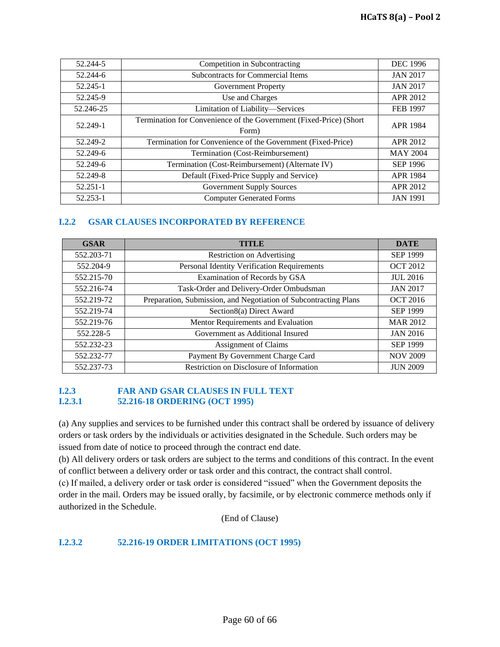| 52.244-5     | Competition in Subcontracting                                               | <b>DEC 1996</b> |
|--------------|-----------------------------------------------------------------------------|-----------------|
| 52.244-6     | <b>Subcontracts for Commercial Items</b>                                    | <b>JAN 2017</b> |
| 52.245-1     | <b>Government Property</b>                                                  | <b>JAN 2017</b> |
| 52.245-9     | Use and Charges                                                             | APR 2012        |
| 52.246-25    | Limitation of Liability-Services                                            | <b>FEB 1997</b> |
| 52.249-1     | Termination for Convenience of the Government (Fixed-Price) (Short<br>Form) | <b>APR 1984</b> |
| 52.249-2     | Termination for Convenience of the Government (Fixed-Price)                 | APR 2012        |
| 52.249-6     | Termination (Cost-Reimbursement)                                            | <b>MAY 2004</b> |
| 52.249-6     | Termination (Cost-Reimbursement) (Alternate IV)                             | <b>SEP 1996</b> |
| 52.249-8     | Default (Fixed-Price Supply and Service)                                    | <b>APR 1984</b> |
| $52.251 - 1$ | <b>Government Supply Sources</b>                                            | APR 2012        |
| 52.253-1     | <b>Computer Generated Forms</b>                                             | <b>JAN 1991</b> |

# **I.2.2 GSAR CLAUSES INCORPORATED BY REFERENCE**

| <b>GSAR</b> | <b>TITLE</b>                                                     | <b>DATE</b>     |
|-------------|------------------------------------------------------------------|-----------------|
| 552.203-71  | <b>Restriction on Advertising</b>                                | <b>SEP 1999</b> |
| 552.204-9   | Personal Identity Verification Requirements                      | <b>OCT 2012</b> |
| 552.215-70  | Examination of Records by GSA                                    | <b>JUL 2016</b> |
| 552.216-74  | Task-Order and Delivery-Order Ombudsman                          | <b>JAN 2017</b> |
| 552.219-72  | Preparation, Submission, and Negotiation of Subcontracting Plans | <b>OCT 2016</b> |
| 552.219-74  | Section8(a) Direct Award                                         | <b>SEP 1999</b> |
| 552.219-76  | Mentor Requirements and Evaluation                               | <b>MAR 2012</b> |
| 552.228-5   | Government as Additional Insured                                 | <b>JAN 2016</b> |
| 552.232-23  | Assignment of Claims                                             | <b>SEP 1999</b> |
| 552.232-77  | Payment By Government Charge Card                                | <b>NOV 2009</b> |
| 552.237-73  | Restriction on Disclosure of Information                         | <b>JUN 2009</b> |

#### **I.2.3 FAR AND GSAR CLAUSES IN FULL TEXT I.2.3.1 52.216-18 ORDERING (OCT 1995)**

(a) Any supplies and services to be furnished under this contract shall be ordered by issuance of delivery orders or task orders by the individuals or activities designated in the Schedule. Such orders may be issued from date of notice to proceed through the contract end date.

(b) All delivery orders or task orders are subject to the terms and conditions of this contract. In the event of conflict between a delivery order or task order and this contract, the contract shall control.

(c) If mailed, a delivery order or task order is considered "issued" when the Government deposits the order in the mail. Orders may be issued orally, by facsimile, or by electronic commerce methods only if authorized in the Schedule.

(End of Clause)

# **I.2.3.2 52.216-19 ORDER LIMITATIONS (OCT 1995)**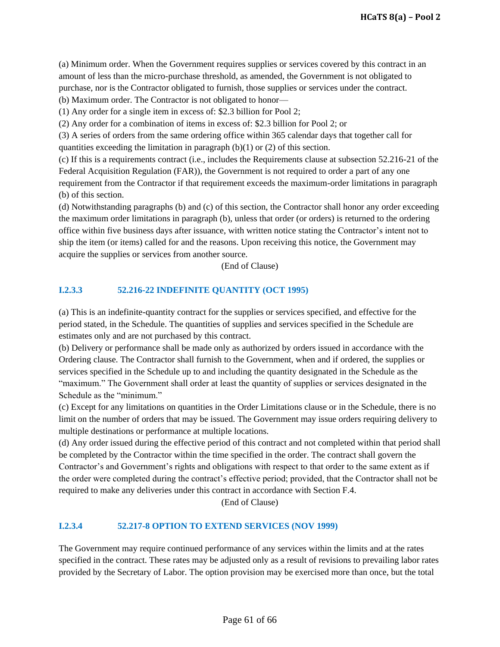(a) Minimum order. When the Government requires supplies or services covered by this contract in an amount of less than the micro-purchase threshold, as amended, the Government is not obligated to purchase, nor is the Contractor obligated to furnish, those supplies or services under the contract.

(b) Maximum order. The Contractor is not obligated to honor—

(1) Any order for a single item in excess of: \$2.3 billion for Pool 2;

(2) Any order for a combination of items in excess of: \$2.3 billion for Pool 2; or

(3) A series of orders from the same ordering office within 365 calendar days that together call for quantities exceeding the limitation in paragraph  $(b)(1)$  or  $(2)$  of this section.

(c) If this is a requirements contract (i.e., includes the Requirements clause at subsection 52.216-21 of the Federal Acquisition Regulation (FAR)), the Government is not required to order a part of any one requirement from the Contractor if that requirement exceeds the maximum-order limitations in paragraph (b) of this section.

(d) Notwithstanding paragraphs (b) and (c) of this section, the Contractor shall honor any order exceeding the maximum order limitations in paragraph (b), unless that order (or orders) is returned to the ordering office within five business days after issuance, with written notice stating the Contractor's intent not to ship the item (or items) called for and the reasons. Upon receiving this notice, the Government may acquire the supplies or services from another source.

(End of Clause)

# **I.2.3.3 52.216-22 INDEFINITE QUANTITY (OCT 1995)**

(a) This is an indefinite-quantity contract for the supplies or services specified, and effective for the period stated, in the Schedule. The quantities of supplies and services specified in the Schedule are estimates only and are not purchased by this contract.

(b) Delivery or performance shall be made only as authorized by orders issued in accordance with the Ordering clause. The Contractor shall furnish to the Government, when and if ordered, the supplies or services specified in the Schedule up to and including the quantity designated in the Schedule as the "maximum." The Government shall order at least the quantity of supplies or services designated in the Schedule as the "minimum."

(c) Except for any limitations on quantities in the Order Limitations clause or in the Schedule, there is no limit on the number of orders that may be issued. The Government may issue orders requiring delivery to multiple destinations or performance at multiple locations.

(d) Any order issued during the effective period of this contract and not completed within that period shall be completed by the Contractor within the time specified in the order. The contract shall govern the Contractor's and Government's rights and obligations with respect to that order to the same extent as if the order were completed during the contract's effective period; provided, that the Contractor shall not be required to make any deliveries under this contract in accordance with Section F.4.

(End of Clause)

# **I.2.3.4 52.217-8 OPTION TO EXTEND SERVICES (NOV 1999)**

The Government may require continued performance of any services within the limits and at the rates specified in the contract. These rates may be adjusted only as a result of revisions to prevailing labor rates provided by the Secretary of Labor. The option provision may be exercised more than once, but the total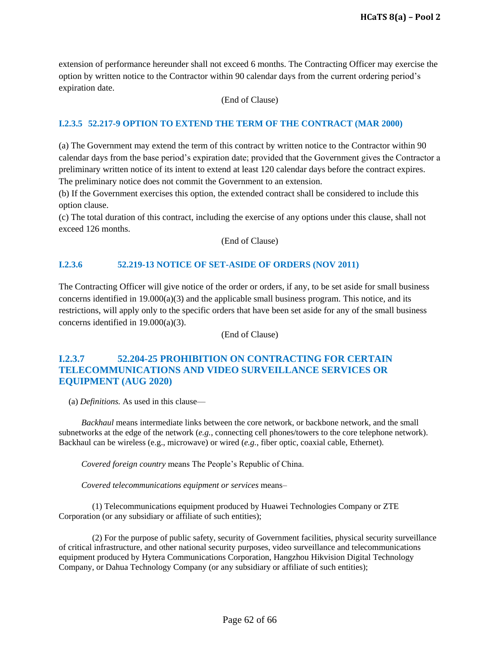extension of performance hereunder shall not exceed 6 months. The Contracting Officer may exercise the option by written notice to the Contractor within 90 calendar days from the current ordering period's expiration date.

#### (End of Clause)

## **I.2.3.5 52.217-9 OPTION TO EXTEND THE TERM OF THE CONTRACT (MAR 2000)**

(a) The Government may extend the term of this contract by written notice to the Contractor within 90 calendar days from the base period's expiration date; provided that the Government gives the Contractor a preliminary written notice of its intent to extend at least 120 calendar days before the contract expires. The preliminary notice does not commit the Government to an extension.

(b) If the Government exercises this option, the extended contract shall be considered to include this option clause.

(c) The total duration of this contract, including the exercise of any options under this clause, shall not exceed 126 months.

(End of Clause)

## **I.2.3.6 52.219-13 NOTICE OF SET-ASIDE OF ORDERS (NOV 2011)**

The Contracting Officer will give notice of the order or orders, if any, to be set aside for small business concerns identified in 19.000(a)(3) and the applicable small business program. This notice, and its restrictions, will apply only to the specific orders that have been set aside for any of the small business concerns identified in 19.000(a)(3).

(End of Clause)

# **I.2.3.7 52.204-25 PROHIBITION ON CONTRACTING FOR CERTAIN TELECOMMUNICATIONS AND VIDEO SURVEILLANCE SERVICES OR EQUIPMENT (AUG 2020)**

(a) *Definitions.* As used in this clause—

 *Backhaul* means intermediate links between the core network, or backbone network, and the small subnetworks at the edge of the network (*e.g.*, connecting cell phones/towers to the core telephone network). Backhaul can be wireless (e.g., microwave) or wired (*e.g.*, fiber optic, coaxial cable, Ethernet).

*Covered foreign country* means The People's Republic of China.

*Covered telecommunications equipment or services* means–

 (1) Telecommunications equipment produced by Huawei Technologies Company or ZTE Corporation (or any subsidiary or affiliate of such entities);

 (2) For the purpose of public safety, security of Government facilities, physical security surveillance of critical infrastructure, and other national security purposes, video surveillance and telecommunications equipment produced by Hytera Communications Corporation, Hangzhou Hikvision Digital Technology Company, or Dahua Technology Company (or any subsidiary or affiliate of such entities);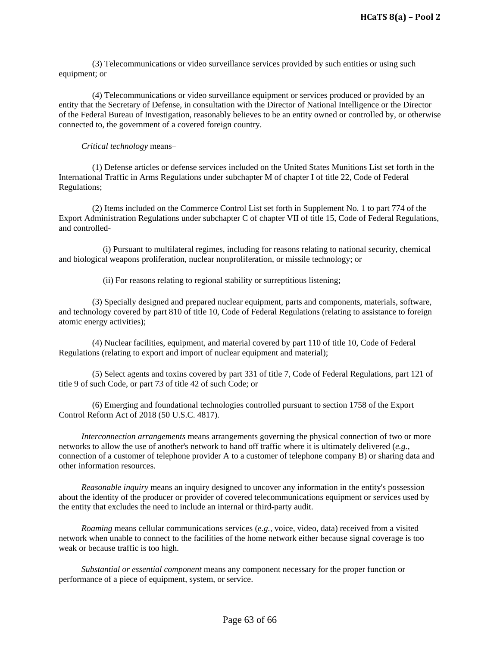(3) Telecommunications or video surveillance services provided by such entities or using such equipment; or

 (4) Telecommunications or video surveillance equipment or services produced or provided by an entity that the Secretary of Defense, in consultation with the Director of National Intelligence or the Director of the Federal Bureau of Investigation, reasonably believes to be an entity owned or controlled by, or otherwise connected to, the government of a covered foreign country.

*Critical technology* means–

 (1) Defense articles or defense services included on the United States Munitions List set forth in the International Traffic in Arms Regulations under subchapter M of chapter I of title 22, Code of Federal Regulations;

 (2) Items included on the Commerce Control List set forth in Supplement No. 1 to part 774 of the Export Administration Regulations under subchapter C of chapter VII of title 15, Code of Federal Regulations, and controlled-

 (i) Pursuant to multilateral regimes, including for reasons relating to national security, chemical and biological weapons proliferation, nuclear nonproliferation, or missile technology; or

(ii) For reasons relating to regional stability or surreptitious listening;

 (3) Specially designed and prepared nuclear equipment, parts and components, materials, software, and technology covered by part 810 of title 10, Code of Federal Regulations (relating to assistance to foreign atomic energy activities);

 (4) Nuclear facilities, equipment, and material covered by part 110 of title 10, Code of Federal Regulations (relating to export and import of nuclear equipment and material);

 (5) Select agents and toxins covered by part 331 of title 7, Code of Federal Regulations, part 121 of title 9 of such Code, or part 73 of title 42 of such Code; or

 (6) Emerging and foundational technologies controlled pursuant to section 1758 of the Export Control Reform Act of 2018 (50 U.S.C. 4817).

 *Interconnection arrangements* means arrangements governing the physical connection of two or more networks to allow the use of another's network to hand off traffic where it is ultimately delivered (*e.g.*, connection of a customer of telephone provider A to a customer of telephone company B) or sharing data and other information resources.

 *Reasonable inquiry* means an inquiry designed to uncover any information in the entity's possession about the identity of the producer or provider of covered telecommunications equipment or services used by the entity that excludes the need to include an internal or third-party audit.

 *Roaming* means cellular communications services (*e.g.*, voice, video, data) received from a visited network when unable to connect to the facilities of the home network either because signal coverage is too weak or because traffic is too high.

 *Substantial or essential component* means any component necessary for the proper function or performance of a piece of equipment, system, or service.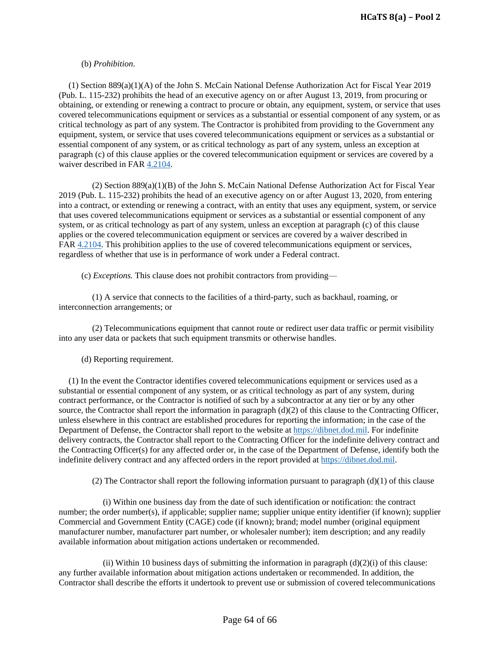#### (b) *Prohibition*.

(1) Section 889(a)(1)(A) of the John S. McCain National Defense Authorization Act for Fiscal Year 2019 (Pub. L. 115-232) prohibits the head of an executive agency on or after August 13, 2019, from procuring or obtaining, or extending or renewing a contract to procure or obtain, any equipment, system, or service that uses covered telecommunications equipment or services as a substantial or essential component of any system, or as critical technology as part of any system. The Contractor is prohibited from providing to the Government any equipment, system, or service that uses covered telecommunications equipment or services as a substantial or essential component of any system, or as critical technology as part of any system, unless an exception at paragraph (c) of this clause applies or the covered telecommunication equipment or services are covered by a waiver described in FAR 4.2104.

 (2) Section 889(a)(1)(B) of the John S. McCain National Defense Authorization Act for Fiscal Year 2019 (Pub. L. 115-232) prohibits the head of an executive agency on or after August 13, 2020, from entering into a contract, or extending or renewing a contract, with an entity that uses any equipment, system, or service that uses covered telecommunications equipment or services as a substantial or essential component of any system, or as critical technology as part of any system, unless an exception at paragraph (c) of this clause applies or the covered telecommunication equipment or services are covered by a waiver described in FAR 4.2104. This prohibition applies to the use of covered telecommunications equipment or services, regardless of whether that use is in performance of work under a Federal contract.

(c) *Exceptions.* This clause does not prohibit contractors from providing—

 (1) A service that connects to the facilities of a third-party, such as backhaul, roaming, or interconnection arrangements; or

 (2) Telecommunications equipment that cannot route or redirect user data traffic or permit visibility into any user data or packets that such equipment transmits or otherwise handles.

(d) Reporting requirement.

(1) In the event the Contractor identifies covered telecommunications equipment or services used as a substantial or essential component of any system, or as critical technology as part of any system, during contract performance, or the Contractor is notified of such by a subcontractor at any tier or by any other source, the Contractor shall report the information in paragraph  $(d)(2)$  of this clause to the Contracting Officer, unless elsewhere in this contract are established procedures for reporting the information; in the case of the Department of Defense, the Contractor shall report to the website at https://dibnet.dod.mil. For indefinite delivery contracts, the Contractor shall report to the Contracting Officer for the indefinite delivery contract and the Contracting Officer(s) for any affected order or, in the case of the Department of Defense, identify both the indefinite delivery contract and any affected orders in the report provided at https://dibnet.dod.mil.

(2) The Contractor shall report the following information pursuant to paragraph  $(d)(1)$  of this clause

 (i) Within one business day from the date of such identification or notification: the contract number; the order number(s), if applicable; supplier name; supplier unique entity identifier (if known); supplier Commercial and Government Entity (CAGE) code (if known); brand; model number (original equipment manufacturer number, manufacturer part number, or wholesaler number); item description; and any readily available information about mitigation actions undertaken or recommended.

(ii) Within 10 business days of submitting the information in paragraph  $(d)(2)(i)$  of this clause: any further available information about mitigation actions undertaken or recommended. In addition, the Contractor shall describe the efforts it undertook to prevent use or submission of covered telecommunications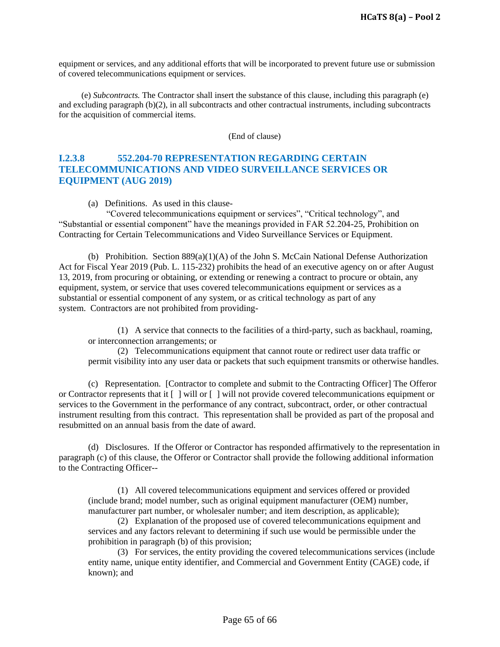equipment or services, and any additional efforts that will be incorporated to prevent future use or submission of covered telecommunications equipment or services.

 (e) *Subcontracts.* The Contractor shall insert the substance of this clause, including this paragraph (e) and excluding paragraph (b)(2), in all subcontracts and other contractual instruments, including subcontracts for the acquisition of commercial items.

(End of clause)

# **I.2.3.8 552.204-70 REPRESENTATION REGARDING CERTAIN TELECOMMUNICATIONS AND VIDEO SURVEILLANCE SERVICES OR EQUIPMENT (AUG 2019)**

(a) Definitions. As used in this clause-

"Covered telecommunications equipment or services", "Critical technology", and "Substantial or essential component" have the meanings provided in FAR 52.204-25, Prohibition on Contracting for Certain Telecommunications and Video Surveillance Services or Equipment.

(b) Prohibition. Section  $889(a)(1)(A)$  of the John S. McCain National Defense Authorization Act for Fiscal Year 2019 (Pub. L. 115-232) prohibits the head of an executive agency on or after August 13, 2019, from procuring or obtaining, or extending or renewing a contract to procure or obtain, any equipment, system, or service that uses covered telecommunications equipment or services as a substantial or essential component of any system, or as critical technology as part of any system. Contractors are not prohibited from providing-

(1) A service that connects to the facilities of a third-party, such as backhaul, roaming, or interconnection arrangements; or

(2) Telecommunications equipment that cannot route or redirect user data traffic or permit visibility into any user data or packets that such equipment transmits or otherwise handles.

(c) Representation. [Contractor to complete and submit to the Contracting Officer] The Offeror or Contractor represents that it [ ] will or [ ] will not provide covered telecommunications equipment or services to the Government in the performance of any contract, subcontract, order, or other contractual instrument resulting from this contract. This representation shall be provided as part of the proposal and resubmitted on an annual basis from the date of award.

(d) Disclosures. If the Offeror or Contractor has responded affirmatively to the representation in paragraph (c) of this clause, the Offeror or Contractor shall provide the following additional information to the Contracting Officer--

(1) All covered telecommunications equipment and services offered or provided (include brand; model number, such as original equipment manufacturer (OEM) number, manufacturer part number, or wholesaler number; and item description, as applicable);

(2) Explanation of the proposed use of covered telecommunications equipment and services and any factors relevant to determining if such use would be permissible under the prohibition in paragraph (b) of this provision;

(3) For services, the entity providing the covered telecommunications services (include entity name, unique entity identifier, and Commercial and Government Entity (CAGE) code, if known); and